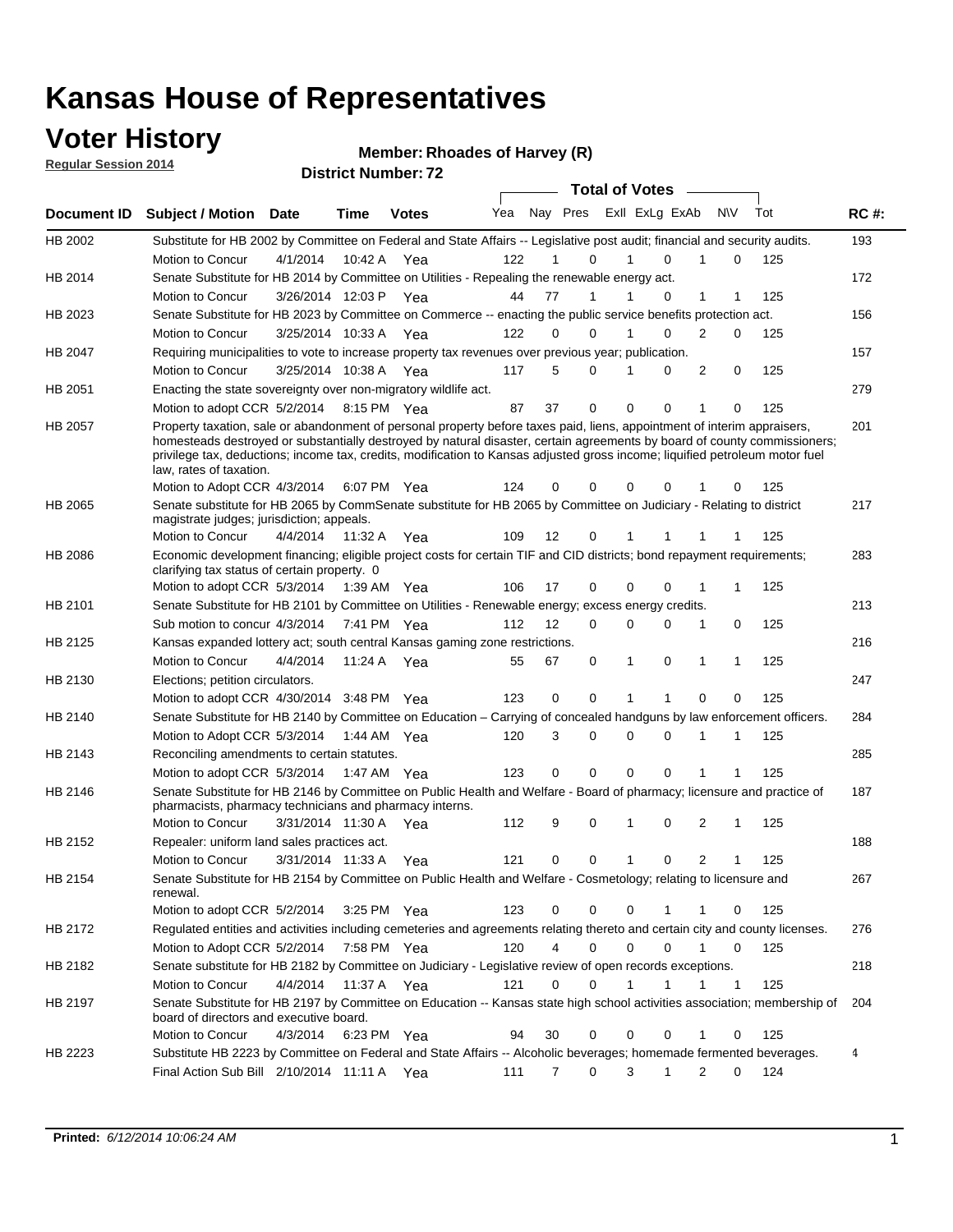#### **Voter History**

**Regular Session 2014**

#### **Member: Rhoades of Harvey (R)**

|             |                                                                                                                                                                                                                                                                                                                                                                                                                  |                       |             | <b>DISTRICT MAILINGL. IZ</b> |     |    |                         | <b>Total of Votes</b> |              |                |              |     |             |
|-------------|------------------------------------------------------------------------------------------------------------------------------------------------------------------------------------------------------------------------------------------------------------------------------------------------------------------------------------------------------------------------------------------------------------------|-----------------------|-------------|------------------------------|-----|----|-------------------------|-----------------------|--------------|----------------|--------------|-----|-------------|
| Document ID | <b>Subject / Motion</b>                                                                                                                                                                                                                                                                                                                                                                                          | Date                  | <b>Time</b> | <b>Votes</b>                 | Yea |    | Nay Pres Exll ExLg ExAb |                       |              | <b>NV</b>      |              | Tot | <b>RC#:</b> |
| HB 2002     | Substitute for HB 2002 by Committee on Federal and State Affairs -- Legislative post audit; financial and security audits.                                                                                                                                                                                                                                                                                       |                       |             |                              |     |    |                         |                       |              |                |              |     | 193         |
|             | Motion to Concur                                                                                                                                                                                                                                                                                                                                                                                                 | 4/1/2014              | 10:42 A     | Yea                          | 122 |    | 0                       |                       | $\Omega$     |                | 0            | 125 |             |
| HB 2014     | Senate Substitute for HB 2014 by Committee on Utilities - Repealing the renewable energy act.                                                                                                                                                                                                                                                                                                                    |                       |             |                              |     |    |                         |                       |              |                |              |     | 172         |
|             | Motion to Concur                                                                                                                                                                                                                                                                                                                                                                                                 | 3/26/2014 12:03 P Yea |             |                              | 44  | 77 | 1                       |                       | 0            | 1              | 1            | 125 |             |
| HB 2023     | Senate Substitute for HB 2023 by Committee on Commerce -- enacting the public service benefits protection act.                                                                                                                                                                                                                                                                                                   |                       |             |                              |     |    |                         |                       |              |                |              |     | 156         |
|             | Motion to Concur                                                                                                                                                                                                                                                                                                                                                                                                 | 3/25/2014 10:33 A Yea |             |                              | 122 | 0  | 0                       | 1                     | $\Omega$     | 2              | 0            | 125 |             |
| HB 2047     | Requiring municipalities to vote to increase property tax revenues over previous year; publication.                                                                                                                                                                                                                                                                                                              |                       |             |                              |     |    |                         |                       |              |                |              |     | 157         |
|             | Motion to Concur                                                                                                                                                                                                                                                                                                                                                                                                 | 3/25/2014 10:38 A Yea |             |                              | 117 | 5  | 0                       |                       | 0            | 2              | 0            | 125 |             |
| HB 2051     | Enacting the state sovereignty over non-migratory wildlife act.                                                                                                                                                                                                                                                                                                                                                  |                       |             |                              |     |    |                         |                       |              |                |              |     | 279         |
|             | Motion to adopt CCR 5/2/2014                                                                                                                                                                                                                                                                                                                                                                                     |                       | 8:15 PM Yea |                              | 87  | 37 | $\mathbf 0$             | $\mathbf 0$           | 0            | 1              | 0            | 125 |             |
| HB 2057     | Property taxation, sale or abandonment of personal property before taxes paid, liens, appointment of interim appraisers,<br>homesteads destroyed or substantially destroyed by natural disaster, certain agreements by board of county commissioners;<br>privilege tax, deductions; income tax, credits, modification to Kansas adjusted gross income; liquified petroleum motor fuel<br>law, rates of taxation. |                       |             |                              |     |    |                         |                       |              |                |              |     | 201         |
|             | Motion to Adopt CCR 4/3/2014                                                                                                                                                                                                                                                                                                                                                                                     |                       |             | 6:07 PM Yea                  | 124 | 0  | 0                       | $\mathbf 0$           | 0            |                | 0            | 125 |             |
| HB 2065     | Senate substitute for HB 2065 by CommSenate substitute for HB 2065 by Committee on Judiciary - Relating to district<br>magistrate judges; jurisdiction; appeals.                                                                                                                                                                                                                                                 |                       |             |                              |     |    |                         |                       |              |                |              |     | 217         |
|             | Motion to Concur                                                                                                                                                                                                                                                                                                                                                                                                 | 4/4/2014              | 11:32 A     | Yea                          | 109 | 12 | 0                       | 1                     |              |                |              | 125 |             |
| HB 2086     | Economic development financing; eligible project costs for certain TIF and CID districts; bond repayment requirements;<br>clarifying tax status of certain property. 0                                                                                                                                                                                                                                           |                       |             |                              |     |    |                         |                       |              |                |              |     | 283         |
|             | Motion to adopt CCR 5/3/2014                                                                                                                                                                                                                                                                                                                                                                                     |                       | 1:39 AM Yea |                              | 106 | 17 | 0                       | $\mathbf 0$           | $\Omega$     | 1              | 1            | 125 |             |
| HB 2101     | Senate Substitute for HB 2101 by Committee on Utilities - Renewable energy; excess energy credits.                                                                                                                                                                                                                                                                                                               |                       |             |                              |     |    |                         |                       |              |                |              |     | 213         |
|             | Sub motion to concur 4/3/2014                                                                                                                                                                                                                                                                                                                                                                                    |                       |             | 7:41 PM Yea                  | 112 | 12 | 0                       | $\mathbf 0$           | $\mathbf 0$  | 1              | 0            | 125 |             |
| HB 2125     | Kansas expanded lottery act; south central Kansas gaming zone restrictions.                                                                                                                                                                                                                                                                                                                                      |                       |             |                              |     |    |                         |                       |              |                |              |     | 216         |
|             | Motion to Concur                                                                                                                                                                                                                                                                                                                                                                                                 | 4/4/2014              | 11:24 A     | Yea                          | 55  | 67 | 0                       | 1                     | 0            | 1              | 1            | 125 |             |
| HB 2130     | Elections; petition circulators.                                                                                                                                                                                                                                                                                                                                                                                 |                       |             |                              |     |    |                         |                       |              |                |              |     | 247         |
|             | Motion to adopt CCR 4/30/2014 3:48 PM Yea                                                                                                                                                                                                                                                                                                                                                                        |                       |             |                              | 123 | 0  | 0                       |                       |              | $\Omega$       | 0            | 125 |             |
| HB 2140     | Senate Substitute for HB 2140 by Committee on Education – Carrying of concealed handguns by law enforcement officers.                                                                                                                                                                                                                                                                                            |                       |             |                              |     |    |                         |                       |              |                |              |     | 284         |
|             | Motion to Adopt CCR 5/3/2014                                                                                                                                                                                                                                                                                                                                                                                     |                       |             | 1:44 AM Yea                  | 120 | 3  | 0                       | $\mathbf 0$           | $\mathbf 0$  | 1              | 1            | 125 |             |
| HB 2143     | Reconciling amendments to certain statutes.                                                                                                                                                                                                                                                                                                                                                                      |                       |             |                              |     |    |                         |                       |              |                |              |     | 285         |
|             | Motion to adopt CCR 5/3/2014                                                                                                                                                                                                                                                                                                                                                                                     |                       | 1:47 AM Yea |                              | 123 | 0  | 0                       | $\mathbf 0$           | $\mathbf 0$  | 1              | 1            | 125 |             |
| HB 2146     | Senate Substitute for HB 2146 by Committee on Public Health and Welfare - Board of pharmacy; licensure and practice of<br>pharmacists, pharmacy technicians and pharmacy interns.                                                                                                                                                                                                                                |                       |             |                              |     |    |                         |                       |              |                |              |     | 187         |
|             | Motion to Concur                                                                                                                                                                                                                                                                                                                                                                                                 | 3/31/2014 11:30 A     |             | Yea                          | 112 | 9  | 0                       | 1                     | $\mathbf 0$  | 2              | 1            | 125 |             |
| HB 2152     | Repealer: uniform land sales practices act.                                                                                                                                                                                                                                                                                                                                                                      |                       |             |                              |     |    |                         |                       |              |                |              |     | 188         |
|             | Motion to Concur                                                                                                                                                                                                                                                                                                                                                                                                 | 3/31/2014 11:33 A     |             | Yea                          | 121 | 0  | 0                       | 1                     | 0            | $\overline{2}$ | 1            | 125 |             |
| HB 2154     | Senate Substitute for HB 2154 by Committee on Public Health and Welfare - Cosmetology; relating to licensure and<br>renewal.                                                                                                                                                                                                                                                                                     |                       |             |                              |     |    |                         |                       |              |                |              |     | 267         |
|             | Motion to adopt CCR 5/2/2014                                                                                                                                                                                                                                                                                                                                                                                     |                       |             | 3:25 PM Yea                  | 123 | 0  | 0                       | 0                     | 1            | 1              | 0            | 125 |             |
| HB 2172     | Regulated entities and activities including cemeteries and agreements relating thereto and certain city and county licenses.                                                                                                                                                                                                                                                                                     |                       |             |                              |     |    |                         |                       |              |                |              |     | 276         |
|             | Motion to Adopt CCR 5/2/2014                                                                                                                                                                                                                                                                                                                                                                                     |                       |             | 7:58 PM Yea                  | 120 | 4  | $\mathbf 0$             | $\mathbf 0$           | $\Omega$     | $\mathbf{1}$   | $\mathbf 0$  | 125 |             |
| HB 2182     | Senate substitute for HB 2182 by Committee on Judiciary - Legislative review of open records exceptions.                                                                                                                                                                                                                                                                                                         |                       |             |                              |     |    |                         |                       |              |                |              |     | 218         |
|             | Motion to Concur                                                                                                                                                                                                                                                                                                                                                                                                 | 4/4/2014              | 11:37 A Yea |                              | 121 | 0  | $\mathbf 0$             | 1                     | $\mathbf{1}$ | 1              | $\mathbf{1}$ | 125 |             |
| HB 2197     | Senate Substitute for HB 2197 by Committee on Education -- Kansas state high school activities association; membership of<br>board of directors and executive board.                                                                                                                                                                                                                                             |                       |             |                              |     |    |                         |                       |              |                |              |     | 204         |
|             | Motion to Concur                                                                                                                                                                                                                                                                                                                                                                                                 | 4/3/2014              |             | 6:23 PM Yea                  | 94  | 30 | 0                       | 0                     | 0            | 1              | 0            | 125 |             |
| HB 2223     | Substitute HB 2223 by Committee on Federal and State Affairs -- Alcoholic beverages; homemade fermented beverages.                                                                                                                                                                                                                                                                                               |                       |             |                              |     |    |                         |                       |              |                |              |     | 4           |
|             | Final Action Sub Bill 2/10/2014 11:11 A Yea                                                                                                                                                                                                                                                                                                                                                                      |                       |             |                              | 111 | 7  | 0                       | 3                     | 1            | 2              | 0            | 124 |             |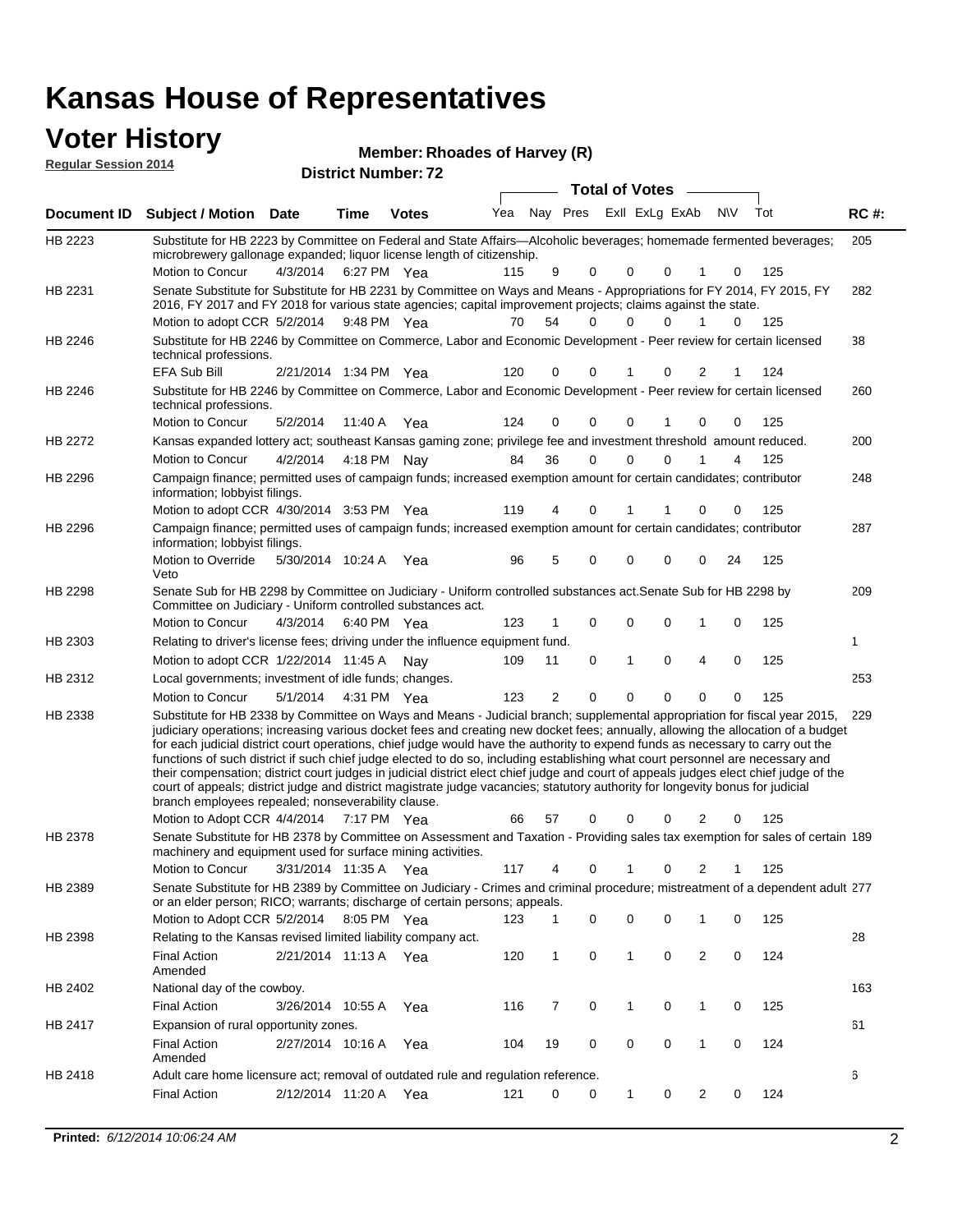| <b>Voter History</b><br><b>Regular Session 2014</b> |                                                                                                                                                                                                                                                                                                                                                                                                                                                                                                                                                                                                                                                                                                                                                                                                                                                                                                         |                       |      |                            | Member: Rhoades of Harvey (R) |                |                             |                       |              |              |                |             |     |             |
|-----------------------------------------------------|---------------------------------------------------------------------------------------------------------------------------------------------------------------------------------------------------------------------------------------------------------------------------------------------------------------------------------------------------------------------------------------------------------------------------------------------------------------------------------------------------------------------------------------------------------------------------------------------------------------------------------------------------------------------------------------------------------------------------------------------------------------------------------------------------------------------------------------------------------------------------------------------------------|-----------------------|------|----------------------------|-------------------------------|----------------|-----------------------------|-----------------------|--------------|--------------|----------------|-------------|-----|-------------|
|                                                     |                                                                                                                                                                                                                                                                                                                                                                                                                                                                                                                                                                                                                                                                                                                                                                                                                                                                                                         |                       |      | <b>District Number: 72</b> |                               |                |                             |                       |              |              |                |             |     |             |
|                                                     |                                                                                                                                                                                                                                                                                                                                                                                                                                                                                                                                                                                                                                                                                                                                                                                                                                                                                                         |                       |      |                            |                               |                |                             | <b>Total of Votes</b> |              |              |                |             |     |             |
| Document ID                                         | <b>Subject / Motion Date</b>                                                                                                                                                                                                                                                                                                                                                                                                                                                                                                                                                                                                                                                                                                                                                                                                                                                                            |                       | Time | <b>Votes</b>               |                               |                | Yea Nay Pres Exll ExLg ExAb |                       |              |              |                | <b>NV</b>   | Tot | <b>RC#:</b> |
| HB 2223                                             | Substitute for HB 2223 by Committee on Federal and State Affairs—Alcoholic beverages; homemade fermented beverages;<br>microbrewery gallonage expanded; liquor license length of citizenship.                                                                                                                                                                                                                                                                                                                                                                                                                                                                                                                                                                                                                                                                                                           |                       |      |                            |                               |                |                             |                       |              |              |                |             |     | 205         |
|                                                     | Motion to Concur                                                                                                                                                                                                                                                                                                                                                                                                                                                                                                                                                                                                                                                                                                                                                                                                                                                                                        | 4/3/2014              |      | 6:27 PM Yea                | 115                           | 9              |                             | $\Omega$              | 0            | 0            |                | 0           | 125 |             |
| HB 2231                                             | Senate Substitute for Substitute for HB 2231 by Committee on Ways and Means - Appropriations for FY 2014, FY 2015, FY<br>2016, FY 2017 and FY 2018 for various state agencies; capital improvement projects; claims against the state.                                                                                                                                                                                                                                                                                                                                                                                                                                                                                                                                                                                                                                                                  |                       |      |                            |                               |                |                             |                       |              |              |                |             |     | 282         |
|                                                     | Motion to adopt CCR 5/2/2014                                                                                                                                                                                                                                                                                                                                                                                                                                                                                                                                                                                                                                                                                                                                                                                                                                                                            |                       |      | 9:48 PM Yea                | 70                            | 54             |                             | $\Omega$              | 0            | 0            | 1              | 0           | 125 |             |
| HB 2246                                             | Substitute for HB 2246 by Committee on Commerce, Labor and Economic Development - Peer review for certain licensed<br>technical professions.                                                                                                                                                                                                                                                                                                                                                                                                                                                                                                                                                                                                                                                                                                                                                            |                       |      |                            |                               |                |                             |                       |              |              |                |             |     | 38          |
|                                                     | <b>EFA Sub Bill</b>                                                                                                                                                                                                                                                                                                                                                                                                                                                                                                                                                                                                                                                                                                                                                                                                                                                                                     | 2/21/2014 1:34 PM Yea |      |                            | 120                           | $\Omega$       |                             | $\Omega$              | 1            | $\mathbf{0}$ | 2              | 1           | 124 |             |
| HB 2246                                             | Substitute for HB 2246 by Committee on Commerce, Labor and Economic Development - Peer review for certain licensed<br>technical professions.                                                                                                                                                                                                                                                                                                                                                                                                                                                                                                                                                                                                                                                                                                                                                            |                       |      |                            |                               |                |                             |                       |              |              |                |             |     | 260         |
|                                                     | Motion to Concur                                                                                                                                                                                                                                                                                                                                                                                                                                                                                                                                                                                                                                                                                                                                                                                                                                                                                        | 5/2/2014              |      | 11:40 A Yea                | 124                           | 0              |                             | 0                     | 0            |              | 0              | 0           | 125 |             |
| HB 2272                                             | Kansas expanded lottery act; southeast Kansas gaming zone; privilege fee and investment threshold amount reduced.                                                                                                                                                                                                                                                                                                                                                                                                                                                                                                                                                                                                                                                                                                                                                                                       |                       |      |                            |                               |                |                             |                       |              |              |                |             |     | 200         |
|                                                     | Motion to Concur                                                                                                                                                                                                                                                                                                                                                                                                                                                                                                                                                                                                                                                                                                                                                                                                                                                                                        | 4/2/2014              |      | 4:18 PM Nay                | 84                            | 36             |                             | $\mathbf 0$           | $\Omega$     | $\mathbf{0}$ | 1              | 4           | 125 |             |
| HB 2296                                             | Campaign finance; permitted uses of campaign funds; increased exemption amount for certain candidates; contributor<br>information; lobbyist filings.                                                                                                                                                                                                                                                                                                                                                                                                                                                                                                                                                                                                                                                                                                                                                    |                       |      |                            |                               |                |                             |                       |              |              |                |             |     | 248         |
|                                                     | Motion to adopt CCR 4/30/2014 3:53 PM Yea                                                                                                                                                                                                                                                                                                                                                                                                                                                                                                                                                                                                                                                                                                                                                                                                                                                               |                       |      |                            | 119                           | 4              |                             | 0                     | 1            | 1            | 0              | 0           | 125 |             |
| HB 2296                                             | Campaign finance; permitted uses of campaign funds; increased exemption amount for certain candidates; contributor<br>information; lobbyist filings.                                                                                                                                                                                                                                                                                                                                                                                                                                                                                                                                                                                                                                                                                                                                                    |                       |      |                            |                               |                |                             |                       |              |              |                |             |     | 287         |
|                                                     | Motion to Override<br>Veto                                                                                                                                                                                                                                                                                                                                                                                                                                                                                                                                                                                                                                                                                                                                                                                                                                                                              | 5/30/2014 10:24 A Yea |      |                            | 96                            | 5              |                             | $\Omega$              | 0            | 0            | 0              | 24          | 125 |             |
| HB 2298                                             | Senate Sub for HB 2298 by Committee on Judiciary - Uniform controlled substances act. Senate Sub for HB 2298 by<br>Committee on Judiciary - Uniform controlled substances act.                                                                                                                                                                                                                                                                                                                                                                                                                                                                                                                                                                                                                                                                                                                          |                       |      |                            |                               |                |                             |                       |              |              |                |             |     | 209         |
|                                                     | Motion to Concur                                                                                                                                                                                                                                                                                                                                                                                                                                                                                                                                                                                                                                                                                                                                                                                                                                                                                        | 4/3/2014              |      | 6:40 PM Yea                | 123                           | $\mathbf{1}$   |                             | 0                     | 0            | $\mathbf{0}$ | 1              | 0           | 125 |             |
| HB 2303                                             | Relating to driver's license fees; driving under the influence equipment fund.                                                                                                                                                                                                                                                                                                                                                                                                                                                                                                                                                                                                                                                                                                                                                                                                                          |                       |      |                            |                               |                |                             |                       |              |              |                |             |     | 1           |
|                                                     | Motion to adopt CCR 1/22/2014 11:45 A                                                                                                                                                                                                                                                                                                                                                                                                                                                                                                                                                                                                                                                                                                                                                                                                                                                                   |                       |      | Nav                        | 109                           | 11             |                             | 0                     | $\mathbf{1}$ | 0            | $\overline{4}$ | $\mathbf 0$ | 125 |             |
| HB 2312                                             | Local governments; investment of idle funds; changes.                                                                                                                                                                                                                                                                                                                                                                                                                                                                                                                                                                                                                                                                                                                                                                                                                                                   |                       |      |                            |                               |                |                             |                       |              |              |                |             |     | 253         |
|                                                     | Motion to Concur                                                                                                                                                                                                                                                                                                                                                                                                                                                                                                                                                                                                                                                                                                                                                                                                                                                                                        | 5/1/2014              |      | 4:31 PM Yea                | 123                           | $\overline{2}$ |                             | $\mathbf 0$           | 0            | 0            | $\mathbf 0$    | 0           | 125 |             |
| HB 2338                                             | Substitute for HB 2338 by Committee on Ways and Means - Judicial branch; supplemental appropriation for fiscal year 2015, 229<br>judiciary operations; increasing various docket fees and creating new docket fees; annually, allowing the allocation of a budget<br>for each judicial district court operations, chief judge would have the authority to expend funds as necessary to carry out the<br>functions of such district if such chief judge elected to do so, including establishing what court personnel are necessary and<br>their compensation; district court judges in judicial district elect chief judge and court of appeals judges elect chief judge of the<br>court of appeals; district judge and district magistrate judge vacancies; statutory authority for longevity bonus for judicial<br>branch employees repealed; nonseverability clause.<br>Motion to Adopt CCR 4/4/2014 |                       |      | 7:17 PM Yea                | 66                            | 57             |                             | $\Omega$              | 0            | 0            | 2              | 0           | 125 |             |
| HB 2378                                             | Senate Substitute for HB 2378 by Committee on Assessment and Taxation - Providing sales tax exemption for sales of certain 189                                                                                                                                                                                                                                                                                                                                                                                                                                                                                                                                                                                                                                                                                                                                                                          |                       |      |                            |                               |                |                             |                       |              |              |                |             |     |             |
|                                                     | machinery and equipment used for surface mining activities.<br>Motion to Concur                                                                                                                                                                                                                                                                                                                                                                                                                                                                                                                                                                                                                                                                                                                                                                                                                         | 3/31/2014 11:35 A Yea |      |                            | 117                           | 4              |                             | $\Omega$              | 1            | $\mathbf{0}$ | $\overline{2}$ | 1           | 125 |             |
| HB 2389                                             | Senate Substitute for HB 2389 by Committee on Judiciary - Crimes and criminal procedure; mistreatment of a dependent adult 277<br>or an elder person; RICO; warrants; discharge of certain persons; appeals.                                                                                                                                                                                                                                                                                                                                                                                                                                                                                                                                                                                                                                                                                            |                       |      |                            |                               |                |                             |                       |              |              |                |             |     |             |
|                                                     | Motion to Adopt CCR 5/2/2014 8:05 PM Yea                                                                                                                                                                                                                                                                                                                                                                                                                                                                                                                                                                                                                                                                                                                                                                                                                                                                |                       |      |                            | 123                           | 1              |                             | 0                     | 0            | 0            | 1              | 0           | 125 |             |
| פחכת בום                                            | Polating to the Kansas revised limited lighility company act                                                                                                                                                                                                                                                                                                                                                                                                                                                                                                                                                                                                                                                                                                                                                                                                                                            |                       |      |                            |                               |                |                             |                       |              |              |                |             |     | າ໑          |

|                | Motion to Adopt CCR 5/2/2014                                                      |                   | 8:05 PM | Yea | 123 |    |   |          | 0        |          | 125 |     |
|----------------|-----------------------------------------------------------------------------------|-------------------|---------|-----|-----|----|---|----------|----------|----------|-----|-----|
| HB 2398        | Relating to the Kansas revised limited liability company act.                     |                   |         |     |     |    |   |          |          |          |     | 28  |
|                | Final Action<br>Amended                                                           | 2/21/2014 11:13 A |         | Yea | 120 |    |   |          | 0        | 0        | 124 |     |
| HB 2402        | National day of the cowboy.                                                       |                   |         |     |     |    |   |          |          |          |     | 163 |
|                | Final Action                                                                      | 3/26/2014         | 10:55 A | Yea | 116 |    |   |          | 0        | 0        | 125 |     |
| <b>HB 2417</b> | Expansion of rural opportunity zones.                                             |                   |         |     |     |    |   |          |          |          |     | 61  |
|                | Final Action<br>Amended                                                           | 2/27/2014         | 10:16 A | Yea | 104 | 19 | 0 | $\Omega$ | $\Omega$ | $\Omega$ | 124 |     |
| HB 2418        | Adult care home licensure act; removal of outdated rule and regulation reference. |                   |         |     |     |    |   |          |          |          |     | 6   |
|                | <b>Final Action</b>                                                               | 2/12/2014         | 11:20 A | Yea | 121 | 0  | 0 |          | 0        |          | 124 |     |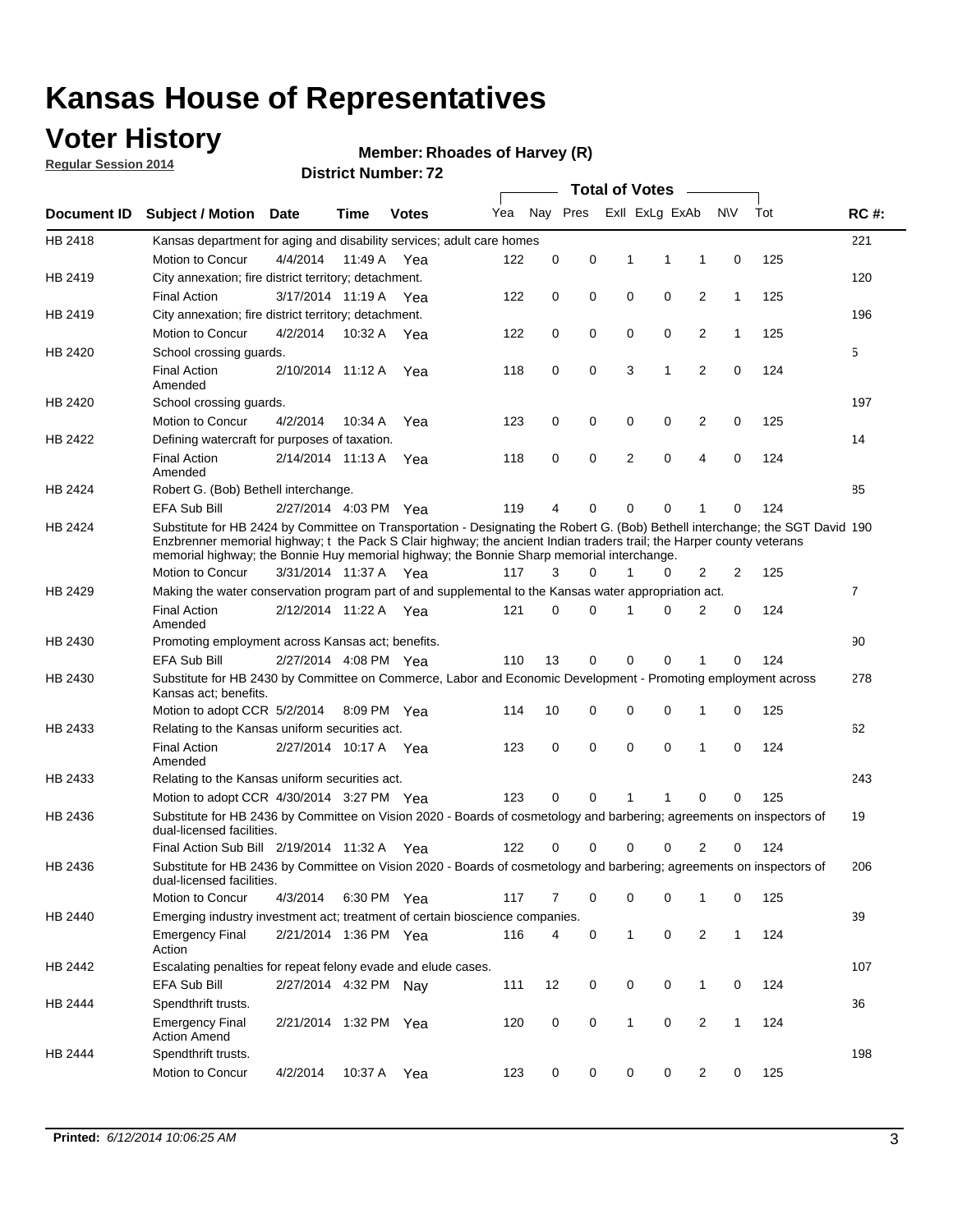### **Voter History**

**Regular Session 2014**

#### **Member: Rhoades of Harvey (R)**

|             |                                                                                                                                                                                                                                                                                                                                                      |                       |             | DISTICT MAILING TV |     |          |          |   | Total of Votes –        |                |              |     |                |
|-------------|------------------------------------------------------------------------------------------------------------------------------------------------------------------------------------------------------------------------------------------------------------------------------------------------------------------------------------------------------|-----------------------|-------------|--------------------|-----|----------|----------|---|-------------------------|----------------|--------------|-----|----------------|
| Document ID | <b>Subject / Motion</b>                                                                                                                                                                                                                                                                                                                              | Date                  | Time        | <b>Votes</b>       | Yea |          |          |   | Nay Pres ExII ExLg ExAb |                | <b>NV</b>    | Tot | <b>RC#:</b>    |
| HB 2418     | Kansas department for aging and disability services; adult care homes                                                                                                                                                                                                                                                                                |                       |             |                    |     |          |          |   |                         |                |              |     | 221            |
|             | Motion to Concur                                                                                                                                                                                                                                                                                                                                     | 4/4/2014              | 11:49 A     | Yea                | 122 | 0        | 0        | 1 | 1                       | 1              | 0            | 125 |                |
| HB 2419     | City annexation; fire district territory; detachment.                                                                                                                                                                                                                                                                                                |                       |             |                    |     |          |          |   |                         |                |              |     | 120            |
|             | <b>Final Action</b>                                                                                                                                                                                                                                                                                                                                  | 3/17/2014 11:19 A     |             | Yea                | 122 | 0        | 0        | 0 | 0                       | 2              | 1            | 125 |                |
| HB 2419     | City annexation; fire district territory; detachment.                                                                                                                                                                                                                                                                                                |                       |             |                    |     |          |          |   |                         |                |              |     | 196            |
|             | Motion to Concur                                                                                                                                                                                                                                                                                                                                     | 4/2/2014              | 10:32 A     | Yea                | 122 | 0        | 0        | 0 | 0                       | 2              | $\mathbf{1}$ | 125 |                |
| HB 2420     | School crossing guards.                                                                                                                                                                                                                                                                                                                              |                       |             |                    |     |          |          |   |                         |                |              |     | 5              |
|             | <b>Final Action</b><br>Amended                                                                                                                                                                                                                                                                                                                       | 2/10/2014 11:12 A     |             | Yea                | 118 | 0        | 0        |   | 3<br>1                  | $\overline{2}$ | 0            | 124 |                |
| HB 2420     | School crossing guards.                                                                                                                                                                                                                                                                                                                              |                       |             |                    |     |          |          |   |                         |                |              |     | 197            |
|             | Motion to Concur                                                                                                                                                                                                                                                                                                                                     | 4/2/2014              | 10:34 A     | Yea                | 123 | 0        | 0        |   | 0<br>0                  | 2              | 0            | 125 |                |
| HB 2422     | Defining watercraft for purposes of taxation.                                                                                                                                                                                                                                                                                                        |                       |             |                    |     |          |          |   |                         |                |              |     | 14             |
|             | <b>Final Action</b><br>Amended                                                                                                                                                                                                                                                                                                                       | 2/14/2014 11:13 A     |             | Yea                | 118 | 0        | 0        |   | 2<br>0                  | 4              | 0            | 124 |                |
| HB 2424     | Robert G. (Bob) Bethell interchange.                                                                                                                                                                                                                                                                                                                 |                       |             |                    |     |          |          |   |                         |                |              |     | 85             |
|             | EFA Sub Bill                                                                                                                                                                                                                                                                                                                                         | 2/27/2014 4:03 PM Yea |             |                    | 119 | 4        | 0        |   | 0<br>0                  | 1              | 0            | 124 |                |
| HB 2424     | Substitute for HB 2424 by Committee on Transportation - Designating the Robert G. (Bob) Bethell interchange; the SGT David 190<br>Enzbrenner memorial highway; t the Pack S Clair highway; the ancient Indian traders trail; the Harper county veterans<br>memorial highway; the Bonnie Huy memorial highway; the Bonnie Sharp memorial interchange. |                       |             |                    |     |          |          |   |                         |                |              |     |                |
|             | Motion to Concur                                                                                                                                                                                                                                                                                                                                     | 3/31/2014 11:37 A Yea |             |                    | 117 | 3        | $\Omega$ | 1 | 0                       | 2              | 2            | 125 |                |
| HB 2429     | Making the water conservation program part of and supplemental to the Kansas water appropriation act.                                                                                                                                                                                                                                                |                       |             |                    |     |          |          |   |                         |                |              |     | $\overline{7}$ |
|             | <b>Final Action</b><br>Amended                                                                                                                                                                                                                                                                                                                       | 2/12/2014 11:22 A Yea |             |                    | 121 | $\Omega$ | 0        | 1 | 0                       | 2              | 0            | 124 |                |
| HB 2430     | Promoting employment across Kansas act; benefits.                                                                                                                                                                                                                                                                                                    |                       |             |                    |     |          |          |   |                         |                |              |     | 90             |
|             | <b>EFA Sub Bill</b>                                                                                                                                                                                                                                                                                                                                  | 2/27/2014 4:08 PM Yea |             |                    | 110 | 13       | 0        | 0 | 0                       |                | 0            | 124 |                |
| HB 2430     | Substitute for HB 2430 by Committee on Commerce, Labor and Economic Development - Promoting employment across<br>Kansas act; benefits.                                                                                                                                                                                                               |                       |             |                    |     |          |          |   |                         |                |              |     | 278            |
|             | Motion to adopt CCR 5/2/2014                                                                                                                                                                                                                                                                                                                         |                       | 8:09 PM Yea |                    | 114 | 10       | 0        |   | 0<br>0                  | 1              | 0            | 125 |                |
| HB 2433     | Relating to the Kansas uniform securities act.                                                                                                                                                                                                                                                                                                       |                       |             |                    |     |          |          |   |                         |                |              |     | 62             |
|             | <b>Final Action</b><br>Amended                                                                                                                                                                                                                                                                                                                       | 2/27/2014 10:17 A Yea |             |                    | 123 | 0        | 0        |   | $\mathbf 0$<br>0        | 1              | $\mathbf 0$  | 124 |                |
| HB 2433     | Relating to the Kansas uniform securities act.                                                                                                                                                                                                                                                                                                       |                       |             |                    |     |          |          |   |                         |                |              |     | 243            |
|             | Motion to adopt CCR 4/30/2014 3:27 PM Yea                                                                                                                                                                                                                                                                                                            |                       |             |                    | 123 | $\Omega$ | $\Omega$ | 1 | 1                       | 0              | 0            | 125 |                |
| HB 2436     | Substitute for HB 2436 by Committee on Vision 2020 - Boards of cosmetology and barbering; agreements on inspectors of<br>dual-licensed facilities.                                                                                                                                                                                                   |                       |             |                    |     |          |          |   |                         |                |              |     | 19             |
|             | Final Action Sub Bill 2/19/2014 11:32 A                                                                                                                                                                                                                                                                                                              |                       |             | Yea                | 122 |          | 0        | 0 | 0                       | 2              | 0            | 124 |                |
| HB 2436     | Substitute for HB 2436 by Committee on Vision 2020 - Boards of cosmetology and barbering; agreements on inspectors of<br>dual-licensed facilities.                                                                                                                                                                                                   |                       |             |                    |     |          |          |   |                         |                |              |     | 206            |
|             | Motion to Concur                                                                                                                                                                                                                                                                                                                                     | 4/3/2014              | 6:30 PM Yea |                    | 117 | 7        | 0        |   | 0<br>0                  | 1              | 0            | 125 |                |
| HB 2440     | Emerging industry investment act; treatment of certain bioscience companies.                                                                                                                                                                                                                                                                         |                       |             |                    |     |          |          |   |                         |                |              |     | 39             |
|             | <b>Emergency Final</b><br>Action                                                                                                                                                                                                                                                                                                                     | 2/21/2014 1:36 PM Yea |             |                    | 116 | 4        | 0        |   | 1<br>$\mathsf 0$        | $\overline{2}$ | $\mathbf{1}$ | 124 |                |
| HB 2442     | Escalating penalties for repeat felony evade and elude cases.                                                                                                                                                                                                                                                                                        |                       |             |                    |     |          |          |   |                         |                |              |     | 107            |
|             | EFA Sub Bill                                                                                                                                                                                                                                                                                                                                         | 2/27/2014 4:32 PM Nav |             |                    | 111 | 12       | 0        |   | 0<br>0                  | $\mathbf{1}$   | 0            | 124 |                |
| HB 2444     | Spendthrift trusts.                                                                                                                                                                                                                                                                                                                                  |                       |             |                    |     |          |          |   |                         |                |              |     | 36             |
|             | <b>Emergency Final</b><br><b>Action Amend</b>                                                                                                                                                                                                                                                                                                        | 2/21/2014 1:32 PM Yea |             |                    | 120 | 0        | 0        |   | $\mathbf{1}$<br>0       | $\overline{c}$ | $\mathbf{1}$ | 124 |                |
| HB 2444     | Spendthrift trusts.                                                                                                                                                                                                                                                                                                                                  |                       |             |                    |     |          |          |   |                         |                |              |     | 198            |
|             | Motion to Concur                                                                                                                                                                                                                                                                                                                                     | 4/2/2014              | 10:37 A Yea |                    | 123 | 0        | 0        |   | 0<br>0                  | $\overline{2}$ | 0            | 125 |                |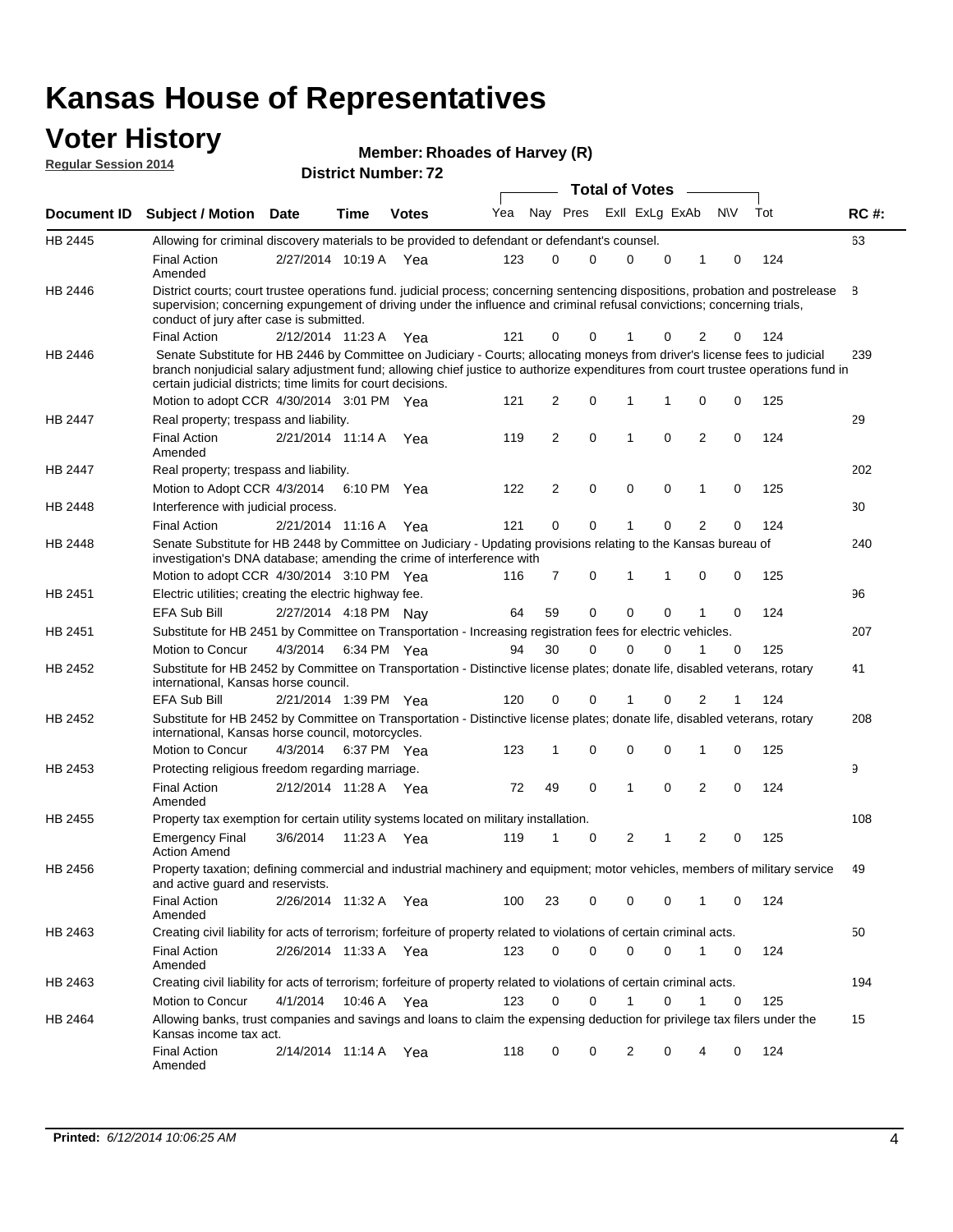#### **Voter History Regular Session 2014**

| Member: Rhoades of Harvey (R) |  |
|-------------------------------|--|
|-------------------------------|--|

| <b>District Number: 72</b> |  |  |  |
|----------------------------|--|--|--|

|                    |                                                                                                                                                                                                                                                                                                                                 |                       |      |              |     |                |             |   | <b>Total of Votes</b> |             |                |           |     |             |  |
|--------------------|---------------------------------------------------------------------------------------------------------------------------------------------------------------------------------------------------------------------------------------------------------------------------------------------------------------------------------|-----------------------|------|--------------|-----|----------------|-------------|---|-----------------------|-------------|----------------|-----------|-----|-------------|--|
| <b>Document ID</b> | <b>Subject / Motion Date</b>                                                                                                                                                                                                                                                                                                    |                       | Time | <b>Votes</b> | Yea |                | Nay Pres    |   | Exll ExLg ExAb        |             |                | <b>NV</b> | Tot | <b>RC#:</b> |  |
| HB 2445            | Allowing for criminal discovery materials to be provided to defendant or defendant's counsel.                                                                                                                                                                                                                                   |                       |      |              |     |                |             |   |                       |             |                |           |     | 63          |  |
|                    | <b>Final Action</b><br>Amended                                                                                                                                                                                                                                                                                                  | 2/27/2014 10:19 A     |      | Yea          | 123 | 0              |             | 0 | $\mathbf 0$           | $\mathbf 0$ | 1              | 0         | 124 |             |  |
| HB 2446            | District courts; court trustee operations fund. judicial process; concerning sentencing dispositions, probation and postrelease<br>supervision; concerning expungement of driving under the influence and criminal refusal convictions; concerning trials,<br>conduct of jury after case is submitted.                          |                       |      |              |     |                |             |   |                       |             |                |           |     | 8           |  |
|                    | <b>Final Action</b>                                                                                                                                                                                                                                                                                                             | 2/12/2014 11:23 A Yea |      |              | 121 | 0              |             | 0 |                       | 0           | 2              | 0         | 124 |             |  |
| HB 2446            | Senate Substitute for HB 2446 by Committee on Judiciary - Courts; allocating moneys from driver's license fees to judicial<br>branch nonjudicial salary adjustment fund; allowing chief justice to authorize expenditures from court trustee operations fund in<br>certain judicial districts; time limits for court decisions. |                       |      |              |     |                |             |   |                       |             |                |           |     | 239         |  |
|                    | Motion to adopt CCR 4/30/2014 3:01 PM Yea                                                                                                                                                                                                                                                                                       |                       |      |              | 121 | 2              | 0           |   | 1                     | 1           | 0              | 0         | 125 |             |  |
| <b>HB 2447</b>     | Real property; trespass and liability.                                                                                                                                                                                                                                                                                          |                       |      |              |     |                |             |   |                       |             |                |           |     | 29          |  |
|                    | <b>Final Action</b><br>Amended                                                                                                                                                                                                                                                                                                  | 2/21/2014 11:14 A     |      | Yea          | 119 | 2              | 0           |   | 1                     | 0           | $\overline{2}$ | 0         | 124 |             |  |
| HB 2447            | Real property; trespass and liability.                                                                                                                                                                                                                                                                                          |                       |      |              |     |                |             |   |                       |             |                |           |     | 202         |  |
|                    | Motion to Adopt CCR 4/3/2014                                                                                                                                                                                                                                                                                                    |                       |      | 6:10 PM Yea  | 122 | $\overline{2}$ | 0           |   | $\mathbf 0$           | $\mathbf 0$ | 1              | 0         | 125 |             |  |
| HB 2448            | Interference with judicial process.                                                                                                                                                                                                                                                                                             |                       |      |              |     |                |             |   |                       |             |                |           |     | 30          |  |
|                    | <b>Final Action</b>                                                                                                                                                                                                                                                                                                             | 2/21/2014 11:16 A Yea |      |              | 121 | 0              | $\mathbf 0$ |   | -1                    | $\Omega$    | $\overline{2}$ | 0         | 124 |             |  |
| HB 2448            | Senate Substitute for HB 2448 by Committee on Judiciary - Updating provisions relating to the Kansas bureau of<br>investigation's DNA database; amending the crime of interference with                                                                                                                                         |                       |      |              |     |                |             |   |                       |             |                |           |     | 240         |  |
|                    | Motion to adopt CCR 4/30/2014 3:10 PM Yea                                                                                                                                                                                                                                                                                       |                       |      |              | 116 | 7              | 0           |   | 1                     | 1           | 0              | 0         | 125 |             |  |
| HB 2451            | Electric utilities; creating the electric highway fee.                                                                                                                                                                                                                                                                          |                       |      |              |     |                |             |   |                       |             |                |           |     | 96          |  |
|                    | EFA Sub Bill                                                                                                                                                                                                                                                                                                                    | 2/27/2014 4:18 PM Nay |      |              | 64  | 59             |             | 0 | $\mathbf 0$           | 0           | 1              | 0         | 124 |             |  |
| HB 2451            | Substitute for HB 2451 by Committee on Transportation - Increasing registration fees for electric vehicles.                                                                                                                                                                                                                     |                       |      |              |     |                |             |   |                       |             |                |           |     | 207         |  |
|                    | Motion to Concur                                                                                                                                                                                                                                                                                                                | 4/3/2014              |      | 6:34 PM Yea  | 94  | 30             |             | 0 | $\Omega$              | 0           |                | 0         | 125 |             |  |
| HB 2452            | Substitute for HB 2452 by Committee on Transportation - Distinctive license plates; donate life, disabled veterans, rotary<br>international, Kansas horse council.                                                                                                                                                              |                       |      |              |     |                |             |   |                       |             |                |           |     | 41          |  |
|                    | <b>EFA Sub Bill</b>                                                                                                                                                                                                                                                                                                             | 2/21/2014 1:39 PM Yea |      |              | 120 | 0              |             | 0 |                       | 0           | 2              | 1         | 124 |             |  |
| HB 2452            | Substitute for HB 2452 by Committee on Transportation - Distinctive license plates; donate life, disabled veterans, rotary<br>international, Kansas horse council, motorcycles.                                                                                                                                                 |                       |      |              |     |                |             |   |                       |             |                |           |     | 208         |  |
|                    | Motion to Concur                                                                                                                                                                                                                                                                                                                | 4/3/2014              |      | 6:37 PM Yea  | 123 | 1              | 0           |   | 0                     | 0           | 1              | 0         | 125 |             |  |
| HB 2453            | Protecting religious freedom regarding marriage.                                                                                                                                                                                                                                                                                |                       |      |              |     |                |             |   |                       |             |                |           |     | 9           |  |
|                    | <b>Final Action</b><br>Amended                                                                                                                                                                                                                                                                                                  | 2/12/2014 11:28 A Yea |      |              | 72  | 49             | $\mathbf 0$ |   | 1                     | 0           | 2              | 0         | 124 |             |  |
| HB 2455            | Property tax exemption for certain utility systems located on military installation.                                                                                                                                                                                                                                            |                       |      |              |     |                |             |   |                       |             |                |           |     | 108         |  |
|                    | <b>Emergency Final</b><br><b>Action Amend</b>                                                                                                                                                                                                                                                                                   | 3/6/2014              |      | 11:23 A Yea  | 119 | 1              | 0           |   | 2                     | 1           | $\overline{2}$ | 0         | 125 |             |  |
| HB 2456            | Property taxation; defining commercial and industrial machinery and equipment; motor vehicles, members of military service<br>and active guard and reservists.                                                                                                                                                                  |                       |      |              |     |                |             |   |                       |             |                |           |     | 49          |  |
|                    | <b>Final Action</b><br>Amended                                                                                                                                                                                                                                                                                                  | 2/26/2014 11:32 A Yea |      |              | 100 | 23             | 0           |   | 0                     | 0           | 1              | 0         | 124 |             |  |
| HB 2463            | Creating civil liability for acts of terrorism; forfeiture of property related to violations of certain criminal acts.                                                                                                                                                                                                          |                       |      |              |     |                |             |   |                       |             |                |           |     | 50          |  |
|                    | <b>Final Action</b><br>Amended                                                                                                                                                                                                                                                                                                  | 2/26/2014 11:33 A Yea |      |              | 123 | 0              | 0           |   | $\mathbf 0$           | $\mathbf 0$ | $\mathbf{1}$   | 0         | 124 |             |  |
| HB 2463            | Creating civil liability for acts of terrorism; forfeiture of property related to violations of certain criminal acts.                                                                                                                                                                                                          |                       |      |              |     |                |             |   |                       |             |                |           |     | 194         |  |
|                    | Motion to Concur                                                                                                                                                                                                                                                                                                                | 4/1/2014              |      | 10:46 A Yea  | 123 | 0              | 0           |   | 1                     | 0           | $\mathbf{1}$   | 0         | 125 |             |  |
| HB 2464            | Allowing banks, trust companies and savings and loans to claim the expensing deduction for privilege tax filers under the<br>Kansas income tax act.                                                                                                                                                                             |                       |      |              |     |                |             |   |                       |             |                |           |     | 15          |  |
|                    | <b>Final Action</b><br>Amended                                                                                                                                                                                                                                                                                                  | 2/14/2014 11:14 A Yea |      |              | 118 | 0              | 0           |   | 2                     | 0           | 4              | 0         | 124 |             |  |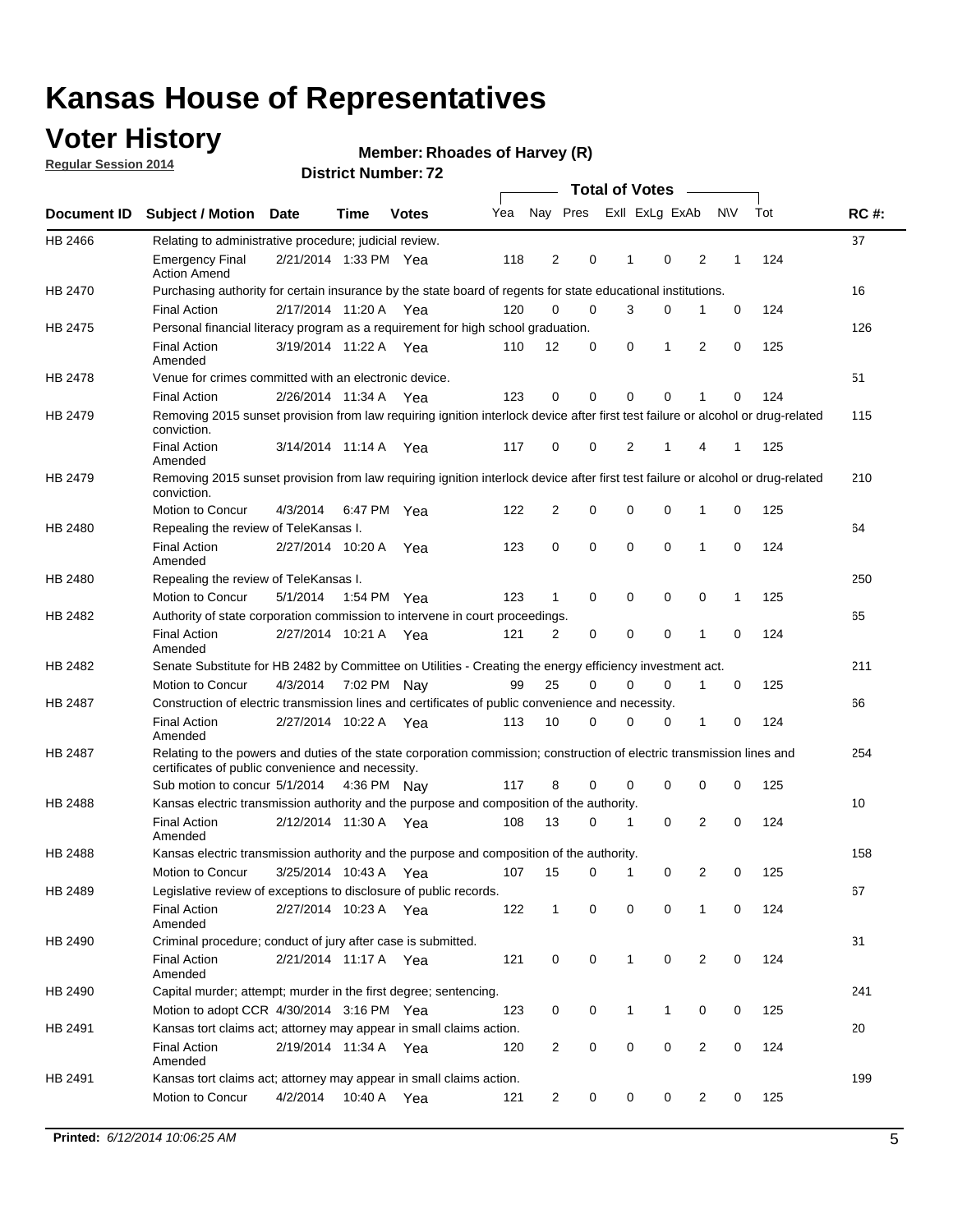### **Voter History**

**Regular Session 2014**

#### **Member: Rhoades of Harvey (R)**

|                                                                                                                                                                                                                                                                                                                                                                                                                                                                                                                                                                                                                                                                                                                                                                                                                                                                                                                                                                                                                                                                                                                                                                                                                                                                                                                                                                                                                                                                                                                                                                                                                                                                                                                                                                                                                                                                                                                                                                                                                                                                                                                                                                                                                                                                                                                                                                                                                                                                                                                                                                                                                                                                                                                                                                                                   |                                                                     |          |             |              |     |                |   | <b>Total of Votes</b> |                         |                |             |     |             |
|---------------------------------------------------------------------------------------------------------------------------------------------------------------------------------------------------------------------------------------------------------------------------------------------------------------------------------------------------------------------------------------------------------------------------------------------------------------------------------------------------------------------------------------------------------------------------------------------------------------------------------------------------------------------------------------------------------------------------------------------------------------------------------------------------------------------------------------------------------------------------------------------------------------------------------------------------------------------------------------------------------------------------------------------------------------------------------------------------------------------------------------------------------------------------------------------------------------------------------------------------------------------------------------------------------------------------------------------------------------------------------------------------------------------------------------------------------------------------------------------------------------------------------------------------------------------------------------------------------------------------------------------------------------------------------------------------------------------------------------------------------------------------------------------------------------------------------------------------------------------------------------------------------------------------------------------------------------------------------------------------------------------------------------------------------------------------------------------------------------------------------------------------------------------------------------------------------------------------------------------------------------------------------------------------------------------------------------------------------------------------------------------------------------------------------------------------------------------------------------------------------------------------------------------------------------------------------------------------------------------------------------------------------------------------------------------------------------------------------------------------------------------------------------------------|---------------------------------------------------------------------|----------|-------------|--------------|-----|----------------|---|-----------------------|-------------------------|----------------|-------------|-----|-------------|
|                                                                                                                                                                                                                                                                                                                                                                                                                                                                                                                                                                                                                                                                                                                                                                                                                                                                                                                                                                                                                                                                                                                                                                                                                                                                                                                                                                                                                                                                                                                                                                                                                                                                                                                                                                                                                                                                                                                                                                                                                                                                                                                                                                                                                                                                                                                                                                                                                                                                                                                                                                                                                                                                                                                                                                                                   |                                                                     |          | Time        | <b>Votes</b> | Yea |                |   |                       | Nay Pres ExII ExLg ExAb |                | <b>NV</b>   | Tot | <b>RC#:</b> |
| HB 2466                                                                                                                                                                                                                                                                                                                                                                                                                                                                                                                                                                                                                                                                                                                                                                                                                                                                                                                                                                                                                                                                                                                                                                                                                                                                                                                                                                                                                                                                                                                                                                                                                                                                                                                                                                                                                                                                                                                                                                                                                                                                                                                                                                                                                                                                                                                                                                                                                                                                                                                                                                                                                                                                                                                                                                                           |                                                                     |          |             |              |     |                |   |                       |                         |                |             |     | 37          |
|                                                                                                                                                                                                                                                                                                                                                                                                                                                                                                                                                                                                                                                                                                                                                                                                                                                                                                                                                                                                                                                                                                                                                                                                                                                                                                                                                                                                                                                                                                                                                                                                                                                                                                                                                                                                                                                                                                                                                                                                                                                                                                                                                                                                                                                                                                                                                                                                                                                                                                                                                                                                                                                                                                                                                                                                   | <b>Emergency Final</b><br><b>Action Amend</b>                       |          |             |              | 118 | $\overline{2}$ | 0 | 1                     | $\mathbf 0$             | $\overline{2}$ | 1           | 124 |             |
| Document ID Subject / Motion Date<br>Relating to administrative procedure; judicial review.<br>2/21/2014 1:33 PM Yea<br>HB 2470<br>Purchasing authority for certain insurance by the state board of regents for state educational institutions.<br><b>Final Action</b><br>2/17/2014 11:20 A Yea<br>HB 2475<br>Personal financial literacy program as a requirement for high school graduation.<br>3/19/2014 11:22 A Yea<br><b>Final Action</b><br>Amended<br>HB 2478<br>Venue for crimes committed with an electronic device.<br><b>Final Action</b><br>2/26/2014 11:34 A<br>Removing 2015 sunset provision from law requiring ignition interlock device after first test failure or alcohol or drug-related<br>HB 2479<br>conviction.<br><b>Final Action</b><br>3/14/2014 11:14 A<br>Amended<br>HB 2479<br>Removing 2015 sunset provision from law requiring ignition interlock device after first test failure or alcohol or drug-related<br>conviction.<br>Motion to Concur<br>4/3/2014<br>Repealing the review of TeleKansas I.<br>HB 2480<br><b>Final Action</b><br>2/27/2014 10:20 A Yea<br>Amended<br>HB 2480<br>Repealing the review of TeleKansas I.<br>Motion to Concur<br>5/1/2014<br>Authority of state corporation commission to intervene in court proceedings.<br>HB 2482<br><b>Final Action</b><br>2/27/2014 10:21 A<br>Amended<br>HB 2482<br>Senate Substitute for HB 2482 by Committee on Utilities - Creating the energy efficiency investment act.<br>Motion to Concur<br>4/3/2014 7:02 PM Nay<br>Construction of electric transmission lines and certificates of public convenience and necessity.<br>HB 2487<br><b>Final Action</b><br>2/27/2014 10:22 A<br>Amended<br>HB 2487<br>Relating to the powers and duties of the state corporation commission; construction of electric transmission lines and<br>certificates of public convenience and necessity.<br>Sub motion to concur 5/1/2014 4:36 PM Nay<br>HB 2488<br>Kansas electric transmission authority and the purpose and composition of the authority.<br><b>Final Action</b><br>2/12/2014 11:30 A Yea<br>Amended<br>HB 2488<br>Kansas electric transmission authority and the purpose and composition of the authority.<br>Motion to Concur<br>3/25/2014 10:43 A<br>HB 2489<br>Legislative review of exceptions to disclosure of public records.<br><b>Final Action</b><br>2/27/2014 10:23 A Yea<br>Amended<br>Criminal procedure; conduct of jury after case is submitted.<br>HB 2490<br><b>Final Action</b><br>2/21/2014 11:17 A Yea<br>Amended<br>HB 2490<br>Capital murder; attempt; murder in the first degree; sentencing.<br>Motion to adopt CCR 4/30/2014 3:16 PM Yea<br>HB 2491<br>Kansas tort claims act; attorney may appear in small claims action.<br><b>Final Action</b><br>2/19/2014 11:34 A Yea |                                                                     |          |             |              |     |                |   |                       |                         |                | 16          |     |             |
|                                                                                                                                                                                                                                                                                                                                                                                                                                                                                                                                                                                                                                                                                                                                                                                                                                                                                                                                                                                                                                                                                                                                                                                                                                                                                                                                                                                                                                                                                                                                                                                                                                                                                                                                                                                                                                                                                                                                                                                                                                                                                                                                                                                                                                                                                                                                                                                                                                                                                                                                                                                                                                                                                                                                                                                                   |                                                                     |          |             |              | 120 | 0              | 0 | 3                     | 0                       | 1              | 0           | 124 |             |
|                                                                                                                                                                                                                                                                                                                                                                                                                                                                                                                                                                                                                                                                                                                                                                                                                                                                                                                                                                                                                                                                                                                                                                                                                                                                                                                                                                                                                                                                                                                                                                                                                                                                                                                                                                                                                                                                                                                                                                                                                                                                                                                                                                                                                                                                                                                                                                                                                                                                                                                                                                                                                                                                                                                                                                                                   |                                                                     |          |             |              |     |                |   |                       |                         |                |             |     | 126         |
|                                                                                                                                                                                                                                                                                                                                                                                                                                                                                                                                                                                                                                                                                                                                                                                                                                                                                                                                                                                                                                                                                                                                                                                                                                                                                                                                                                                                                                                                                                                                                                                                                                                                                                                                                                                                                                                                                                                                                                                                                                                                                                                                                                                                                                                                                                                                                                                                                                                                                                                                                                                                                                                                                                                                                                                                   |                                                                     |          |             |              | 110 | 12             | 0 | 0                     | 1                       | 2              | 0           | 125 |             |
|                                                                                                                                                                                                                                                                                                                                                                                                                                                                                                                                                                                                                                                                                                                                                                                                                                                                                                                                                                                                                                                                                                                                                                                                                                                                                                                                                                                                                                                                                                                                                                                                                                                                                                                                                                                                                                                                                                                                                                                                                                                                                                                                                                                                                                                                                                                                                                                                                                                                                                                                                                                                                                                                                                                                                                                                   |                                                                     |          |             |              |     |                |   |                       |                         |                |             |     | 51          |
|                                                                                                                                                                                                                                                                                                                                                                                                                                                                                                                                                                                                                                                                                                                                                                                                                                                                                                                                                                                                                                                                                                                                                                                                                                                                                                                                                                                                                                                                                                                                                                                                                                                                                                                                                                                                                                                                                                                                                                                                                                                                                                                                                                                                                                                                                                                                                                                                                                                                                                                                                                                                                                                                                                                                                                                                   |                                                                     |          |             | Yea          | 123 | 0              | 0 | $\Omega$              | $\mathbf 0$             | 1              | $\mathbf 0$ | 124 |             |
|                                                                                                                                                                                                                                                                                                                                                                                                                                                                                                                                                                                                                                                                                                                                                                                                                                                                                                                                                                                                                                                                                                                                                                                                                                                                                                                                                                                                                                                                                                                                                                                                                                                                                                                                                                                                                                                                                                                                                                                                                                                                                                                                                                                                                                                                                                                                                                                                                                                                                                                                                                                                                                                                                                                                                                                                   |                                                                     |          |             |              |     |                |   |                       |                         |                |             |     | 115         |
|                                                                                                                                                                                                                                                                                                                                                                                                                                                                                                                                                                                                                                                                                                                                                                                                                                                                                                                                                                                                                                                                                                                                                                                                                                                                                                                                                                                                                                                                                                                                                                                                                                                                                                                                                                                                                                                                                                                                                                                                                                                                                                                                                                                                                                                                                                                                                                                                                                                                                                                                                                                                                                                                                                                                                                                                   |                                                                     |          |             | Yea          | 117 | 0              | 0 | 2                     | 1                       | 4              | 1           | 125 |             |
|                                                                                                                                                                                                                                                                                                                                                                                                                                                                                                                                                                                                                                                                                                                                                                                                                                                                                                                                                                                                                                                                                                                                                                                                                                                                                                                                                                                                                                                                                                                                                                                                                                                                                                                                                                                                                                                                                                                                                                                                                                                                                                                                                                                                                                                                                                                                                                                                                                                                                                                                                                                                                                                                                                                                                                                                   |                                                                     |          |             |              |     |                |   |                       |                         |                |             |     | 210         |
|                                                                                                                                                                                                                                                                                                                                                                                                                                                                                                                                                                                                                                                                                                                                                                                                                                                                                                                                                                                                                                                                                                                                                                                                                                                                                                                                                                                                                                                                                                                                                                                                                                                                                                                                                                                                                                                                                                                                                                                                                                                                                                                                                                                                                                                                                                                                                                                                                                                                                                                                                                                                                                                                                                                                                                                                   |                                                                     |          | 6:47 PM Yea |              | 122 | $\overline{2}$ | 0 | $\mathbf 0$           | $\mathbf 0$             | 1              | 0           | 125 |             |
|                                                                                                                                                                                                                                                                                                                                                                                                                                                                                                                                                                                                                                                                                                                                                                                                                                                                                                                                                                                                                                                                                                                                                                                                                                                                                                                                                                                                                                                                                                                                                                                                                                                                                                                                                                                                                                                                                                                                                                                                                                                                                                                                                                                                                                                                                                                                                                                                                                                                                                                                                                                                                                                                                                                                                                                                   |                                                                     |          |             |              |     |                |   |                       |                         |                |             |     | 64          |
|                                                                                                                                                                                                                                                                                                                                                                                                                                                                                                                                                                                                                                                                                                                                                                                                                                                                                                                                                                                                                                                                                                                                                                                                                                                                                                                                                                                                                                                                                                                                                                                                                                                                                                                                                                                                                                                                                                                                                                                                                                                                                                                                                                                                                                                                                                                                                                                                                                                                                                                                                                                                                                                                                                                                                                                                   |                                                                     |          |             |              | 123 | 0              | 0 | $\mathbf 0$           | $\mathbf 0$             | 1              | 0           | 124 |             |
|                                                                                                                                                                                                                                                                                                                                                                                                                                                                                                                                                                                                                                                                                                                                                                                                                                                                                                                                                                                                                                                                                                                                                                                                                                                                                                                                                                                                                                                                                                                                                                                                                                                                                                                                                                                                                                                                                                                                                                                                                                                                                                                                                                                                                                                                                                                                                                                                                                                                                                                                                                                                                                                                                                                                                                                                   |                                                                     |          |             |              |     |                |   |                       |                         |                |             |     | 250         |
|                                                                                                                                                                                                                                                                                                                                                                                                                                                                                                                                                                                                                                                                                                                                                                                                                                                                                                                                                                                                                                                                                                                                                                                                                                                                                                                                                                                                                                                                                                                                                                                                                                                                                                                                                                                                                                                                                                                                                                                                                                                                                                                                                                                                                                                                                                                                                                                                                                                                                                                                                                                                                                                                                                                                                                                                   |                                                                     |          | 1:54 PM Yea |              | 123 | 1              | 0 | $\mathbf 0$           | $\mathbf 0$             | $\mathbf 0$    | 1           | 125 |             |
|                                                                                                                                                                                                                                                                                                                                                                                                                                                                                                                                                                                                                                                                                                                                                                                                                                                                                                                                                                                                                                                                                                                                                                                                                                                                                                                                                                                                                                                                                                                                                                                                                                                                                                                                                                                                                                                                                                                                                                                                                                                                                                                                                                                                                                                                                                                                                                                                                                                                                                                                                                                                                                                                                                                                                                                                   |                                                                     |          |             |              |     |                |   |                       |                         |                |             |     | 65          |
|                                                                                                                                                                                                                                                                                                                                                                                                                                                                                                                                                                                                                                                                                                                                                                                                                                                                                                                                                                                                                                                                                                                                                                                                                                                                                                                                                                                                                                                                                                                                                                                                                                                                                                                                                                                                                                                                                                                                                                                                                                                                                                                                                                                                                                                                                                                                                                                                                                                                                                                                                                                                                                                                                                                                                                                                   |                                                                     |          |             | Yea          | 121 | 2              | 0 | $\mathbf 0$           | $\mathbf 0$             | 1              | 0           | 124 |             |
|                                                                                                                                                                                                                                                                                                                                                                                                                                                                                                                                                                                                                                                                                                                                                                                                                                                                                                                                                                                                                                                                                                                                                                                                                                                                                                                                                                                                                                                                                                                                                                                                                                                                                                                                                                                                                                                                                                                                                                                                                                                                                                                                                                                                                                                                                                                                                                                                                                                                                                                                                                                                                                                                                                                                                                                                   |                                                                     |          |             |              |     |                |   |                       |                         |                |             |     | 211         |
|                                                                                                                                                                                                                                                                                                                                                                                                                                                                                                                                                                                                                                                                                                                                                                                                                                                                                                                                                                                                                                                                                                                                                                                                                                                                                                                                                                                                                                                                                                                                                                                                                                                                                                                                                                                                                                                                                                                                                                                                                                                                                                                                                                                                                                                                                                                                                                                                                                                                                                                                                                                                                                                                                                                                                                                                   |                                                                     |          |             |              | 99  | 25             | 0 | $\Omega$              | 0                       | 1              | 0           | 125 |             |
|                                                                                                                                                                                                                                                                                                                                                                                                                                                                                                                                                                                                                                                                                                                                                                                                                                                                                                                                                                                                                                                                                                                                                                                                                                                                                                                                                                                                                                                                                                                                                                                                                                                                                                                                                                                                                                                                                                                                                                                                                                                                                                                                                                                                                                                                                                                                                                                                                                                                                                                                                                                                                                                                                                                                                                                                   |                                                                     |          |             |              |     |                |   |                       |                         |                |             |     | 66          |
|                                                                                                                                                                                                                                                                                                                                                                                                                                                                                                                                                                                                                                                                                                                                                                                                                                                                                                                                                                                                                                                                                                                                                                                                                                                                                                                                                                                                                                                                                                                                                                                                                                                                                                                                                                                                                                                                                                                                                                                                                                                                                                                                                                                                                                                                                                                                                                                                                                                                                                                                                                                                                                                                                                                                                                                                   |                                                                     |          |             | Yea          | 113 | 10             | 0 | 0                     | 0                       | 1              | 0           | 124 |             |
|                                                                                                                                                                                                                                                                                                                                                                                                                                                                                                                                                                                                                                                                                                                                                                                                                                                                                                                                                                                                                                                                                                                                                                                                                                                                                                                                                                                                                                                                                                                                                                                                                                                                                                                                                                                                                                                                                                                                                                                                                                                                                                                                                                                                                                                                                                                                                                                                                                                                                                                                                                                                                                                                                                                                                                                                   |                                                                     |          |             |              |     |                |   |                       |                         |                |             |     | 254         |
|                                                                                                                                                                                                                                                                                                                                                                                                                                                                                                                                                                                                                                                                                                                                                                                                                                                                                                                                                                                                                                                                                                                                                                                                                                                                                                                                                                                                                                                                                                                                                                                                                                                                                                                                                                                                                                                                                                                                                                                                                                                                                                                                                                                                                                                                                                                                                                                                                                                                                                                                                                                                                                                                                                                                                                                                   |                                                                     |          |             |              | 117 | 8              | 0 | 0                     | 0                       | 0              | 0           | 125 |             |
|                                                                                                                                                                                                                                                                                                                                                                                                                                                                                                                                                                                                                                                                                                                                                                                                                                                                                                                                                                                                                                                                                                                                                                                                                                                                                                                                                                                                                                                                                                                                                                                                                                                                                                                                                                                                                                                                                                                                                                                                                                                                                                                                                                                                                                                                                                                                                                                                                                                                                                                                                                                                                                                                                                                                                                                                   |                                                                     |          |             |              |     |                |   |                       |                         |                |             |     | 10          |
|                                                                                                                                                                                                                                                                                                                                                                                                                                                                                                                                                                                                                                                                                                                                                                                                                                                                                                                                                                                                                                                                                                                                                                                                                                                                                                                                                                                                                                                                                                                                                                                                                                                                                                                                                                                                                                                                                                                                                                                                                                                                                                                                                                                                                                                                                                                                                                                                                                                                                                                                                                                                                                                                                                                                                                                                   |                                                                     |          |             |              | 108 | 13             | 0 | 1                     | 0                       | 2              | 0           | 124 |             |
|                                                                                                                                                                                                                                                                                                                                                                                                                                                                                                                                                                                                                                                                                                                                                                                                                                                                                                                                                                                                                                                                                                                                                                                                                                                                                                                                                                                                                                                                                                                                                                                                                                                                                                                                                                                                                                                                                                                                                                                                                                                                                                                                                                                                                                                                                                                                                                                                                                                                                                                                                                                                                                                                                                                                                                                                   |                                                                     |          |             |              |     |                |   |                       |                         |                |             |     | 158         |
|                                                                                                                                                                                                                                                                                                                                                                                                                                                                                                                                                                                                                                                                                                                                                                                                                                                                                                                                                                                                                                                                                                                                                                                                                                                                                                                                                                                                                                                                                                                                                                                                                                                                                                                                                                                                                                                                                                                                                                                                                                                                                                                                                                                                                                                                                                                                                                                                                                                                                                                                                                                                                                                                                                                                                                                                   |                                                                     |          |             | Yea          | 107 | 15             | 0 | 1                     | 0                       | 2              | 0           | 125 |             |
|                                                                                                                                                                                                                                                                                                                                                                                                                                                                                                                                                                                                                                                                                                                                                                                                                                                                                                                                                                                                                                                                                                                                                                                                                                                                                                                                                                                                                                                                                                                                                                                                                                                                                                                                                                                                                                                                                                                                                                                                                                                                                                                                                                                                                                                                                                                                                                                                                                                                                                                                                                                                                                                                                                                                                                                                   |                                                                     |          |             |              |     |                |   |                       |                         |                |             |     | 67          |
|                                                                                                                                                                                                                                                                                                                                                                                                                                                                                                                                                                                                                                                                                                                                                                                                                                                                                                                                                                                                                                                                                                                                                                                                                                                                                                                                                                                                                                                                                                                                                                                                                                                                                                                                                                                                                                                                                                                                                                                                                                                                                                                                                                                                                                                                                                                                                                                                                                                                                                                                                                                                                                                                                                                                                                                                   |                                                                     |          |             |              | 122 | $\mathbf{1}$   | 0 | 0                     | 0                       | 1              | 0           | 124 |             |
|                                                                                                                                                                                                                                                                                                                                                                                                                                                                                                                                                                                                                                                                                                                                                                                                                                                                                                                                                                                                                                                                                                                                                                                                                                                                                                                                                                                                                                                                                                                                                                                                                                                                                                                                                                                                                                                                                                                                                                                                                                                                                                                                                                                                                                                                                                                                                                                                                                                                                                                                                                                                                                                                                                                                                                                                   |                                                                     |          |             |              |     |                |   |                       |                         |                |             |     | 31          |
|                                                                                                                                                                                                                                                                                                                                                                                                                                                                                                                                                                                                                                                                                                                                                                                                                                                                                                                                                                                                                                                                                                                                                                                                                                                                                                                                                                                                                                                                                                                                                                                                                                                                                                                                                                                                                                                                                                                                                                                                                                                                                                                                                                                                                                                                                                                                                                                                                                                                                                                                                                                                                                                                                                                                                                                                   |                                                                     |          |             |              | 121 | 0              | 0 | 1                     | $\mathbf 0$             | 2              | $\mathbf 0$ | 124 |             |
|                                                                                                                                                                                                                                                                                                                                                                                                                                                                                                                                                                                                                                                                                                                                                                                                                                                                                                                                                                                                                                                                                                                                                                                                                                                                                                                                                                                                                                                                                                                                                                                                                                                                                                                                                                                                                                                                                                                                                                                                                                                                                                                                                                                                                                                                                                                                                                                                                                                                                                                                                                                                                                                                                                                                                                                                   |                                                                     |          |             |              |     |                |   |                       |                         |                |             |     | 241         |
|                                                                                                                                                                                                                                                                                                                                                                                                                                                                                                                                                                                                                                                                                                                                                                                                                                                                                                                                                                                                                                                                                                                                                                                                                                                                                                                                                                                                                                                                                                                                                                                                                                                                                                                                                                                                                                                                                                                                                                                                                                                                                                                                                                                                                                                                                                                                                                                                                                                                                                                                                                                                                                                                                                                                                                                                   |                                                                     |          |             |              | 123 | 0              | 0 | 1                     | 1                       | 0              | 0           | 125 |             |
|                                                                                                                                                                                                                                                                                                                                                                                                                                                                                                                                                                                                                                                                                                                                                                                                                                                                                                                                                                                                                                                                                                                                                                                                                                                                                                                                                                                                                                                                                                                                                                                                                                                                                                                                                                                                                                                                                                                                                                                                                                                                                                                                                                                                                                                                                                                                                                                                                                                                                                                                                                                                                                                                                                                                                                                                   |                                                                     |          |             |              |     |                |   |                       |                         |                |             |     | 20          |
|                                                                                                                                                                                                                                                                                                                                                                                                                                                                                                                                                                                                                                                                                                                                                                                                                                                                                                                                                                                                                                                                                                                                                                                                                                                                                                                                                                                                                                                                                                                                                                                                                                                                                                                                                                                                                                                                                                                                                                                                                                                                                                                                                                                                                                                                                                                                                                                                                                                                                                                                                                                                                                                                                                                                                                                                   | Amended                                                             |          |             |              | 120 | $\overline{c}$ | 0 | 0                     | 0                       | $\overline{2}$ | 0           | 124 |             |
| HB 2491                                                                                                                                                                                                                                                                                                                                                                                                                                                                                                                                                                                                                                                                                                                                                                                                                                                                                                                                                                                                                                                                                                                                                                                                                                                                                                                                                                                                                                                                                                                                                                                                                                                                                                                                                                                                                                                                                                                                                                                                                                                                                                                                                                                                                                                                                                                                                                                                                                                                                                                                                                                                                                                                                                                                                                                           | Kansas tort claims act; attorney may appear in small claims action. |          |             |              |     |                |   |                       |                         |                |             |     | 199         |
|                                                                                                                                                                                                                                                                                                                                                                                                                                                                                                                                                                                                                                                                                                                                                                                                                                                                                                                                                                                                                                                                                                                                                                                                                                                                                                                                                                                                                                                                                                                                                                                                                                                                                                                                                                                                                                                                                                                                                                                                                                                                                                                                                                                                                                                                                                                                                                                                                                                                                                                                                                                                                                                                                                                                                                                                   | Motion to Concur                                                    | 4/2/2014 |             | 10:40 A Yea  | 121 | $\overline{2}$ | 0 | 0                     | 0                       | $\overline{2}$ | 0           | 125 |             |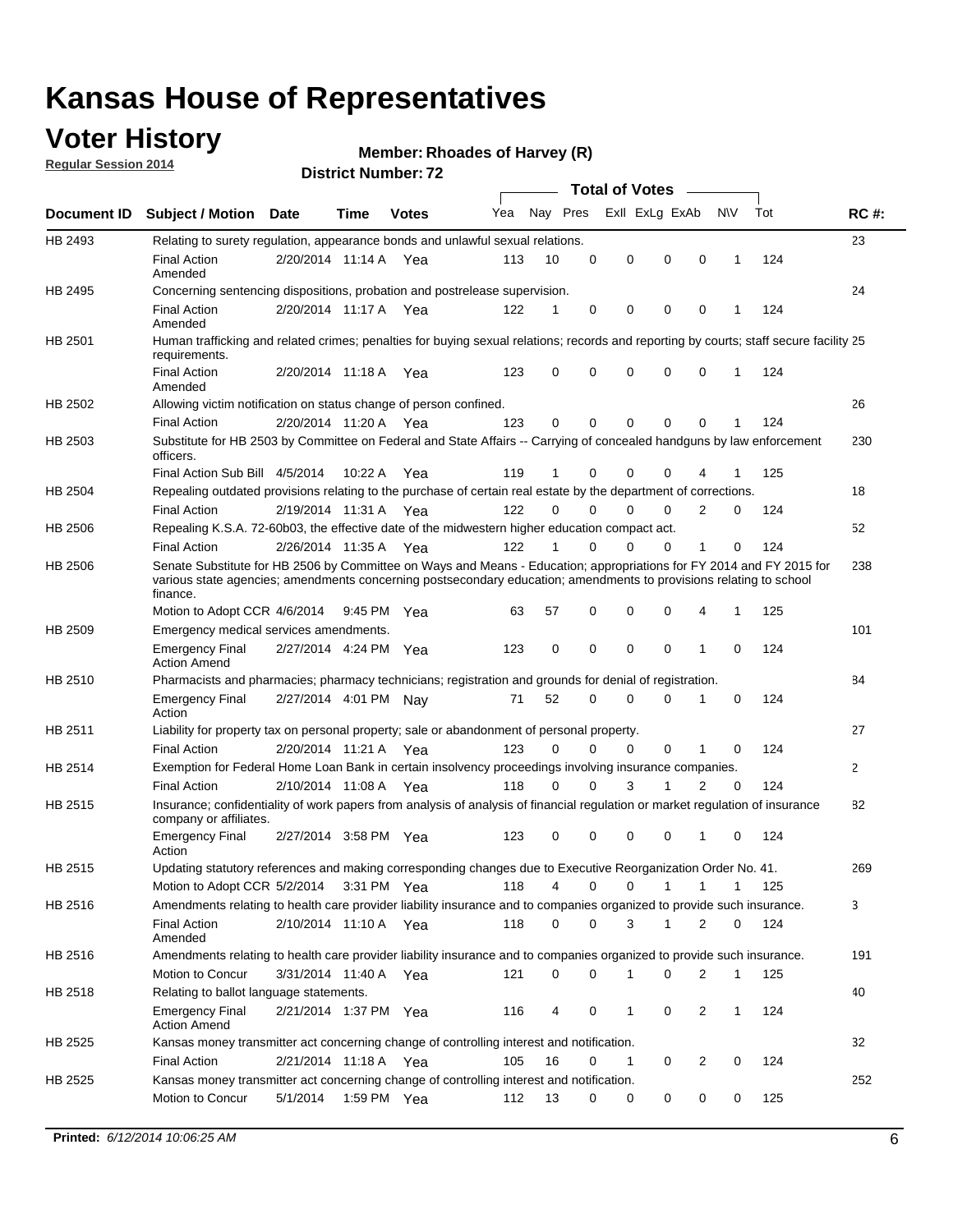### **Voter History**

**Regular Session 2014**

#### **Member: Rhoades of Harvey (R)**

|             |                                                                                                                                                                                                                                                        |                       |             | DISTICI NUITIDEL 72 |     |          |          | Total of Votes –            |                |              |     |              |
|-------------|--------------------------------------------------------------------------------------------------------------------------------------------------------------------------------------------------------------------------------------------------------|-----------------------|-------------|---------------------|-----|----------|----------|-----------------------------|----------------|--------------|-----|--------------|
| Document ID | <b>Subject / Motion Date</b>                                                                                                                                                                                                                           |                       | <b>Time</b> | <b>Votes</b>        | Yea | Nay Pres |          | Exll ExLg ExAb              |                | N\V          | Tot | <b>RC#:</b>  |
| HB 2493     | Relating to surety regulation, appearance bonds and unlawful sexual relations.                                                                                                                                                                         |                       |             |                     |     |          |          |                             |                |              |     | 23           |
|             | <b>Final Action</b><br>Amended                                                                                                                                                                                                                         | 2/20/2014 11:14 A Yea |             |                     | 113 | 10       | 0        | 0<br>$\mathbf 0$            | $\mathbf 0$    | $\mathbf 1$  | 124 |              |
| HB 2495     | Concerning sentencing dispositions, probation and postrelease supervision.                                                                                                                                                                             |                       |             |                     |     |          |          |                             |                |              |     | 24           |
|             | <b>Final Action</b><br>Amended                                                                                                                                                                                                                         | 2/20/2014 11:17 A     |             | Yea                 | 122 | 1        | 0        | 0<br>0                      | $\mathbf 0$    | 1            | 124 |              |
| HB 2501     | Human trafficking and related crimes; penalties for buying sexual relations; records and reporting by courts; staff secure facility 25<br>requirements.                                                                                                |                       |             |                     |     |          |          |                             |                |              |     |              |
|             | <b>Final Action</b><br>Amended                                                                                                                                                                                                                         | 2/20/2014 11:18 A Yea |             |                     | 123 | 0        | 0        | 0<br>0                      | $\mathbf 0$    | 1            | 124 |              |
| HB 2502     | Allowing victim notification on status change of person confined.                                                                                                                                                                                      |                       |             |                     |     |          |          |                             |                |              |     | 26           |
|             | <b>Final Action</b>                                                                                                                                                                                                                                    | 2/20/2014 11:20 A Yea |             |                     | 123 | 0        | 0        | 0<br>0                      | $\mathbf 0$    |              | 124 |              |
| HB 2503     | Substitute for HB 2503 by Committee on Federal and State Affairs -- Carrying of concealed handguns by law enforcement<br>officers.                                                                                                                     |                       |             |                     |     |          |          |                             |                |              |     | 230          |
|             | Final Action Sub Bill 4/5/2014                                                                                                                                                                                                                         |                       | 10:22A      | Yea                 | 119 | 1        | 0        | 0<br>0                      |                |              | 125 |              |
| HB 2504     | Repealing outdated provisions relating to the purchase of certain real estate by the department of corrections.                                                                                                                                        |                       |             |                     |     |          |          |                             |                |              |     | 18           |
|             | <b>Final Action</b>                                                                                                                                                                                                                                    | 2/19/2014 11:31 A     |             | Yea                 | 122 | $\Omega$ | 0        | 0<br>0                      | 2              | 0            | 124 |              |
| HB 2506     | Repealing K.S.A. 72-60b03, the effective date of the midwestern higher education compact act.                                                                                                                                                          |                       |             |                     |     |          |          |                             |                |              |     | 52           |
|             | <b>Final Action</b>                                                                                                                                                                                                                                    | 2/26/2014 11:35 A Yea |             |                     | 122 | 1        | 0        | 0<br>0                      | 1              | 0            | 124 |              |
| HB 2506     | Senate Substitute for HB 2506 by Committee on Ways and Means - Education; appropriations for FY 2014 and FY 2015 for<br>various state agencies; amendments concerning postsecondary education; amendments to provisions relating to school<br>finance. |                       |             |                     |     |          |          |                             |                |              |     | 238          |
|             | Motion to Adopt CCR 4/6/2014                                                                                                                                                                                                                           |                       | 9:45 PM Yea |                     | 63  | 57       | 0        | 0<br>0                      | 4              | $\mathbf 1$  | 125 |              |
| HB 2509     | Emergency medical services amendments.                                                                                                                                                                                                                 |                       |             |                     |     |          |          |                             |                |              |     | 101          |
|             | <b>Emergency Final</b><br><b>Action Amend</b>                                                                                                                                                                                                          | 2/27/2014 4:24 PM Yea |             |                     | 123 | 0        | $\Omega$ | $\mathbf 0$<br>$\mathbf{0}$ | $\mathbf 1$    | $\Omega$     | 124 |              |
| HB 2510     | Pharmacists and pharmacies; pharmacy technicians; registration and grounds for denial of registration.                                                                                                                                                 |                       |             |                     |     |          |          |                             |                |              |     | 84           |
|             | <b>Emergency Final</b><br>Action                                                                                                                                                                                                                       | 2/27/2014 4:01 PM Nay |             |                     | 71  | 52       | 0        | 0<br>0                      | 1              | 0            | 124 |              |
| HB 2511     | Liability for property tax on personal property; sale or abandonment of personal property.                                                                                                                                                             |                       |             |                     |     |          |          |                             |                |              |     | 27           |
|             | <b>Final Action</b>                                                                                                                                                                                                                                    | 2/20/2014 11:21 A     |             | Yea                 | 123 | 0        | 0        | 0<br>0                      | 1              | 0            | 124 |              |
| HB 2514     | Exemption for Federal Home Loan Bank in certain insolvency proceedings involving insurance companies.                                                                                                                                                  |                       |             |                     |     |          |          |                             |                |              |     | $\mathbf{2}$ |
|             | <b>Final Action</b>                                                                                                                                                                                                                                    | 2/10/2014 11:08 A     |             | Yea                 | 118 | 0        | $\Omega$ | 3<br>1                      | $\overline{2}$ | $\mathbf 0$  | 124 |              |
| HB 2515     | Insurance; confidentiality of work papers from analysis of analysis of financial regulation or market regulation of insurance<br>company or affiliates.                                                                                                |                       |             |                     |     |          |          |                             |                |              |     | 82           |
|             | <b>Emergency Final</b><br>Action                                                                                                                                                                                                                       | 2/27/2014 3:58 PM Yea |             |                     | 123 | 0        | 0        | 0<br>0                      | -1             | 0            | 124 |              |
| HB 2515     | Updating statutory references and making corresponding changes due to Executive Reorganization Order No. 41.                                                                                                                                           |                       |             |                     |     |          |          |                             |                |              |     | 269          |
|             | Motion to Adopt CCR 5/2/2014 3:31 PM Yea                                                                                                                                                                                                               |                       |             |                     | 118 | 4        | 0        | 0<br>1                      | 1              | 1            | 125 |              |
| HB 2516     | Amendments relating to health care provider liability insurance and to companies organized to provide such insurance.                                                                                                                                  |                       |             |                     |     |          |          |                             |                |              |     | 3            |
|             | <b>Final Action</b><br>Amended                                                                                                                                                                                                                         | 2/10/2014 11:10 A Yea |             |                     | 118 | 0        | 0        | 3<br>1                      | 2              | 0            | 124 |              |
| HB 2516     | Amendments relating to health care provider liability insurance and to companies organized to provide such insurance.                                                                                                                                  |                       |             |                     |     |          |          |                             |                |              |     | 191          |
|             | <b>Motion to Concur</b>                                                                                                                                                                                                                                | 3/31/2014 11:40 A Yea |             |                     | 121 | 0        | 0        | 1<br>0                      | 2              | $\mathbf{1}$ | 125 |              |
| HB 2518     | Relating to ballot language statements.                                                                                                                                                                                                                |                       |             |                     |     |          |          |                             |                |              |     | 40           |
|             | <b>Emergency Final</b><br><b>Action Amend</b>                                                                                                                                                                                                          | 2/21/2014 1:37 PM Yea |             |                     | 116 | 4        | 0        | 1<br>0                      | 2              | $\mathbf{1}$ | 124 |              |
| HB 2525     | Kansas money transmitter act concerning change of controlling interest and notification.                                                                                                                                                               |                       |             |                     |     |          |          |                             |                |              |     | 32           |
|             | <b>Final Action</b>                                                                                                                                                                                                                                    | 2/21/2014 11:18 A Yea |             |                     | 105 | 16       | 0        | 1<br>0                      | 2              | 0            | 124 |              |
| HB 2525     | Kansas money transmitter act concerning change of controlling interest and notification.                                                                                                                                                               |                       |             |                     |     |          |          |                             |                |              |     | 252          |
|             | Motion to Concur                                                                                                                                                                                                                                       | 5/1/2014              | 1:59 PM Yea |                     | 112 | 13       | 0        | 0<br>0                      | 0              | 0            | 125 |              |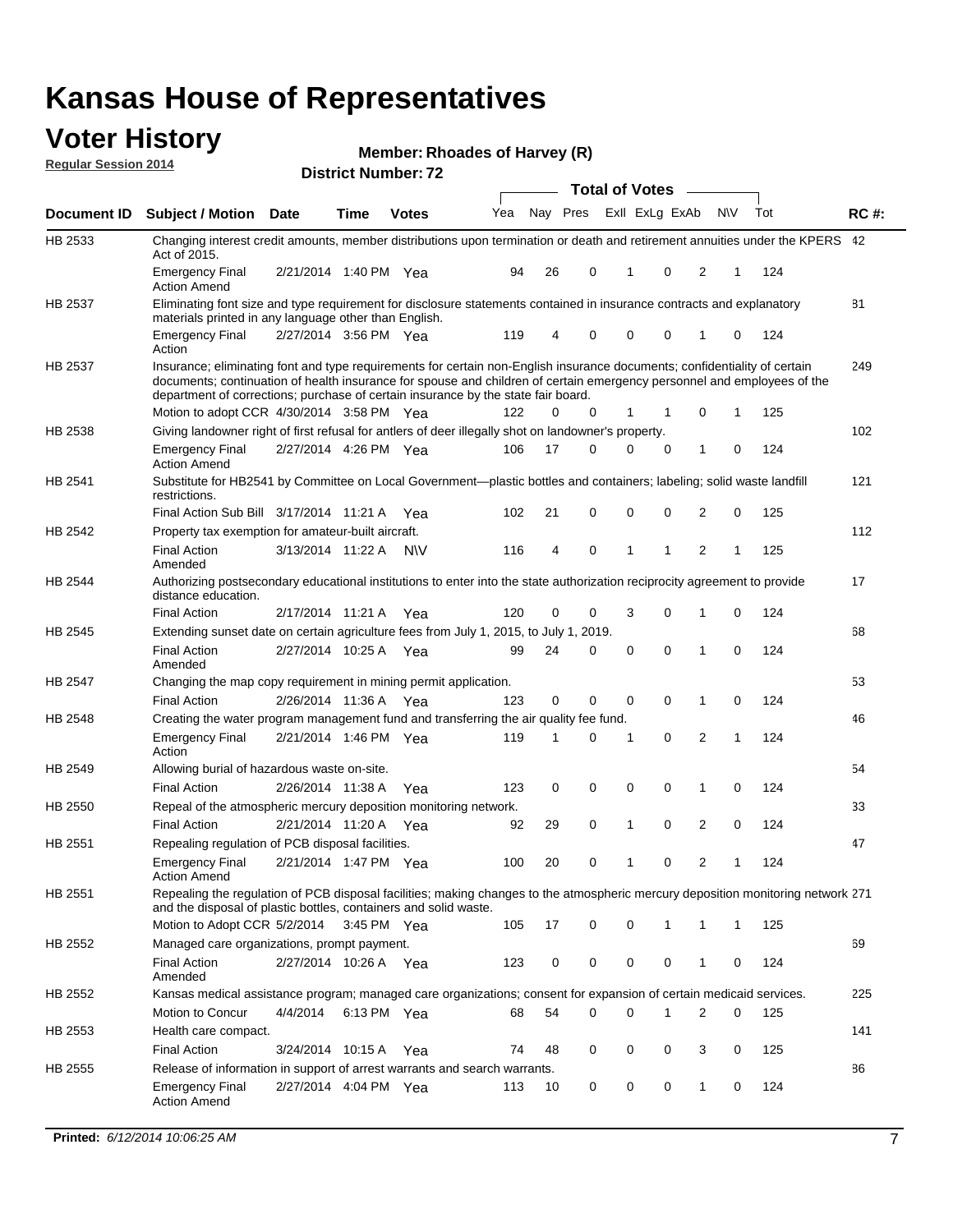#### **Voter History Regular Session 2014**

|  | Member: Rhoades of Harvey (R) |  |  |
|--|-------------------------------|--|--|
|--|-------------------------------|--|--|

|             |                                                                                                                                                                                                                                                                                                                                                                                        |                       | ul Ituliinui . |              |     |    |                         | <b>Total of Votes</b> |          |              |              |     |             |
|-------------|----------------------------------------------------------------------------------------------------------------------------------------------------------------------------------------------------------------------------------------------------------------------------------------------------------------------------------------------------------------------------------------|-----------------------|----------------|--------------|-----|----|-------------------------|-----------------------|----------|--------------|--------------|-----|-------------|
| Document ID | <b>Subject / Motion Date</b>                                                                                                                                                                                                                                                                                                                                                           |                       | <b>Time</b>    | <b>Votes</b> | Yea |    | Nay Pres Exll ExLg ExAb |                       |          | <b>NV</b>    |              | Tot | <b>RC#:</b> |
| HB 2533     | Changing interest credit amounts, member distributions upon termination or death and retirement annuities under the KPERS 42<br>Act of 2015.                                                                                                                                                                                                                                           |                       |                |              |     |    |                         |                       |          |              |              |     |             |
|             | <b>Emergency Final</b><br><b>Action Amend</b>                                                                                                                                                                                                                                                                                                                                          | 2/21/2014 1:40 PM Yea |                |              | 94  | 26 | 0                       | 1                     | 0        | 2            | 1            | 124 |             |
| HB 2537     | Eliminating font size and type requirement for disclosure statements contained in insurance contracts and explanatory<br>materials printed in any language other than English.                                                                                                                                                                                                         |                       |                |              |     |    |                         |                       |          |              |              |     | 81          |
|             | <b>Emergency Final</b><br>Action                                                                                                                                                                                                                                                                                                                                                       | 2/27/2014 3:56 PM Yea |                |              | 119 | 4  | 0                       | 0                     | 0        | 1            | 0            | 124 |             |
| HB 2537     | Insurance; eliminating font and type requirements for certain non-English insurance documents; confidentiality of certain<br>documents; continuation of health insurance for spouse and children of certain emergency personnel and employees of the<br>department of corrections; purchase of certain insurance by the state fair board.<br>Motion to adopt CCR 4/30/2014 3:58 PM Yea |                       |                |              | 122 | 0  | 0                       | 1                     |          | 0            | 1            | 125 | 249         |
| HB 2538     | Giving landowner right of first refusal for antlers of deer illegally shot on landowner's property.                                                                                                                                                                                                                                                                                    |                       |                |              |     |    |                         |                       |          |              |              |     | 102         |
|             | <b>Emergency Final</b><br><b>Action Amend</b>                                                                                                                                                                                                                                                                                                                                          | 2/27/2014 4:26 PM Yea |                |              | 106 | 17 | 0                       | 0                     | 0        | 1            | 0            | 124 |             |
| HB 2541     | Substitute for HB2541 by Committee on Local Government—plastic bottles and containers; labeling; solid waste landfill<br>restrictions.                                                                                                                                                                                                                                                 |                       |                |              |     |    |                         |                       |          |              |              |     | 121         |
|             | Final Action Sub Bill 3/17/2014 11:21 A Yea                                                                                                                                                                                                                                                                                                                                            |                       |                |              | 102 | 21 | 0                       | $\mathbf 0$           | 0        | 2            | 0            | 125 |             |
| HB 2542     | Property tax exemption for amateur-built aircraft.                                                                                                                                                                                                                                                                                                                                     |                       |                |              |     |    |                         |                       |          |              |              |     | 112         |
|             | <b>Final Action</b><br>Amended                                                                                                                                                                                                                                                                                                                                                         | 3/13/2014 11:22 A     |                | <b>NV</b>    | 116 | 4  | 0                       | 1                     | 1        | 2            | 1            | 125 |             |
| HB 2544     | Authorizing postsecondary educational institutions to enter into the state authorization reciprocity agreement to provide<br>distance education.                                                                                                                                                                                                                                       |                       |                |              |     |    |                         |                       |          |              |              |     | 17          |
|             | <b>Final Action</b>                                                                                                                                                                                                                                                                                                                                                                    | 2/17/2014 11:21 A Yea |                |              | 120 | 0  | 0                       | 3                     | 0        | 1            | 0            | 124 |             |
| HB 2545     | Extending sunset date on certain agriculture fees from July 1, 2015, to July 1, 2019.                                                                                                                                                                                                                                                                                                  |                       |                |              |     |    |                         |                       |          |              |              |     | 68          |
|             | <b>Final Action</b><br>Amended                                                                                                                                                                                                                                                                                                                                                         | 2/27/2014 10:25 A Yea |                |              | 99  | 24 | 0                       | $\mathbf 0$           | $\Omega$ | 1            | $\Omega$     | 124 |             |
| HB 2547     | Changing the map copy requirement in mining permit application.                                                                                                                                                                                                                                                                                                                        |                       |                |              |     |    |                         |                       |          |              |              |     | 53          |
|             | <b>Final Action</b>                                                                                                                                                                                                                                                                                                                                                                    | 2/26/2014 11:36 A     |                | Yea          | 123 | 0  | 0                       | 0                     | 0        | 1            | 0            | 124 |             |
| HB 2548     | Creating the water program management fund and transferring the air quality fee fund.                                                                                                                                                                                                                                                                                                  |                       |                |              |     |    |                         |                       |          |              |              |     | 46          |
|             | <b>Emergency Final</b><br>Action                                                                                                                                                                                                                                                                                                                                                       | 2/21/2014 1:46 PM Yea |                |              | 119 | 1  | 0                       | 1                     | 0        | 2            | 1            | 124 |             |
| HB 2549     | Allowing burial of hazardous waste on-site.                                                                                                                                                                                                                                                                                                                                            |                       |                |              |     |    |                         |                       |          |              |              |     | 54          |
|             | <b>Final Action</b>                                                                                                                                                                                                                                                                                                                                                                    | 2/26/2014 11:38 A     |                | Yea          | 123 | 0  | 0                       | 0                     | 0        | 1            | 0            | 124 |             |
| HB 2550     | Repeal of the atmospheric mercury deposition monitoring network.                                                                                                                                                                                                                                                                                                                       |                       |                |              |     |    |                         |                       |          |              |              |     | 33          |
|             | <b>Final Action</b>                                                                                                                                                                                                                                                                                                                                                                    | 2/21/2014 11:20 A     |                | Yea          | 92  | 29 | 0                       | 1                     | 0        | 2            | 0            | 124 |             |
| HB 2551     | Repealing regulation of PCB disposal facilities.                                                                                                                                                                                                                                                                                                                                       |                       |                |              |     |    |                         |                       |          |              |              |     | 47          |
|             | <b>Emergency Final</b><br>Action Amend                                                                                                                                                                                                                                                                                                                                                 | 2/21/2014 1:47 PM Yea |                |              | 100 | 20 | 0                       | 1                     | 0        | 2            | 1            | 124 |             |
| HB 2551     | Repealing the regulation of PCB disposal facilities; making changes to the atmospheric mercury deposition monitoring network 271<br>and the disposal of plastic bottles, containers and solid waste.                                                                                                                                                                                   |                       |                |              |     |    |                         |                       |          |              |              |     |             |
|             | Motion to Adopt CCR 5/2/2014                                                                                                                                                                                                                                                                                                                                                           |                       | 3:45 PM Yea    |              | 105 | 17 | 0                       | 0                     | 1        | 1            | $\mathbf{1}$ | 125 |             |
| HB 2552     | Managed care organizations, prompt payment.                                                                                                                                                                                                                                                                                                                                            |                       |                |              |     |    |                         |                       |          |              |              |     | 69          |
|             | <b>Final Action</b><br>Amended                                                                                                                                                                                                                                                                                                                                                         | 2/27/2014 10:26 A Yea |                |              | 123 | 0  | 0                       | 0                     | 0        | 1            | 0            | 124 |             |
| HB 2552     | Kansas medical assistance program; managed care organizations; consent for expansion of certain medicaid services.                                                                                                                                                                                                                                                                     |                       |                |              |     |    |                         |                       |          |              |              |     | 225         |
|             | Motion to Concur                                                                                                                                                                                                                                                                                                                                                                       | 4/4/2014              | 6:13 PM Yea    |              | 68  | 54 | 0                       | $\mathbf 0$           | 1        | 2            | 0            | 125 |             |
| HB 2553     | Health care compact.                                                                                                                                                                                                                                                                                                                                                                   |                       |                |              |     |    |                         |                       |          |              |              |     | 141         |
|             | <b>Final Action</b>                                                                                                                                                                                                                                                                                                                                                                    | 3/24/2014 10:15 A     |                | Yea          | 74  | 48 | 0                       | 0                     | 0        | 3            | 0            | 125 |             |
| HB 2555     | Release of information in support of arrest warrants and search warrants.                                                                                                                                                                                                                                                                                                              |                       |                |              |     |    |                         |                       |          |              |              |     | 86          |
|             | <b>Emergency Final</b><br><b>Action Amend</b>                                                                                                                                                                                                                                                                                                                                          | 2/27/2014 4:04 PM Yea |                |              | 113 | 10 | 0                       | 0                     | 0        | $\mathbf{1}$ | 0            | 124 |             |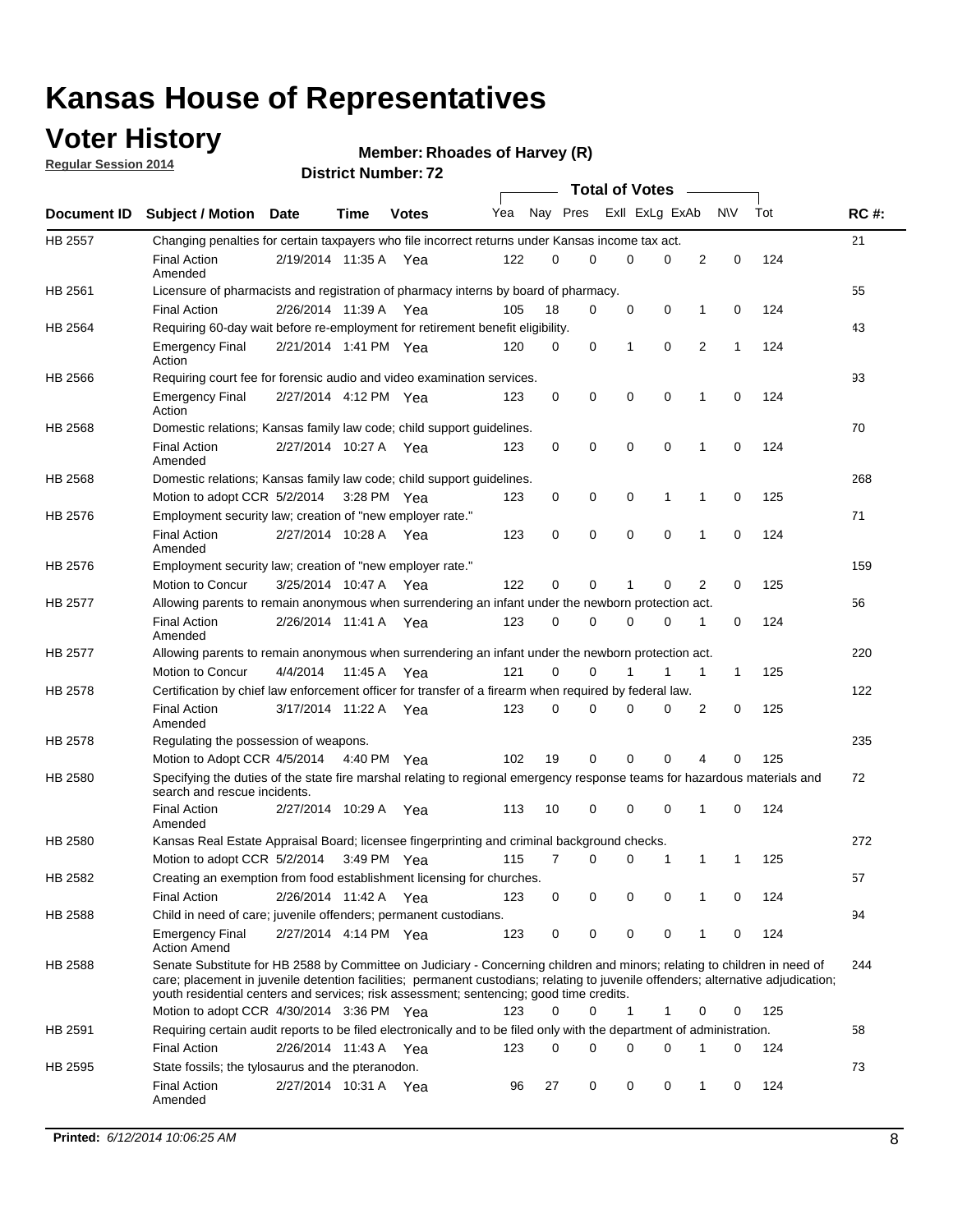### **Voter History**

**Regular Session 2014**

#### **Member: Rhoades of Harvey (R)**

|                                                                                                                                                                                                                                                                                                                                                                                                                                                                                                                                                                                                                                                                                                                                                                                                                                                                                                                                                                                                                                                                                                                                                                                                                                                                                                                                                                                                                                                                                                                                                                                                                                                                                                                                                                                                                                                                                                                                                                                                                                                                                                                                                                                                                                                                                                                                                                                                                                                                                                                                                                                                                                                                                                                                                                                                                                                                                                                                                                                                                                                                                                                                                                                                                                                                                                                                                                                                                                                                                                                                                                                                |                                                                                                                        | Date                  | Time | <b>Votes</b> | Yea |    |   |   |   |   | <b>NV</b> | Tot | <b>RC#:</b> |
|------------------------------------------------------------------------------------------------------------------------------------------------------------------------------------------------------------------------------------------------------------------------------------------------------------------------------------------------------------------------------------------------------------------------------------------------------------------------------------------------------------------------------------------------------------------------------------------------------------------------------------------------------------------------------------------------------------------------------------------------------------------------------------------------------------------------------------------------------------------------------------------------------------------------------------------------------------------------------------------------------------------------------------------------------------------------------------------------------------------------------------------------------------------------------------------------------------------------------------------------------------------------------------------------------------------------------------------------------------------------------------------------------------------------------------------------------------------------------------------------------------------------------------------------------------------------------------------------------------------------------------------------------------------------------------------------------------------------------------------------------------------------------------------------------------------------------------------------------------------------------------------------------------------------------------------------------------------------------------------------------------------------------------------------------------------------------------------------------------------------------------------------------------------------------------------------------------------------------------------------------------------------------------------------------------------------------------------------------------------------------------------------------------------------------------------------------------------------------------------------------------------------------------------------------------------------------------------------------------------------------------------------------------------------------------------------------------------------------------------------------------------------------------------------------------------------------------------------------------------------------------------------------------------------------------------------------------------------------------------------------------------------------------------------------------------------------------------------------------------------------------------------------------------------------------------------------------------------------------------------------------------------------------------------------------------------------------------------------------------------------------------------------------------------------------------------------------------------------------------------------------------------------------------------------------------------------------------------|------------------------------------------------------------------------------------------------------------------------|-----------------------|------|--------------|-----|----|---|---|---|---|-----------|-----|-------------|
| HB 2557                                                                                                                                                                                                                                                                                                                                                                                                                                                                                                                                                                                                                                                                                                                                                                                                                                                                                                                                                                                                                                                                                                                                                                                                                                                                                                                                                                                                                                                                                                                                                                                                                                                                                                                                                                                                                                                                                                                                                                                                                                                                                                                                                                                                                                                                                                                                                                                                                                                                                                                                                                                                                                                                                                                                                                                                                                                                                                                                                                                                                                                                                                                                                                                                                                                                                                                                                                                                                                                                                                                                                                                        |                                                                                                                        |                       |      |              |     |    |   |   |   |   |           |     | 21          |
|                                                                                                                                                                                                                                                                                                                                                                                                                                                                                                                                                                                                                                                                                                                                                                                                                                                                                                                                                                                                                                                                                                                                                                                                                                                                                                                                                                                                                                                                                                                                                                                                                                                                                                                                                                                                                                                                                                                                                                                                                                                                                                                                                                                                                                                                                                                                                                                                                                                                                                                                                                                                                                                                                                                                                                                                                                                                                                                                                                                                                                                                                                                                                                                                                                                                                                                                                                                                                                                                                                                                                                                                | <b>Final Action</b><br>Amended                                                                                         |                       |      | Yea          | 122 |    | 0 | 0 | 0 | 2 | 0         | 124 |             |
| <b>Total of Votes</b><br>Nay Pres<br>Exll ExLg ExAb<br>Document ID Subject / Motion<br>Changing penalties for certain taxpayers who file incorrect returns under Kansas income tax act.<br>2/19/2014 11:35 A<br>0<br>HB 2561<br>Licensure of pharmacists and registration of pharmacy interns by board of pharmacy.<br>2/26/2014 11:39 A Yea<br>105<br>18<br>0<br>0<br>0<br>124<br><b>Final Action</b><br>0<br>1<br>Requiring 60-day wait before re-employment for retirement benefit eligibility.<br>0<br>0<br>2<br>124<br><b>Emergency Final</b><br>2/21/2014 1:41 PM Yea<br>120<br>0<br>1<br>1<br>Action<br>Requiring court fee for forensic audio and video examination services.<br>0<br>0<br>0<br>0<br>$\mathbf 0$<br>124<br>123<br>1<br><b>Emergency Final</b><br>2/27/2014 4:12 PM Yea<br>Action<br>Domestic relations; Kansas family law code; child support guidelines.<br><b>Final Action</b><br>2/27/2014 10:27 A<br>0<br>0<br>0<br>0<br>1<br>0<br>124<br>123<br>Yea<br>Amended<br>Domestic relations; Kansas family law code; child support guidelines.<br>Motion to adopt CCR 5/2/2014 3:28 PM Yea<br>0<br>0<br>0<br>$\mathbf 0$<br>125<br>123<br>1<br>1<br>Employment security law; creation of "new employer rate."<br>2/27/2014 10:28 A<br>123<br>0<br>0<br>0<br>0<br>1<br>$\mathbf 0$<br>124<br><b>Final Action</b><br>Yea<br>Amended<br>Employment security law; creation of "new employer rate."<br>122<br>0<br>0<br>0<br>2<br>0<br>125<br>Motion to Concur<br>3/25/2014 10:47 A<br>Yea<br>1<br>Allowing parents to remain anonymous when surrendering an infant under the newborn protection act.<br>0<br>0<br>124<br><b>Final Action</b><br>2/26/2014 11:41 A Yea<br>123<br>$\Omega$<br>0<br>1<br>0<br>Amended<br>Allowing parents to remain anonymous when surrendering an infant under the newborn protection act.<br>Motion to Concur<br>4/4/2014<br>121<br>0<br>0<br>1<br>1<br>125<br>11:45 A<br>Yea<br>1<br>Certification by chief law enforcement officer for transfer of a firearm when required by federal law.<br><b>Final Action</b><br>3/17/2014 11:22 A<br>$\Omega$<br>0<br>0<br>2<br>0<br>125<br>123<br>0<br>Yea<br>Amended<br>Regulating the possession of weapons.<br>19<br>0<br>0<br>$\Omega$<br>125<br>Motion to Adopt CCR 4/5/2014 4:40 PM Yea<br>102<br>4<br>0<br>Specifying the duties of the state fire marshal relating to regional emergency response teams for hazardous materials and<br>search and rescue incidents.<br><b>Final Action</b><br>2/27/2014 10:29 A<br>10<br>0<br>0<br>0<br>0<br>124<br>113<br>1<br>Yea<br>Amended<br>Kansas Real Estate Appraisal Board; licensee fingerprinting and criminal background checks.<br>Motion to adopt CCR 5/2/2014<br>3:49 PM Yea<br>115<br>7<br>0<br>0<br>1<br>1<br>125<br>1<br>Creating an exemption from food establishment licensing for churches.<br><b>Final Action</b><br>2/26/2014 11:42 A Yea<br>123<br>0<br>0<br>0<br>0<br>0<br>124<br>1<br>Child in need of care; juvenile offenders; permanent custodians.<br>2/27/2014 4:14 PM Yea<br>0<br>0<br>124<br><b>Emergency Final</b><br>123<br>0<br>0<br>1<br>0<br><b>Action Amend</b><br>Senate Substitute for HB 2588 by Committee on Judiciary - Concerning children and minors; relating to children in need of<br>care; placement in juvenile detention facilities; permanent custodians; relating to juvenile offenders; alternative adjudication;<br>youth residential centers and services; risk assessment; sentencing; good time credits.<br>Motion to adopt CCR 4/30/2014 3:36 PM Yea<br>123<br>0<br>0<br>1<br>125<br>1<br>0<br>0 | 55                                                                                                                     |                       |      |              |     |    |   |   |   |   |           |     |             |
|                                                                                                                                                                                                                                                                                                                                                                                                                                                                                                                                                                                                                                                                                                                                                                                                                                                                                                                                                                                                                                                                                                                                                                                                                                                                                                                                                                                                                                                                                                                                                                                                                                                                                                                                                                                                                                                                                                                                                                                                                                                                                                                                                                                                                                                                                                                                                                                                                                                                                                                                                                                                                                                                                                                                                                                                                                                                                                                                                                                                                                                                                                                                                                                                                                                                                                                                                                                                                                                                                                                                                                                                |                                                                                                                        |                       |      |              |     |    |   |   |   |   |           |     |             |
| HB 2564                                                                                                                                                                                                                                                                                                                                                                                                                                                                                                                                                                                                                                                                                                                                                                                                                                                                                                                                                                                                                                                                                                                                                                                                                                                                                                                                                                                                                                                                                                                                                                                                                                                                                                                                                                                                                                                                                                                                                                                                                                                                                                                                                                                                                                                                                                                                                                                                                                                                                                                                                                                                                                                                                                                                                                                                                                                                                                                                                                                                                                                                                                                                                                                                                                                                                                                                                                                                                                                                                                                                                                                        |                                                                                                                        |                       |      |              |     |    |   |   |   |   |           |     | 43          |
|                                                                                                                                                                                                                                                                                                                                                                                                                                                                                                                                                                                                                                                                                                                                                                                                                                                                                                                                                                                                                                                                                                                                                                                                                                                                                                                                                                                                                                                                                                                                                                                                                                                                                                                                                                                                                                                                                                                                                                                                                                                                                                                                                                                                                                                                                                                                                                                                                                                                                                                                                                                                                                                                                                                                                                                                                                                                                                                                                                                                                                                                                                                                                                                                                                                                                                                                                                                                                                                                                                                                                                                                |                                                                                                                        |                       |      |              |     |    |   |   |   |   |           |     |             |
| HB 2566                                                                                                                                                                                                                                                                                                                                                                                                                                                                                                                                                                                                                                                                                                                                                                                                                                                                                                                                                                                                                                                                                                                                                                                                                                                                                                                                                                                                                                                                                                                                                                                                                                                                                                                                                                                                                                                                                                                                                                                                                                                                                                                                                                                                                                                                                                                                                                                                                                                                                                                                                                                                                                                                                                                                                                                                                                                                                                                                                                                                                                                                                                                                                                                                                                                                                                                                                                                                                                                                                                                                                                                        |                                                                                                                        |                       |      |              |     |    |   |   |   |   |           |     | 93          |
|                                                                                                                                                                                                                                                                                                                                                                                                                                                                                                                                                                                                                                                                                                                                                                                                                                                                                                                                                                                                                                                                                                                                                                                                                                                                                                                                                                                                                                                                                                                                                                                                                                                                                                                                                                                                                                                                                                                                                                                                                                                                                                                                                                                                                                                                                                                                                                                                                                                                                                                                                                                                                                                                                                                                                                                                                                                                                                                                                                                                                                                                                                                                                                                                                                                                                                                                                                                                                                                                                                                                                                                                |                                                                                                                        |                       |      |              |     |    |   |   |   |   |           |     |             |
| HB 2568                                                                                                                                                                                                                                                                                                                                                                                                                                                                                                                                                                                                                                                                                                                                                                                                                                                                                                                                                                                                                                                                                                                                                                                                                                                                                                                                                                                                                                                                                                                                                                                                                                                                                                                                                                                                                                                                                                                                                                                                                                                                                                                                                                                                                                                                                                                                                                                                                                                                                                                                                                                                                                                                                                                                                                                                                                                                                                                                                                                                                                                                                                                                                                                                                                                                                                                                                                                                                                                                                                                                                                                        |                                                                                                                        |                       |      |              |     |    |   |   |   |   |           |     | 70          |
|                                                                                                                                                                                                                                                                                                                                                                                                                                                                                                                                                                                                                                                                                                                                                                                                                                                                                                                                                                                                                                                                                                                                                                                                                                                                                                                                                                                                                                                                                                                                                                                                                                                                                                                                                                                                                                                                                                                                                                                                                                                                                                                                                                                                                                                                                                                                                                                                                                                                                                                                                                                                                                                                                                                                                                                                                                                                                                                                                                                                                                                                                                                                                                                                                                                                                                                                                                                                                                                                                                                                                                                                |                                                                                                                        |                       |      |              |     |    |   |   |   |   |           |     |             |
| HB 2568                                                                                                                                                                                                                                                                                                                                                                                                                                                                                                                                                                                                                                                                                                                                                                                                                                                                                                                                                                                                                                                                                                                                                                                                                                                                                                                                                                                                                                                                                                                                                                                                                                                                                                                                                                                                                                                                                                                                                                                                                                                                                                                                                                                                                                                                                                                                                                                                                                                                                                                                                                                                                                                                                                                                                                                                                                                                                                                                                                                                                                                                                                                                                                                                                                                                                                                                                                                                                                                                                                                                                                                        |                                                                                                                        |                       |      |              |     |    |   |   |   |   |           |     | 268         |
|                                                                                                                                                                                                                                                                                                                                                                                                                                                                                                                                                                                                                                                                                                                                                                                                                                                                                                                                                                                                                                                                                                                                                                                                                                                                                                                                                                                                                                                                                                                                                                                                                                                                                                                                                                                                                                                                                                                                                                                                                                                                                                                                                                                                                                                                                                                                                                                                                                                                                                                                                                                                                                                                                                                                                                                                                                                                                                                                                                                                                                                                                                                                                                                                                                                                                                                                                                                                                                                                                                                                                                                                |                                                                                                                        |                       |      |              |     |    |   |   |   |   |           |     |             |
| HB 2576                                                                                                                                                                                                                                                                                                                                                                                                                                                                                                                                                                                                                                                                                                                                                                                                                                                                                                                                                                                                                                                                                                                                                                                                                                                                                                                                                                                                                                                                                                                                                                                                                                                                                                                                                                                                                                                                                                                                                                                                                                                                                                                                                                                                                                                                                                                                                                                                                                                                                                                                                                                                                                                                                                                                                                                                                                                                                                                                                                                                                                                                                                                                                                                                                                                                                                                                                                                                                                                                                                                                                                                        |                                                                                                                        |                       |      |              |     |    |   |   |   |   |           |     | 71          |
|                                                                                                                                                                                                                                                                                                                                                                                                                                                                                                                                                                                                                                                                                                                                                                                                                                                                                                                                                                                                                                                                                                                                                                                                                                                                                                                                                                                                                                                                                                                                                                                                                                                                                                                                                                                                                                                                                                                                                                                                                                                                                                                                                                                                                                                                                                                                                                                                                                                                                                                                                                                                                                                                                                                                                                                                                                                                                                                                                                                                                                                                                                                                                                                                                                                                                                                                                                                                                                                                                                                                                                                                |                                                                                                                        |                       |      |              |     |    |   |   |   |   |           |     |             |
| HB 2576                                                                                                                                                                                                                                                                                                                                                                                                                                                                                                                                                                                                                                                                                                                                                                                                                                                                                                                                                                                                                                                                                                                                                                                                                                                                                                                                                                                                                                                                                                                                                                                                                                                                                                                                                                                                                                                                                                                                                                                                                                                                                                                                                                                                                                                                                                                                                                                                                                                                                                                                                                                                                                                                                                                                                                                                                                                                                                                                                                                                                                                                                                                                                                                                                                                                                                                                                                                                                                                                                                                                                                                        |                                                                                                                        |                       |      |              |     |    |   |   |   |   |           |     | 159         |
|                                                                                                                                                                                                                                                                                                                                                                                                                                                                                                                                                                                                                                                                                                                                                                                                                                                                                                                                                                                                                                                                                                                                                                                                                                                                                                                                                                                                                                                                                                                                                                                                                                                                                                                                                                                                                                                                                                                                                                                                                                                                                                                                                                                                                                                                                                                                                                                                                                                                                                                                                                                                                                                                                                                                                                                                                                                                                                                                                                                                                                                                                                                                                                                                                                                                                                                                                                                                                                                                                                                                                                                                |                                                                                                                        |                       |      |              |     |    |   |   |   |   |           |     |             |
| HB 2577                                                                                                                                                                                                                                                                                                                                                                                                                                                                                                                                                                                                                                                                                                                                                                                                                                                                                                                                                                                                                                                                                                                                                                                                                                                                                                                                                                                                                                                                                                                                                                                                                                                                                                                                                                                                                                                                                                                                                                                                                                                                                                                                                                                                                                                                                                                                                                                                                                                                                                                                                                                                                                                                                                                                                                                                                                                                                                                                                                                                                                                                                                                                                                                                                                                                                                                                                                                                                                                                                                                                                                                        |                                                                                                                        |                       |      |              |     |    |   |   |   |   |           |     | 56          |
|                                                                                                                                                                                                                                                                                                                                                                                                                                                                                                                                                                                                                                                                                                                                                                                                                                                                                                                                                                                                                                                                                                                                                                                                                                                                                                                                                                                                                                                                                                                                                                                                                                                                                                                                                                                                                                                                                                                                                                                                                                                                                                                                                                                                                                                                                                                                                                                                                                                                                                                                                                                                                                                                                                                                                                                                                                                                                                                                                                                                                                                                                                                                                                                                                                                                                                                                                                                                                                                                                                                                                                                                |                                                                                                                        |                       |      |              |     |    |   |   |   |   |           |     |             |
| HB 2577                                                                                                                                                                                                                                                                                                                                                                                                                                                                                                                                                                                                                                                                                                                                                                                                                                                                                                                                                                                                                                                                                                                                                                                                                                                                                                                                                                                                                                                                                                                                                                                                                                                                                                                                                                                                                                                                                                                                                                                                                                                                                                                                                                                                                                                                                                                                                                                                                                                                                                                                                                                                                                                                                                                                                                                                                                                                                                                                                                                                                                                                                                                                                                                                                                                                                                                                                                                                                                                                                                                                                                                        |                                                                                                                        |                       |      |              |     |    |   |   |   |   |           |     | 220         |
|                                                                                                                                                                                                                                                                                                                                                                                                                                                                                                                                                                                                                                                                                                                                                                                                                                                                                                                                                                                                                                                                                                                                                                                                                                                                                                                                                                                                                                                                                                                                                                                                                                                                                                                                                                                                                                                                                                                                                                                                                                                                                                                                                                                                                                                                                                                                                                                                                                                                                                                                                                                                                                                                                                                                                                                                                                                                                                                                                                                                                                                                                                                                                                                                                                                                                                                                                                                                                                                                                                                                                                                                |                                                                                                                        |                       |      |              |     |    |   |   |   |   |           |     |             |
| HB 2578                                                                                                                                                                                                                                                                                                                                                                                                                                                                                                                                                                                                                                                                                                                                                                                                                                                                                                                                                                                                                                                                                                                                                                                                                                                                                                                                                                                                                                                                                                                                                                                                                                                                                                                                                                                                                                                                                                                                                                                                                                                                                                                                                                                                                                                                                                                                                                                                                                                                                                                                                                                                                                                                                                                                                                                                                                                                                                                                                                                                                                                                                                                                                                                                                                                                                                                                                                                                                                                                                                                                                                                        |                                                                                                                        |                       |      |              |     |    |   |   |   |   |           |     | 122         |
|                                                                                                                                                                                                                                                                                                                                                                                                                                                                                                                                                                                                                                                                                                                                                                                                                                                                                                                                                                                                                                                                                                                                                                                                                                                                                                                                                                                                                                                                                                                                                                                                                                                                                                                                                                                                                                                                                                                                                                                                                                                                                                                                                                                                                                                                                                                                                                                                                                                                                                                                                                                                                                                                                                                                                                                                                                                                                                                                                                                                                                                                                                                                                                                                                                                                                                                                                                                                                                                                                                                                                                                                |                                                                                                                        |                       |      |              |     |    |   |   |   |   |           |     |             |
| HB 2578                                                                                                                                                                                                                                                                                                                                                                                                                                                                                                                                                                                                                                                                                                                                                                                                                                                                                                                                                                                                                                                                                                                                                                                                                                                                                                                                                                                                                                                                                                                                                                                                                                                                                                                                                                                                                                                                                                                                                                                                                                                                                                                                                                                                                                                                                                                                                                                                                                                                                                                                                                                                                                                                                                                                                                                                                                                                                                                                                                                                                                                                                                                                                                                                                                                                                                                                                                                                                                                                                                                                                                                        |                                                                                                                        |                       |      |              |     |    |   |   |   |   |           |     | 235         |
|                                                                                                                                                                                                                                                                                                                                                                                                                                                                                                                                                                                                                                                                                                                                                                                                                                                                                                                                                                                                                                                                                                                                                                                                                                                                                                                                                                                                                                                                                                                                                                                                                                                                                                                                                                                                                                                                                                                                                                                                                                                                                                                                                                                                                                                                                                                                                                                                                                                                                                                                                                                                                                                                                                                                                                                                                                                                                                                                                                                                                                                                                                                                                                                                                                                                                                                                                                                                                                                                                                                                                                                                |                                                                                                                        |                       |      |              |     |    |   |   |   |   |           |     |             |
| HB 2580                                                                                                                                                                                                                                                                                                                                                                                                                                                                                                                                                                                                                                                                                                                                                                                                                                                                                                                                                                                                                                                                                                                                                                                                                                                                                                                                                                                                                                                                                                                                                                                                                                                                                                                                                                                                                                                                                                                                                                                                                                                                                                                                                                                                                                                                                                                                                                                                                                                                                                                                                                                                                                                                                                                                                                                                                                                                                                                                                                                                                                                                                                                                                                                                                                                                                                                                                                                                                                                                                                                                                                                        |                                                                                                                        |                       |      |              |     |    |   |   |   |   |           |     | 72          |
|                                                                                                                                                                                                                                                                                                                                                                                                                                                                                                                                                                                                                                                                                                                                                                                                                                                                                                                                                                                                                                                                                                                                                                                                                                                                                                                                                                                                                                                                                                                                                                                                                                                                                                                                                                                                                                                                                                                                                                                                                                                                                                                                                                                                                                                                                                                                                                                                                                                                                                                                                                                                                                                                                                                                                                                                                                                                                                                                                                                                                                                                                                                                                                                                                                                                                                                                                                                                                                                                                                                                                                                                |                                                                                                                        |                       |      |              |     |    |   |   |   |   |           |     |             |
| HB 2580                                                                                                                                                                                                                                                                                                                                                                                                                                                                                                                                                                                                                                                                                                                                                                                                                                                                                                                                                                                                                                                                                                                                                                                                                                                                                                                                                                                                                                                                                                                                                                                                                                                                                                                                                                                                                                                                                                                                                                                                                                                                                                                                                                                                                                                                                                                                                                                                                                                                                                                                                                                                                                                                                                                                                                                                                                                                                                                                                                                                                                                                                                                                                                                                                                                                                                                                                                                                                                                                                                                                                                                        |                                                                                                                        |                       |      |              |     |    |   |   |   |   |           |     | 272         |
|                                                                                                                                                                                                                                                                                                                                                                                                                                                                                                                                                                                                                                                                                                                                                                                                                                                                                                                                                                                                                                                                                                                                                                                                                                                                                                                                                                                                                                                                                                                                                                                                                                                                                                                                                                                                                                                                                                                                                                                                                                                                                                                                                                                                                                                                                                                                                                                                                                                                                                                                                                                                                                                                                                                                                                                                                                                                                                                                                                                                                                                                                                                                                                                                                                                                                                                                                                                                                                                                                                                                                                                                |                                                                                                                        |                       |      |              |     |    |   |   |   |   |           |     |             |
| HB 2582                                                                                                                                                                                                                                                                                                                                                                                                                                                                                                                                                                                                                                                                                                                                                                                                                                                                                                                                                                                                                                                                                                                                                                                                                                                                                                                                                                                                                                                                                                                                                                                                                                                                                                                                                                                                                                                                                                                                                                                                                                                                                                                                                                                                                                                                                                                                                                                                                                                                                                                                                                                                                                                                                                                                                                                                                                                                                                                                                                                                                                                                                                                                                                                                                                                                                                                                                                                                                                                                                                                                                                                        |                                                                                                                        |                       |      |              |     |    |   |   |   |   |           |     | 57          |
|                                                                                                                                                                                                                                                                                                                                                                                                                                                                                                                                                                                                                                                                                                                                                                                                                                                                                                                                                                                                                                                                                                                                                                                                                                                                                                                                                                                                                                                                                                                                                                                                                                                                                                                                                                                                                                                                                                                                                                                                                                                                                                                                                                                                                                                                                                                                                                                                                                                                                                                                                                                                                                                                                                                                                                                                                                                                                                                                                                                                                                                                                                                                                                                                                                                                                                                                                                                                                                                                                                                                                                                                |                                                                                                                        |                       |      |              |     |    |   |   |   |   |           |     |             |
| HB 2588                                                                                                                                                                                                                                                                                                                                                                                                                                                                                                                                                                                                                                                                                                                                                                                                                                                                                                                                                                                                                                                                                                                                                                                                                                                                                                                                                                                                                                                                                                                                                                                                                                                                                                                                                                                                                                                                                                                                                                                                                                                                                                                                                                                                                                                                                                                                                                                                                                                                                                                                                                                                                                                                                                                                                                                                                                                                                                                                                                                                                                                                                                                                                                                                                                                                                                                                                                                                                                                                                                                                                                                        |                                                                                                                        |                       |      |              |     |    |   |   |   |   |           |     | 94          |
|                                                                                                                                                                                                                                                                                                                                                                                                                                                                                                                                                                                                                                                                                                                                                                                                                                                                                                                                                                                                                                                                                                                                                                                                                                                                                                                                                                                                                                                                                                                                                                                                                                                                                                                                                                                                                                                                                                                                                                                                                                                                                                                                                                                                                                                                                                                                                                                                                                                                                                                                                                                                                                                                                                                                                                                                                                                                                                                                                                                                                                                                                                                                                                                                                                                                                                                                                                                                                                                                                                                                                                                                |                                                                                                                        |                       |      |              |     |    |   |   |   |   |           |     |             |
| HB 2588                                                                                                                                                                                                                                                                                                                                                                                                                                                                                                                                                                                                                                                                                                                                                                                                                                                                                                                                                                                                                                                                                                                                                                                                                                                                                                                                                                                                                                                                                                                                                                                                                                                                                                                                                                                                                                                                                                                                                                                                                                                                                                                                                                                                                                                                                                                                                                                                                                                                                                                                                                                                                                                                                                                                                                                                                                                                                                                                                                                                                                                                                                                                                                                                                                                                                                                                                                                                                                                                                                                                                                                        |                                                                                                                        |                       |      |              |     |    |   |   |   |   |           |     | 244         |
|                                                                                                                                                                                                                                                                                                                                                                                                                                                                                                                                                                                                                                                                                                                                                                                                                                                                                                                                                                                                                                                                                                                                                                                                                                                                                                                                                                                                                                                                                                                                                                                                                                                                                                                                                                                                                                                                                                                                                                                                                                                                                                                                                                                                                                                                                                                                                                                                                                                                                                                                                                                                                                                                                                                                                                                                                                                                                                                                                                                                                                                                                                                                                                                                                                                                                                                                                                                                                                                                                                                                                                                                |                                                                                                                        |                       |      |              |     |    |   |   |   |   |           |     |             |
| HB 2591                                                                                                                                                                                                                                                                                                                                                                                                                                                                                                                                                                                                                                                                                                                                                                                                                                                                                                                                                                                                                                                                                                                                                                                                                                                                                                                                                                                                                                                                                                                                                                                                                                                                                                                                                                                                                                                                                                                                                                                                                                                                                                                                                                                                                                                                                                                                                                                                                                                                                                                                                                                                                                                                                                                                                                                                                                                                                                                                                                                                                                                                                                                                                                                                                                                                                                                                                                                                                                                                                                                                                                                        | Requiring certain audit reports to be filed electronically and to be filed only with the department of administration. |                       |      |              |     |    |   |   |   |   |           |     | 58          |
|                                                                                                                                                                                                                                                                                                                                                                                                                                                                                                                                                                                                                                                                                                                                                                                                                                                                                                                                                                                                                                                                                                                                                                                                                                                                                                                                                                                                                                                                                                                                                                                                                                                                                                                                                                                                                                                                                                                                                                                                                                                                                                                                                                                                                                                                                                                                                                                                                                                                                                                                                                                                                                                                                                                                                                                                                                                                                                                                                                                                                                                                                                                                                                                                                                                                                                                                                                                                                                                                                                                                                                                                | <b>Final Action</b>                                                                                                    | 2/26/2014 11:43 A Yea |      |              | 123 | 0  | 0 | 0 | 0 | 1 | 0         | 124 |             |
| HB 2595                                                                                                                                                                                                                                                                                                                                                                                                                                                                                                                                                                                                                                                                                                                                                                                                                                                                                                                                                                                                                                                                                                                                                                                                                                                                                                                                                                                                                                                                                                                                                                                                                                                                                                                                                                                                                                                                                                                                                                                                                                                                                                                                                                                                                                                                                                                                                                                                                                                                                                                                                                                                                                                                                                                                                                                                                                                                                                                                                                                                                                                                                                                                                                                                                                                                                                                                                                                                                                                                                                                                                                                        | State fossils; the tylosaurus and the pteranodon.                                                                      |                       |      |              |     |    |   |   |   |   |           |     | 73          |
|                                                                                                                                                                                                                                                                                                                                                                                                                                                                                                                                                                                                                                                                                                                                                                                                                                                                                                                                                                                                                                                                                                                                                                                                                                                                                                                                                                                                                                                                                                                                                                                                                                                                                                                                                                                                                                                                                                                                                                                                                                                                                                                                                                                                                                                                                                                                                                                                                                                                                                                                                                                                                                                                                                                                                                                                                                                                                                                                                                                                                                                                                                                                                                                                                                                                                                                                                                                                                                                                                                                                                                                                | <b>Final Action</b><br>Amended                                                                                         | 2/27/2014 10:31 A Yea |      |              | 96  | 27 | 0 | 0 | 0 | 1 | 0         | 124 |             |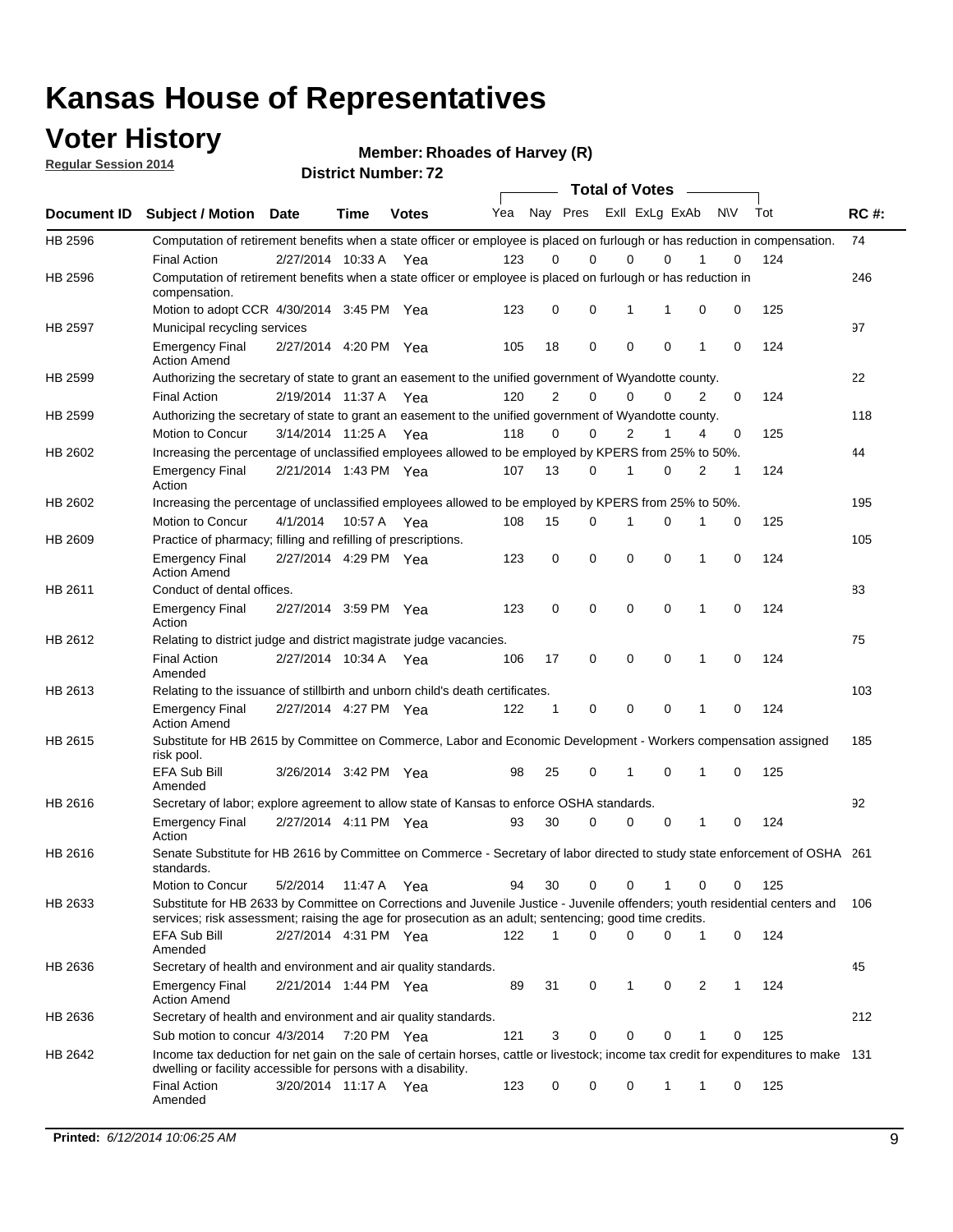#### **Voter History**

**Regular Session 2014**

**Member: Rhoades of Harvey (R)** 

| <b>District Number: 72</b> |  |
|----------------------------|--|
|                            |  |

|         |                                                                                                                                                                                                                                       |                       |             |              |     |                | <b>Total of Votes</b> |                |             |              |           |     |             |
|---------|---------------------------------------------------------------------------------------------------------------------------------------------------------------------------------------------------------------------------------------|-----------------------|-------------|--------------|-----|----------------|-----------------------|----------------|-------------|--------------|-----------|-----|-------------|
|         | Document ID Subject / Motion Date                                                                                                                                                                                                     |                       | Time        | <b>Votes</b> | Yea | Nay Pres       |                       | Exll ExLg ExAb |             |              | <b>NV</b> | Tot | <b>RC#:</b> |
| HB 2596 | Computation of retirement benefits when a state officer or employee is placed on furlough or has reduction in compensation.<br><b>Final Action</b>                                                                                    | 2/27/2014 10:33 A     |             | Yea          | 123 | 0              | 0                     | $\mathbf 0$    | $\Omega$    |              | 0         | 124 | 74          |
| HB 2596 | Computation of retirement benefits when a state officer or employee is placed on furlough or has reduction in<br>compensation.                                                                                                        |                       |             |              |     |                |                       |                |             |              |           |     | 246         |
|         | Motion to adopt CCR 4/30/2014 3:45 PM Yea                                                                                                                                                                                             |                       |             |              | 123 | 0              | $\mathbf 0$           | 1              | 1           | 0            | 0         | 125 |             |
| HB 2597 | Municipal recycling services                                                                                                                                                                                                          |                       |             |              | 105 | 18             | 0                     | $\mathbf 0$    | 0           | 1            | 0         | 124 | 97          |
|         | <b>Emergency Final</b><br><b>Action Amend</b>                                                                                                                                                                                         | 2/27/2014 4:20 PM Yea |             |              |     |                |                       |                |             |              |           |     |             |
| HB 2599 | Authorizing the secretary of state to grant an easement to the unified government of Wyandotte county.                                                                                                                                |                       |             |              |     |                |                       |                |             |              |           |     | 22          |
|         | <b>Final Action</b>                                                                                                                                                                                                                   | 2/19/2014 11:37 A Yea |             |              | 120 | $\overline{2}$ | 0                     | $\Omega$       | 0           | 2            | $\Omega$  | 124 |             |
| HB 2599 | Authorizing the secretary of state to grant an easement to the unified government of Wyandotte county.                                                                                                                                |                       |             |              |     |                |                       |                |             |              |           |     | 118         |
|         | Motion to Concur                                                                                                                                                                                                                      | 3/14/2014 11:25 A Yea |             |              | 118 | 0              | 0                     | 2              | 1           | 4            | 0         | 125 |             |
| HB 2602 | Increasing the percentage of unclassified employees allowed to be employed by KPERS from 25% to 50%.                                                                                                                                  |                       |             |              |     |                |                       |                |             |              |           |     | 44          |
|         | <b>Emergency Final</b><br>Action                                                                                                                                                                                                      | 2/21/2014 1:43 PM Yea |             |              | 107 | 13             | 0                     | 1              | 0           | 2            | 1         | 124 |             |
| HB 2602 | Increasing the percentage of unclassified employees allowed to be employed by KPERS from 25% to 50%.                                                                                                                                  |                       |             |              |     |                |                       |                |             |              |           |     | 195         |
|         | Motion to Concur                                                                                                                                                                                                                      | 4/1/2014              | 10:57 A Yea |              | 108 | 15             | $\mathbf 0$           | 1              | $\mathbf 0$ | 1            | 0         | 125 |             |
| HB 2609 | Practice of pharmacy; filling and refilling of prescriptions.                                                                                                                                                                         |                       |             |              |     |                |                       |                |             |              |           |     | 105         |
|         | <b>Emergency Final</b><br><b>Action Amend</b>                                                                                                                                                                                         | 2/27/2014 4:29 PM Yea |             |              | 123 | 0              | $\mathbf 0$           | $\mathbf 0$    | 0           | $\mathbf{1}$ | 0         | 124 |             |
| HB 2611 | Conduct of dental offices.                                                                                                                                                                                                            |                       |             |              |     |                |                       |                |             |              |           |     | 83          |
|         | <b>Emergency Final</b><br>Action                                                                                                                                                                                                      | 2/27/2014 3:59 PM Yea |             |              | 123 | 0              | 0                     | $\mathbf 0$    | 0           | 1            | 0         | 124 |             |
| HB 2612 | Relating to district judge and district magistrate judge vacancies.                                                                                                                                                                   |                       |             |              |     |                |                       |                |             |              |           |     | 75          |
|         | <b>Final Action</b><br>Amended                                                                                                                                                                                                        | 2/27/2014 10:34 A     |             | Yea          | 106 | 17             | $\mathbf 0$           | $\mathbf 0$    | 0           | 1            | 0         | 124 |             |
| HB 2613 | Relating to the issuance of stillbirth and unborn child's death certificates.                                                                                                                                                         |                       |             |              |     |                |                       |                |             |              |           |     | 103         |
|         | <b>Emergency Final</b><br><b>Action Amend</b>                                                                                                                                                                                         | 2/27/2014 4:27 PM Yea |             |              | 122 | $\mathbf{1}$   | $\mathbf 0$           | $\mathbf 0$    | $\Omega$    | $\mathbf{1}$ | $\Omega$  | 124 |             |
| HB 2615 | Substitute for HB 2615 by Committee on Commerce, Labor and Economic Development - Workers compensation assigned<br>risk pool.                                                                                                         |                       |             |              |     |                |                       |                |             |              |           |     | 185         |
|         | <b>EFA Sub Bill</b><br>Amended                                                                                                                                                                                                        | 3/26/2014 3:42 PM Yea |             |              | 98  | 25             | 0                     | 1              | 0           | 1            | 0         | 125 |             |
| HB 2616 | Secretary of labor; explore agreement to allow state of Kansas to enforce OSHA standards.                                                                                                                                             |                       |             |              |     |                |                       |                |             |              |           |     | 92          |
|         | <b>Emergency Final</b><br>Action                                                                                                                                                                                                      | 2/27/2014 4:11 PM Yea |             |              | 93  | 30             | $\Omega$              | 0              | 0           | 1            | 0         | 124 |             |
| HB 2616 | Senate Substitute for HB 2616 by Committee on Commerce - Secretary of labor directed to study state enforcement of OSHA 261<br>standards.                                                                                             |                       |             |              |     |                |                       |                |             |              |           |     |             |
|         | Motion to Concur                                                                                                                                                                                                                      | 5/2/2014 11:47 A Yea  |             |              | 94  | 30             | 0                     | 0              | 1           | 0            | 0         | 125 |             |
| HB 2633 | Substitute for HB 2633 by Committee on Corrections and Juvenile Justice - Juvenile offenders; youth residential centers and<br>services; risk assessment; raising the age for prosecution as an adult; sentencing; good time credits. |                       |             |              |     |                |                       |                |             |              |           |     | 106         |
|         | <b>EFA Sub Bill</b><br>Amended                                                                                                                                                                                                        | 2/27/2014 4:31 PM Yea |             |              | 122 | 1              | $\Omega$              | $\Omega$       | 0           | 1            | 0         | 124 |             |
| HB 2636 | Secretary of health and environment and air quality standards.                                                                                                                                                                        |                       |             |              |     |                |                       |                |             |              |           |     | 45          |
|         | Emergency Final<br><b>Action Amend</b>                                                                                                                                                                                                | 2/21/2014 1:44 PM Yea |             |              | 89  | 31             | 0                     | 1              | 0           | 2            | 1         | 124 |             |
| HB 2636 | Secretary of health and environment and air quality standards.                                                                                                                                                                        |                       |             |              |     |                |                       |                |             |              |           |     | 212         |
|         | Sub motion to concur 4/3/2014 7:20 PM Yea                                                                                                                                                                                             |                       |             |              | 121 | 3              | 0                     | 0              | 0           |              | 0         | 125 |             |
| HB 2642 | Income tax deduction for net gain on the sale of certain horses, cattle or livestock; income tax credit for expenditures to make 131                                                                                                  |                       |             |              |     |                |                       |                |             |              |           |     |             |
|         | dwelling or facility accessible for persons with a disability.<br><b>Final Action</b>                                                                                                                                                 | 3/20/2014 11:17 A Yea |             |              | 123 | 0              | 0                     | 0              | 1           | 1            | 0         | 125 |             |
|         | Amended                                                                                                                                                                                                                               |                       |             |              |     |                |                       |                |             |              |           |     |             |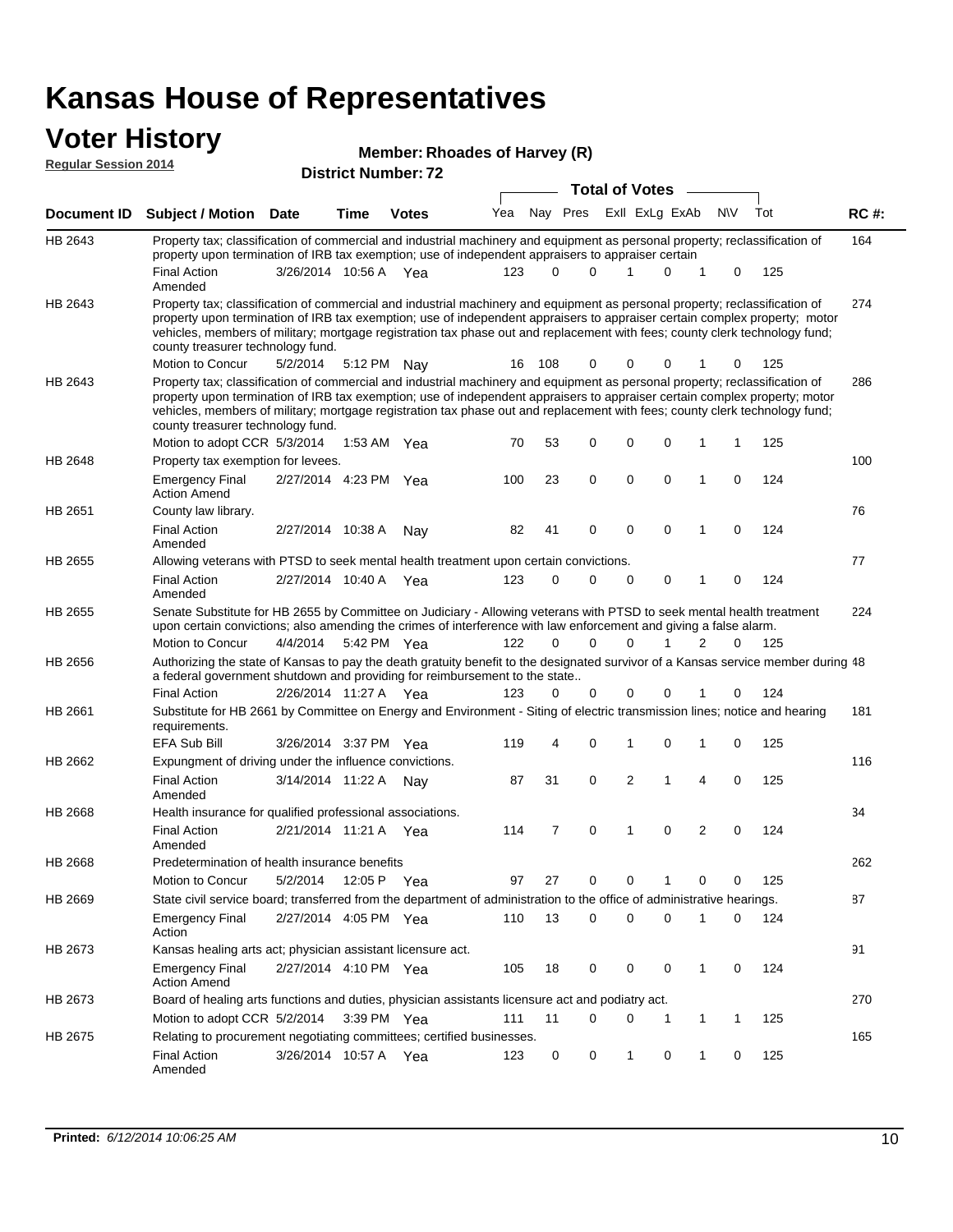# **Voter History**<br> **Regular Session 2014**

| <u>VUUTI HOLVI J</u><br><b>Regular Session 2014</b> |                                                                                                                                                                                                                                                                                                                                                                                                                               |                       |      | Member: Rhoades of Harvey (R) |     |          |          |                       |              |   |             |     |             |
|-----------------------------------------------------|-------------------------------------------------------------------------------------------------------------------------------------------------------------------------------------------------------------------------------------------------------------------------------------------------------------------------------------------------------------------------------------------------------------------------------|-----------------------|------|-------------------------------|-----|----------|----------|-----------------------|--------------|---|-------------|-----|-------------|
|                                                     |                                                                                                                                                                                                                                                                                                                                                                                                                               |                       |      | <b>District Number: 72</b>    |     |          |          | <b>Total of Votes</b> |              |   |             |     |             |
| Document ID                                         | <b>Subject / Motion Date</b>                                                                                                                                                                                                                                                                                                                                                                                                  |                       | Time | <b>Votes</b>                  | Yea |          | Nay Pres | Exll ExLg ExAb        |              |   | <b>NV</b>   | Tot | <b>RC#:</b> |
| HB 2643                                             | Property tax; classification of commercial and industrial machinery and equipment as personal property; reclassification of                                                                                                                                                                                                                                                                                                   |                       |      |                               |     |          |          |                       |              |   |             |     | 164         |
|                                                     | property upon termination of IRB tax exemption; use of independent appraisers to appraiser certain                                                                                                                                                                                                                                                                                                                            |                       |      |                               |     | $\Omega$ | $\Omega$ | 1                     |              |   |             |     |             |
|                                                     | <b>Final Action</b><br>Amended                                                                                                                                                                                                                                                                                                                                                                                                | 3/26/2014 10:56 A Yea |      |                               | 123 |          |          |                       | $\Omega$     | 1 | 0           | 125 |             |
| HB 2643                                             | Property tax; classification of commercial and industrial machinery and equipment as personal property; reclassification of<br>property upon termination of IRB tax exemption; use of independent appraisers to appraiser certain complex property; motor<br>vehicles, members of military; mortgage registration tax phase out and replacement with fees; county clerk technology fund;<br>county treasurer technology fund. |                       |      |                               |     |          |          |                       |              |   |             |     | 274         |
|                                                     | Motion to Concur                                                                                                                                                                                                                                                                                                                                                                                                              | 5/2/2014              |      | 5:12 PM Nay                   | 16  | 108      | 0        | 0                     | 0            |   | 0           | 125 |             |
| HB 2643                                             | Property tax; classification of commercial and industrial machinery and equipment as personal property; reclassification of<br>property upon termination of IRB tax exemption; use of independent appraisers to appraiser certain complex property; motor<br>vehicles, members of military; mortgage registration tax phase out and replacement with fees; county clerk technology fund;<br>county treasurer technology fund. |                       |      |                               |     |          |          |                       |              |   |             |     | 286         |
|                                                     | Motion to adopt CCR 5/3/2014                                                                                                                                                                                                                                                                                                                                                                                                  |                       |      | 1:53 AM Yea                   | 70  | 53       | 0        | 0                     | 0            | 1 | 1           | 125 |             |
| HB 2648                                             | Property tax exemption for levees.                                                                                                                                                                                                                                                                                                                                                                                            |                       |      |                               |     |          |          |                       |              |   |             |     | 100         |
|                                                     | <b>Emergency Final</b><br><b>Action Amend</b>                                                                                                                                                                                                                                                                                                                                                                                 | 2/27/2014 4:23 PM Yea |      |                               | 100 | 23       | 0        | 0                     | 0            | 1 | 0           | 124 |             |
| HB 2651                                             | County law library.                                                                                                                                                                                                                                                                                                                                                                                                           |                       |      |                               |     |          |          |                       |              |   |             |     | 76          |
|                                                     | <b>Final Action</b><br>Amended                                                                                                                                                                                                                                                                                                                                                                                                | 2/27/2014 10:38 A     |      | Nay                           | 82  | 41       | 0        | 0                     | 0            | 1 | 0           | 124 |             |
| HB 2655                                             | Allowing veterans with PTSD to seek mental health treatment upon certain convictions.                                                                                                                                                                                                                                                                                                                                         |                       |      |                               |     |          |          |                       |              |   |             |     | 77          |
|                                                     | <b>Final Action</b><br>Amended                                                                                                                                                                                                                                                                                                                                                                                                | 2/27/2014 10:40 A Yea |      |                               | 123 | 0        | $\Omega$ | $\mathbf 0$           | $\mathbf 0$  | 1 | $\mathbf 0$ | 124 |             |
| HB 2655                                             | Senate Substitute for HB 2655 by Committee on Judiciary - Allowing veterans with PTSD to seek mental health treatment<br>upon certain convictions; also amending the crimes of interference with law enforcement and giving a false alarm.                                                                                                                                                                                    |                       |      |                               |     |          |          |                       |              |   |             |     | 224         |
|                                                     | Motion to Concur                                                                                                                                                                                                                                                                                                                                                                                                              | 4/4/2014              |      | 5:42 PM Yea                   | 122 | $\Omega$ | $\Omega$ | $\Omega$              | $\mathbf{1}$ | 2 | 0           | 125 |             |
| HB 2656                                             | Authorizing the state of Kansas to pay the death gratuity benefit to the designated survivor of a Kansas service member during 48<br>a federal government shutdown and providing for reimbursement to the state                                                                                                                                                                                                               |                       |      |                               |     |          |          |                       |              |   |             |     |             |
| HB 2661                                             | <b>Final Action</b><br>Substitute for HB 2661 by Committee on Energy and Environment - Siting of electric transmission lines; notice and hearing                                                                                                                                                                                                                                                                              | 2/26/2014 11:27 A Yea |      |                               | 123 | 0        | 0        | 0                     | 0            |   | 0           | 124 | 181         |
|                                                     | requirements.<br><b>EFA Sub Bill</b>                                                                                                                                                                                                                                                                                                                                                                                          | 3/26/2014 3:37 PM Yea |      |                               | 119 | 4        | 0        | 1                     | 0            | 1 | 0           | 125 |             |
| HB 2662                                             | Expungment of driving under the influence convictions.                                                                                                                                                                                                                                                                                                                                                                        |                       |      |                               |     |          |          |                       |              |   |             |     | 116         |
|                                                     | <b>Final Action</b><br>Amended                                                                                                                                                                                                                                                                                                                                                                                                | 3/14/2014 11:22 A     |      | Nav                           | 87  | 31       | 0        | $\overline{2}$        | 1            | 4 | $\mathbf 0$ | 125 |             |
| HB 2668                                             | Health insurance for qualified professional associations.                                                                                                                                                                                                                                                                                                                                                                     |                       |      |                               |     |          |          |                       |              |   |             |     | 34          |
|                                                     | <b>Final Action</b><br>Amended                                                                                                                                                                                                                                                                                                                                                                                                | 2/21/2014 11:21 A Yea |      |                               | 114 | 7        | 0        | 1                     | 0            | 2 | 0           | 124 |             |
| HB 2668                                             | Predetermination of health insurance benefits                                                                                                                                                                                                                                                                                                                                                                                 |                       |      |                               |     |          |          |                       |              |   |             |     | 262         |
|                                                     | Motion to Concur                                                                                                                                                                                                                                                                                                                                                                                                              | 5/2/2014              |      | 12:05 P Yea                   | 97  | 27       | 0        | 0                     | 1            | 0 | 0           | 125 |             |
| HB 2669                                             | State civil service board; transferred from the department of administration to the office of administrative hearings.                                                                                                                                                                                                                                                                                                        |                       |      |                               |     |          |          |                       |              |   |             |     | 87          |
|                                                     | <b>Emergency Final</b><br>Action                                                                                                                                                                                                                                                                                                                                                                                              | 2/27/2014 4:05 PM Yea |      |                               | 110 | 13       | 0        | 0                     | 0            | 1 | 0           | 124 |             |
| HB 2673                                             | Kansas healing arts act; physician assistant licensure act.                                                                                                                                                                                                                                                                                                                                                                   |                       |      |                               |     |          |          |                       |              |   |             |     | 91          |
|                                                     | <b>Emergency Final</b><br><b>Action Amend</b>                                                                                                                                                                                                                                                                                                                                                                                 | 2/27/2014 4:10 PM Yea |      |                               | 105 | 18       | 0        | 0                     | 0            | 1 | 0           | 124 |             |
| HB 2673                                             | Board of healing arts functions and duties, physician assistants licensure act and podiatry act.                                                                                                                                                                                                                                                                                                                              |                       |      |                               |     |          |          |                       |              |   |             |     | 270         |
|                                                     | Motion to adopt CCR 5/2/2014 3:39 PM Yea                                                                                                                                                                                                                                                                                                                                                                                      |                       |      |                               | 111 | 11       | 0        | 0                     | 1            | 1 | 1           | 125 |             |
| HB 2675                                             | Relating to procurement negotiating committees; certified businesses.<br><b>Final Action</b><br>Amended                                                                                                                                                                                                                                                                                                                       | 3/26/2014 10:57 A Yea |      |                               | 123 | 0        | 0        | $\mathbf{1}$          | 0            | 1 | 0           | 125 | 165         |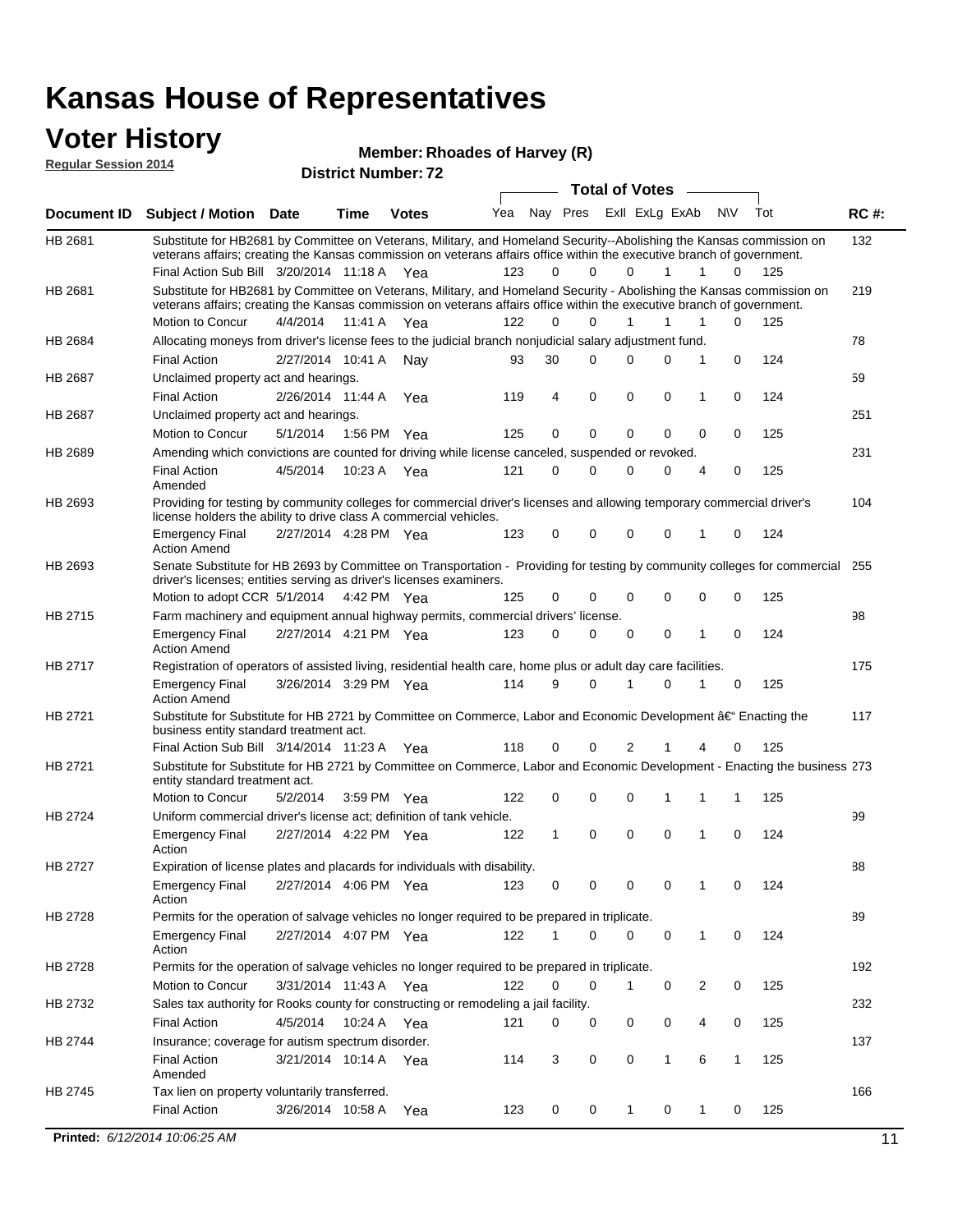#### **Voter History Regular Session 2014**

**Member: Rhoades of Harvey (R)** 

| noguidi ocoololi 4014 |                                                                                                                                                                                                                                                                                               |                       |         | <b>District Number: 72</b> |     |             |             |                  |                |        |     |             |
|-----------------------|-----------------------------------------------------------------------------------------------------------------------------------------------------------------------------------------------------------------------------------------------------------------------------------------------|-----------------------|---------|----------------------------|-----|-------------|-------------|------------------|----------------|--------|-----|-------------|
|                       |                                                                                                                                                                                                                                                                                               |                       |         |                            |     |             |             | Total of Votes – |                |        |     |             |
| <b>Document ID</b>    | <b>Subject / Motion Date</b>                                                                                                                                                                                                                                                                  |                       | Time    | <b>Votes</b>               | Yea |             | Nay Pres    |                  | Exll ExLg ExAb | N\V    | Tot | <b>RC#:</b> |
| HB 2681               | Substitute for HB2681 by Committee on Veterans, Military, and Homeland Security--Abolishing the Kansas commission on<br>veterans affairs; creating the Kansas commission on veterans affairs office within the executive branch of government.<br>Final Action Sub Bill 3/20/2014 11:18 A Yea |                       |         |                            | 123 | 0           | 0           | $\Omega$         | 1              | 1<br>0 | 125 | 132         |
| HB 2681               | Substitute for HB2681 by Committee on Veterans, Military, and Homeland Security - Abolishing the Kansas commission on                                                                                                                                                                         |                       |         |                            |     |             |             |                  |                |        |     | 219         |
|                       | veterans affairs; creating the Kansas commission on veterans affairs office within the executive branch of government.                                                                                                                                                                        |                       |         |                            |     |             |             |                  |                |        |     |             |
|                       | Motion to Concur                                                                                                                                                                                                                                                                              | 4/4/2014              | 11:41 A | Yea                        | 122 | $\Omega$    | $\Omega$    | 1                | 1              | 1<br>0 | 125 |             |
| <b>HB 2684</b>        | Allocating moneys from driver's license fees to the judicial branch nonjudicial salary adjustment fund.                                                                                                                                                                                       |                       |         |                            |     |             |             |                  |                |        |     | 78          |
|                       | <b>Final Action</b>                                                                                                                                                                                                                                                                           | 2/27/2014 10:41 A     |         | Nay                        | 93  | 30          | $\Omega$    | $\Omega$         | 0              | 1<br>0 | 124 |             |
| HB 2687               | Unclaimed property act and hearings.                                                                                                                                                                                                                                                          |                       |         |                            |     |             |             |                  |                |        |     | 59          |
|                       | <b>Final Action</b>                                                                                                                                                                                                                                                                           | 2/26/2014 11:44 A     |         | Yea                        | 119 | 4           | $\mathbf 0$ | 0                | $\mathbf 0$    | 0<br>1 | 124 |             |
| HB 2687               | Unclaimed property act and hearings.                                                                                                                                                                                                                                                          |                       |         |                            |     |             |             |                  |                |        |     | 251         |
|                       | Motion to Concur                                                                                                                                                                                                                                                                              | 5/1/2014              |         | 1:56 PM Yea                | 125 | 0           | $\mathbf 0$ | 0                | 0              | 0<br>0 | 125 |             |
| <b>HB 2689</b>        | Amending which convictions are counted for driving while license canceled, suspended or revoked.                                                                                                                                                                                              |                       |         |                            |     |             |             |                  |                |        |     | 231         |
|                       | <b>Final Action</b><br>Amended                                                                                                                                                                                                                                                                | 4/5/2014              | 10:23 A | Yea                        | 121 | $\mathbf 0$ | 0           | $\Omega$         | 0              | 0<br>4 | 125 |             |
| HB 2693               | Providing for testing by community colleges for commercial driver's licenses and allowing temporary commercial driver's<br>license holders the ability to drive class A commercial vehicles.                                                                                                  |                       |         |                            |     |             |             |                  |                |        |     | 104         |
|                       | <b>Emergency Final</b><br><b>Action Amend</b>                                                                                                                                                                                                                                                 | 2/27/2014 4:28 PM Yea |         |                            | 123 | 0           | $\mathbf 0$ | $\Omega$         | $\mathbf 0$    | 0<br>1 | 124 |             |
| HB 2693               | Senate Substitute for HB 2693 by Committee on Transportation - Providing for testing by community colleges for commercial<br>driver's licenses; entities serving as driver's licenses examiners.                                                                                              |                       |         |                            |     |             |             |                  |                |        |     | 255         |
|                       | Motion to adopt CCR 5/1/2014 4:42 PM Yea                                                                                                                                                                                                                                                      |                       |         |                            | 125 | 0           | 0           | $\Omega$         | $\Omega$       | 0<br>0 | 125 |             |
| HB 2715               | Farm machinery and equipment annual highway permits, commercial drivers' license.<br><b>Emergency Final</b>                                                                                                                                                                                   | 2/27/2014 4:21 PM Yea |         |                            | 123 | 0           | 0           | 0                | 0              | 1<br>0 | 124 | 98          |
| HB 2717               | <b>Action Amend</b><br>Registration of operators of assisted living, residential health care, home plus or adult day care facilities.                                                                                                                                                         |                       |         |                            |     |             |             |                  |                |        |     | 175         |
|                       | <b>Emergency Final</b><br><b>Action Amend</b>                                                                                                                                                                                                                                                 | 3/26/2014 3:29 PM Yea |         |                            | 114 | 9           | 0           |                  | 0              | 0      | 125 |             |
| HB 2721               | Substitute for Substitute for HB 2721 by Committee on Commerce, Labor and Economic Development †Enacting the<br>business entity standard treatment act.                                                                                                                                       |                       |         |                            |     |             |             |                  |                |        |     | 117         |
|                       | Final Action Sub Bill 3/14/2014 11:23 A Yea                                                                                                                                                                                                                                                   |                       |         |                            | 118 | 0           | 0           | 2                |                | 0<br>4 | 125 |             |
| HB 2721               | Substitute for Substitute for HB 2721 by Committee on Commerce, Labor and Economic Development - Enacting the business 273<br>entity standard treatment act.                                                                                                                                  |                       |         |                            |     |             |             |                  |                |        |     |             |
|                       | Motion to Concur                                                                                                                                                                                                                                                                              | 5/2/2014              |         | 3:59 PM Yea                | 122 | 0           | 0           | 0                | 1              | 1<br>1 | 125 |             |
| <b>HB 2724</b>        | Uniform commercial driver's license act; definition of tank vehicle.<br><b>Emergency Final</b>                                                                                                                                                                                                | 2/27/2014 4:22 PM Yea |         |                            | 122 | 1           | $\mathbf 0$ | 0                | 0              | 1<br>0 | 124 | 99          |
| HB 2727               | Action<br>Expiration of license plates and placards for individuals with disability.                                                                                                                                                                                                          |                       |         |                            |     |             |             |                  |                |        |     | 88          |
|                       | <b>Emergency Final</b><br>Action                                                                                                                                                                                                                                                              | 2/27/2014 4:06 PM Yea |         |                            | 123 | 0           | 0           | 0                | 0              | 0      | 124 |             |
| HB 2728               | Permits for the operation of salvage vehicles no longer required to be prepared in triplicate.                                                                                                                                                                                                |                       |         |                            |     |             |             |                  |                |        |     | 89          |
|                       | <b>Emergency Final</b><br>Action                                                                                                                                                                                                                                                              | 2/27/2014 4:07 PM Yea |         |                            | 122 | 1           | 0           | $\Omega$         | 0              | 1<br>0 | 124 |             |
| HB 2728               | Permits for the operation of salvage vehicles no longer required to be prepared in triplicate.                                                                                                                                                                                                |                       |         |                            |     |             |             |                  |                |        |     | 192         |
|                       | <b>Motion to Concur</b>                                                                                                                                                                                                                                                                       | 3/31/2014 11:43 A Yea |         |                            | 122 | 0           | 0           | $\mathbf{1}$     | 0              | 2<br>0 | 125 |             |
| HB 2732               | Sales tax authority for Rooks county for constructing or remodeling a jail facility.                                                                                                                                                                                                          |                       |         |                            |     |             |             |                  |                |        |     | 232         |
|                       | <b>Final Action</b>                                                                                                                                                                                                                                                                           | 4/5/2014              |         | 10:24 A Yea                | 121 | 0           | 0           | 0                | 0              | 4<br>0 | 125 |             |
| HB 2744               | Insurance; coverage for autism spectrum disorder.                                                                                                                                                                                                                                             |                       |         |                            |     |             |             |                  |                |        |     | 137         |
|                       | <b>Final Action</b><br>Amended                                                                                                                                                                                                                                                                | 3/21/2014 10:14 A Yea |         |                            | 114 | 3           | $\mathbf 0$ | 0                | $\mathbf{1}$   | 6<br>1 | 125 |             |
| HB 2745               | Tax lien on property voluntarily transferred.                                                                                                                                                                                                                                                 |                       |         |                            |     |             |             |                  |                |        |     | 166         |
|                       | <b>Final Action</b>                                                                                                                                                                                                                                                                           | 3/26/2014 10:58 A     |         | Yea                        | 123 | 0           | 0           | $\mathbf{1}$     | 0              | 1<br>0 | 125 |             |
|                       | Printed: 6/12/2014 10:06:25 AM                                                                                                                                                                                                                                                                |                       |         |                            |     |             |             |                  |                |        |     | 11          |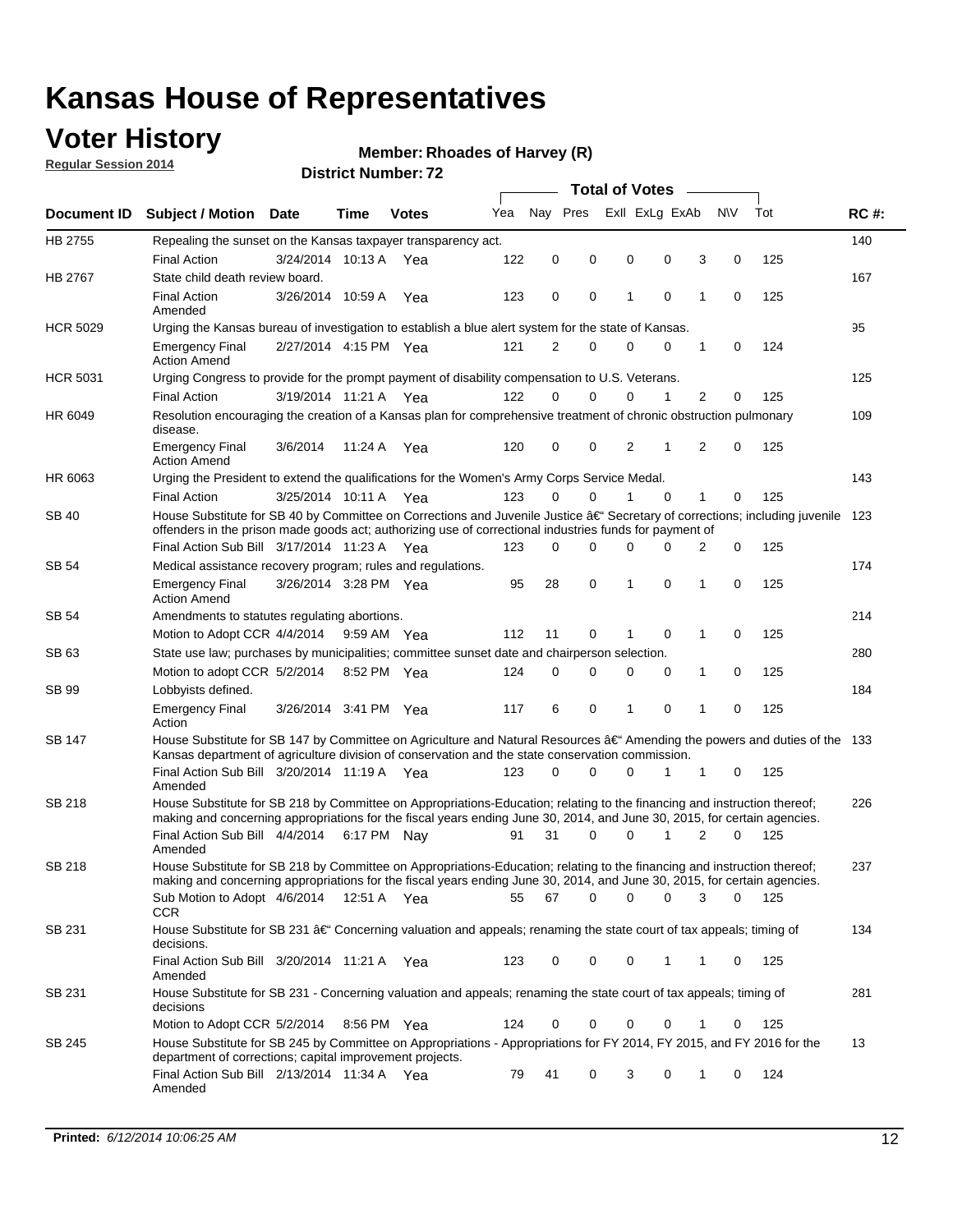### **Voter History**

**Regular Session 2014**

#### **Member: Rhoades of Harvey (R)**

|                    |                                                                                                                                                                                                                                                      |                       |             |              |     |          |          | <b>Total of Votes</b> |                |   |                               |     |             |
|--------------------|------------------------------------------------------------------------------------------------------------------------------------------------------------------------------------------------------------------------------------------------------|-----------------------|-------------|--------------|-----|----------|----------|-----------------------|----------------|---|-------------------------------|-----|-------------|
| <b>Document ID</b> | <b>Subject / Motion Date</b>                                                                                                                                                                                                                         |                       | Time        | <b>Votes</b> | Yea | Nav Pres |          |                       | Exll ExLg ExAb |   | <b>NV</b>                     | Tot | <b>RC#:</b> |
| HB 2755            | Repealing the sunset on the Kansas taxpayer transparency act.                                                                                                                                                                                        |                       |             |              |     |          |          |                       |                |   |                               |     | 140         |
|                    | <b>Final Action</b>                                                                                                                                                                                                                                  | 3/24/2014 10:13 A     |             | Yea          | 122 | 0        | 0        | 0                     | 0              |   | 3<br>0                        | 125 |             |
| HB 2767            | State child death review board.                                                                                                                                                                                                                      |                       |             |              |     |          |          |                       |                |   |                               |     | 167         |
|                    | <b>Final Action</b><br>Amended                                                                                                                                                                                                                       | 3/26/2014 10:59 A     |             | Yea          | 123 | 0        | 0        | 1                     | $\mathbf 0$    | 1 | 0                             | 125 |             |
| <b>HCR 5029</b>    | Urging the Kansas bureau of investigation to establish a blue alert system for the state of Kansas.                                                                                                                                                  |                       |             |              |     |          |          |                       |                |   |                               |     | 95          |
|                    | <b>Emergency Final</b><br><b>Action Amend</b>                                                                                                                                                                                                        | 2/27/2014 4:15 PM Yea |             |              | 121 | 2        | 0        | 0                     | 0              | 1 | 0                             | 124 |             |
| <b>HCR 5031</b>    | Urging Congress to provide for the prompt payment of disability compensation to U.S. Veterans.                                                                                                                                                       |                       |             |              |     |          |          |                       |                |   |                               |     | 125         |
|                    | <b>Final Action</b>                                                                                                                                                                                                                                  | 3/19/2014 11:21 A Yea |             |              | 122 | $\Omega$ | $\Omega$ | 0                     | 1              |   | 2<br>0                        | 125 |             |
| HR 6049            | Resolution encouraging the creation of a Kansas plan for comprehensive treatment of chronic obstruction pulmonary<br>disease.                                                                                                                        |                       |             |              |     |          |          |                       |                |   |                               |     | 109         |
|                    | <b>Emergency Final</b><br><b>Action Amend</b>                                                                                                                                                                                                        | 3/6/2014              | 11:24 A     | Yea          | 120 | 0        | 0        | $\overline{2}$        | 1              |   | $\overline{2}$<br>$\mathbf 0$ | 125 |             |
| HR 6063            | Urging the President to extend the qualifications for the Women's Army Corps Service Medal.                                                                                                                                                          |                       |             |              |     |          |          |                       |                |   |                               |     | 143         |
|                    | <b>Final Action</b>                                                                                                                                                                                                                                  | 3/25/2014 10:11 A Yea |             |              | 123 | $\Omega$ | $\Omega$ | 1                     | $\Omega$       | 1 | 0                             | 125 |             |
| SB 40              | House Substitute for SB 40 by Committee on Corrections and Juvenile Justice †Secretary of corrections; including juvenile<br>offenders in the prison made goods act; authorizing use of correctional industries funds for payment of                 |                       |             |              |     |          |          |                       |                |   |                               |     | 123         |
|                    | Final Action Sub Bill 3/17/2014 11:23 A Yea                                                                                                                                                                                                          |                       |             |              | 123 | 0        | 0        | 0                     | $\Omega$       |   | 0<br>2                        | 125 |             |
| SB 54              | Medical assistance recovery program; rules and regulations.                                                                                                                                                                                          |                       |             |              |     |          |          |                       |                |   |                               |     | 174         |
|                    | <b>Emergency Final</b><br><b>Action Amend</b>                                                                                                                                                                                                        | 3/26/2014 3:28 PM Yea |             |              | 95  | 28       | 0        | 1                     | 0              | 1 | 0                             | 125 |             |
| SB 54              | Amendments to statutes regulating abortions.                                                                                                                                                                                                         |                       |             |              |     |          |          |                       |                |   |                               |     | 214         |
|                    | Motion to Adopt CCR 4/4/2014                                                                                                                                                                                                                         |                       | 9:59 AM Yea |              | 112 | 11       | 0        |                       | $\mathbf 0$    | 1 | 0                             | 125 |             |
| SB 63              | State use law; purchases by municipalities; committee sunset date and chairperson selection.                                                                                                                                                         |                       |             |              |     |          |          |                       |                |   |                               |     | 280         |
|                    | Motion to adopt CCR 5/2/2014                                                                                                                                                                                                                         |                       |             | 8:52 PM Yea  | 124 | 0        | 0        | 0                     | 0              | 1 | 0                             | 125 |             |
| SB 99              | Lobbyists defined.                                                                                                                                                                                                                                   |                       |             |              |     |          |          |                       |                |   |                               |     | 184         |
|                    | <b>Emergency Final</b><br>Action                                                                                                                                                                                                                     | 3/26/2014 3:41 PM Yea |             |              | 117 | 6        | 0        | 1                     | 0              | 1 | 0                             | 125 |             |
| SB 147             | House Substitute for SB 147 by Committee on Agriculture and Natural Resources †Amending the powers and duties of the 133<br>Kansas department of agriculture division of conservation and the state conservation commission.                         |                       |             |              |     |          |          |                       |                |   |                               |     |             |
|                    | Final Action Sub Bill 3/20/2014 11:19 A Yea<br>Amended                                                                                                                                                                                               |                       |             |              | 123 | 0        | $\Omega$ | 0                     | 1              | 1 | 0                             | 125 |             |
| <b>SB 218</b>      | House Substitute for SB 218 by Committee on Appropriations-Education; relating to the financing and instruction thereof;<br>making and concerning appropriations for the fiscal years ending June 30, 2014, and June 30, 2015, for certain agencies. |                       |             |              |     |          |          |                       |                |   |                               |     | 226         |
|                    | Final Action Sub Bill 4/4/2014 6:17 PM Nay<br>Amended                                                                                                                                                                                                |                       |             |              | 91  | 31       | $\Omega$ | 0                     | 1              |   | 2<br>$\Omega$                 | 125 |             |
| <b>SB 218</b>      | House Substitute for SB 218 by Committee on Appropriations-Education; relating to the financing and instruction thereof;                                                                                                                             |                       |             |              |     |          |          |                       |                |   |                               |     | 237         |
|                    | making and concerning appropriations for the fiscal years ending June 30, 2014, and June 30, 2015, for certain agencies.<br>Sub Motion to Adopt 4/6/2014 12:51 A Yea<br><b>CCR</b>                                                                   |                       |             |              | 55  | 67       | 0        | 0                     | 0              |   | 3<br>0                        | 125 |             |
| SB 231             | House Substitute for SB 231 †Concerning valuation and appeals; renaming the state court of tax appeals; timing of<br>decisions.                                                                                                                      |                       |             |              |     |          |          |                       |                |   |                               |     | 134         |
|                    | Final Action Sub Bill 3/20/2014 11:21 A Yea<br>Amended                                                                                                                                                                                               |                       |             |              | 123 | 0        | 0        | 0                     | 1              | 1 | 0                             | 125 |             |
| SB 231             | House Substitute for SB 231 - Concerning valuation and appeals; renaming the state court of tax appeals; timing of<br>decisions                                                                                                                      |                       |             |              |     |          |          |                       |                |   |                               |     | 281         |
|                    | Motion to Adopt CCR 5/2/2014                                                                                                                                                                                                                         |                       |             | 8:56 PM Yea  | 124 | 0        | 0        | 0                     | 0              | 1 | 0                             | 125 |             |
| SB 245             | House Substitute for SB 245 by Committee on Appropriations - Appropriations for FY 2014, FY 2015, and FY 2016 for the<br>department of corrections; capital improvement projects.                                                                    |                       |             |              |     |          |          |                       |                |   |                               |     | 13          |
|                    | Final Action Sub Bill 2/13/2014 11:34 A Yea<br>Amended                                                                                                                                                                                               |                       |             |              | 79  | 41       | 0        | 3                     | 0              | 1 | 0                             | 124 |             |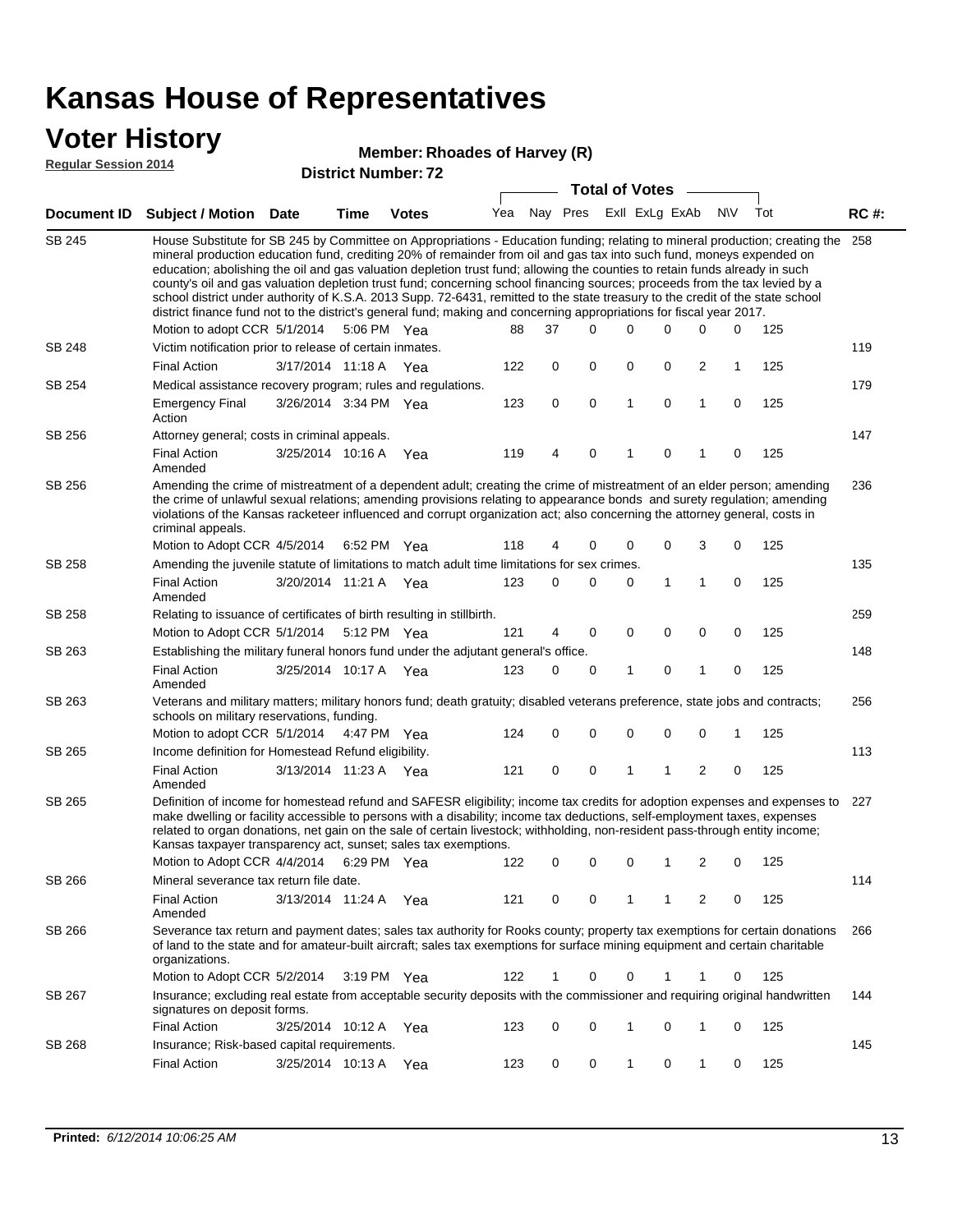#### **Voter History**

#### **Member: Rhoades of Harvey (R)**

**Regular Session 2014**

| <b>Regular Session 2014</b> |                                   |      | <b>District Number: 72</b> | <b>Total of Votes</b> |  |  |                                     |  |  |  |              |  |  |
|-----------------------------|-----------------------------------|------|----------------------------|-----------------------|--|--|-------------------------------------|--|--|--|--------------|--|--|
|                             | Document ID Subject / Motion Date | Time | <b>Votes</b>               |                       |  |  | Yea Nay Pres ExII ExLg ExAb N\V Tot |  |  |  | <b>RC</b> #: |  |  |
|                             |                                   |      |                            |                       |  |  |                                     |  |  |  |              |  |  |

| SB 245        | House Substitute for SB 245 by Committee on Appropriations - Education funding; relating to mineral production; creating the 258<br>mineral production education fund, crediting 20% of remainder from oil and gas tax into such fund, moneys expended on<br>education; abolishing the oil and gas valuation depletion trust fund; allowing the counties to retain funds already in such<br>county's oil and gas valuation depletion trust fund; concerning school financing sources; proceeds from the tax levied by a<br>school district under authority of K.S.A. 2013 Supp. 72-6431, remitted to the state treasury to the credit of the state school<br>district finance fund not to the district's general fund; making and concerning appropriations for fiscal year 2017. |                       |                       |     |     |    |             |              |             |                |   |     |     |
|---------------|-----------------------------------------------------------------------------------------------------------------------------------------------------------------------------------------------------------------------------------------------------------------------------------------------------------------------------------------------------------------------------------------------------------------------------------------------------------------------------------------------------------------------------------------------------------------------------------------------------------------------------------------------------------------------------------------------------------------------------------------------------------------------------------|-----------------------|-----------------------|-----|-----|----|-------------|--------------|-------------|----------------|---|-----|-----|
|               | Motion to adopt CCR 5/1/2014                                                                                                                                                                                                                                                                                                                                                                                                                                                                                                                                                                                                                                                                                                                                                      |                       | 5:06 PM Yea           |     | 88  | 37 | 0           | 0            | $\Omega$    | $\Omega$       | 0 | 125 |     |
| SB 248        | Victim notification prior to release of certain inmates.                                                                                                                                                                                                                                                                                                                                                                                                                                                                                                                                                                                                                                                                                                                          |                       |                       |     |     |    |             |              |             |                |   |     | 119 |
|               | <b>Final Action</b>                                                                                                                                                                                                                                                                                                                                                                                                                                                                                                                                                                                                                                                                                                                                                               | 3/17/2014 11:18 A     |                       | Yea | 122 | 0  | $\mathbf 0$ | $\mathbf 0$  | 0           | $\overline{2}$ | 1 | 125 |     |
| SB 254        | Medical assistance recovery program; rules and regulations.                                                                                                                                                                                                                                                                                                                                                                                                                                                                                                                                                                                                                                                                                                                       |                       |                       |     |     |    |             |              |             |                |   |     | 179 |
|               | <b>Emergency Final</b><br>Action                                                                                                                                                                                                                                                                                                                                                                                                                                                                                                                                                                                                                                                                                                                                                  | 3/26/2014 3:34 PM Yea |                       |     | 123 | 0  | 0           | $\mathbf{1}$ | 0           | 1              | 0 | 125 |     |
| SB 256        | Attorney general; costs in criminal appeals.                                                                                                                                                                                                                                                                                                                                                                                                                                                                                                                                                                                                                                                                                                                                      |                       |                       |     |     |    |             |              |             |                |   |     | 147 |
|               | <b>Final Action</b><br>Amended                                                                                                                                                                                                                                                                                                                                                                                                                                                                                                                                                                                                                                                                                                                                                    | 3/25/2014 10:16 A     |                       | Yea | 119 | 4  | 0           |              | $\mathbf 0$ |                | 0 | 125 |     |
| SB 256        | Amending the crime of mistreatment of a dependent adult; creating the crime of mistreatment of an elder person; amending<br>the crime of unlawful sexual relations; amending provisions relating to appearance bonds and surety regulation; amending<br>violations of the Kansas racketeer influenced and corrupt organization act; also concerning the attorney general, costs in<br>criminal appeals.                                                                                                                                                                                                                                                                                                                                                                           |                       |                       |     |     |    |             |              |             |                |   |     | 236 |
|               | Motion to Adopt CCR 4/5/2014                                                                                                                                                                                                                                                                                                                                                                                                                                                                                                                                                                                                                                                                                                                                                      |                       | 6:52 PM Yea           |     | 118 | 4  | 0           | 0            | 0           | 3              | 0 | 125 |     |
| <b>SB 258</b> | Amending the juvenile statute of limitations to match adult time limitations for sex crimes.                                                                                                                                                                                                                                                                                                                                                                                                                                                                                                                                                                                                                                                                                      |                       |                       |     |     |    |             |              |             |                |   |     | 135 |
|               | Final Action<br>Amended                                                                                                                                                                                                                                                                                                                                                                                                                                                                                                                                                                                                                                                                                                                                                           | 3/20/2014 11:21 A Yea |                       |     | 123 | 0  | 0           | 0            | 1           | 1              | 0 | 125 |     |
| <b>SB 258</b> | Relating to issuance of certificates of birth resulting in stillbirth.                                                                                                                                                                                                                                                                                                                                                                                                                                                                                                                                                                                                                                                                                                            |                       |                       |     |     |    |             |              |             |                |   |     | 259 |
|               | Motion to Adopt CCR 5/1/2014                                                                                                                                                                                                                                                                                                                                                                                                                                                                                                                                                                                                                                                                                                                                                      |                       | 5:12 PM Yea           |     | 121 | 4  | $\mathbf 0$ | 0            | 0           | 0              | 0 | 125 |     |
| SB 263        | Establishing the military funeral honors fund under the adjutant general's office.                                                                                                                                                                                                                                                                                                                                                                                                                                                                                                                                                                                                                                                                                                |                       |                       |     |     |    |             |              |             |                |   |     | 148 |
|               | <b>Final Action</b><br>Amended                                                                                                                                                                                                                                                                                                                                                                                                                                                                                                                                                                                                                                                                                                                                                    | 3/25/2014 10:17 A Yea |                       |     | 123 | 0  | 0           | 1            | $\mathbf 0$ | 1              | 0 | 125 |     |
| SB 263        | Veterans and military matters; military honors fund; death gratuity; disabled veterans preference, state jobs and contracts;<br>schools on military reservations, funding.                                                                                                                                                                                                                                                                                                                                                                                                                                                                                                                                                                                                        |                       |                       |     |     |    |             |              |             |                |   |     | 256 |
|               | Motion to adopt CCR 5/1/2014                                                                                                                                                                                                                                                                                                                                                                                                                                                                                                                                                                                                                                                                                                                                                      |                       | 4:47 PM Yea           |     | 124 | 0  | 0           | $\mathbf 0$  | $\mathbf 0$ | 0              | 1 | 125 |     |
| SB 265        | Income definition for Homestead Refund eligibility.                                                                                                                                                                                                                                                                                                                                                                                                                                                                                                                                                                                                                                                                                                                               |                       |                       |     |     |    |             |              |             |                |   |     | 113 |
|               | <b>Final Action</b><br>Amended                                                                                                                                                                                                                                                                                                                                                                                                                                                                                                                                                                                                                                                                                                                                                    | 3/13/2014 11:23 A Yea |                       |     | 121 | 0  | 0           | 1            | 1           | 2              | 0 | 125 |     |
| SB 265        | Definition of income for homestead refund and SAFESR eligibility; income tax credits for adoption expenses and expenses to<br>make dwelling or facility accessible to persons with a disability; income tax deductions, self-employment taxes, expenses<br>related to organ donations, net gain on the sale of certain livestock; withholding, non-resident pass-through entity income;<br>Kansas taxpayer transparency act, sunset; sales tax exemptions.                                                                                                                                                                                                                                                                                                                        |                       |                       |     |     |    |             |              |             |                |   |     | 227 |
|               | Motion to Adopt CCR 4/4/2014                                                                                                                                                                                                                                                                                                                                                                                                                                                                                                                                                                                                                                                                                                                                                      |                       | 6:29 PM Yea           |     | 122 | 0  | 0           | $\mathbf 0$  | 1           | $\overline{2}$ | 0 | 125 |     |
| SB 266        | Mineral severance tax return file date.                                                                                                                                                                                                                                                                                                                                                                                                                                                                                                                                                                                                                                                                                                                                           |                       |                       |     |     |    |             |              |             |                |   |     | 114 |
|               | <b>Final Action</b><br>Amended                                                                                                                                                                                                                                                                                                                                                                                                                                                                                                                                                                                                                                                                                                                                                    | 3/13/2014 11:24 A     |                       | Yea | 121 | 0  | 0           | 1            | 1           | 2              | 0 | 125 |     |
| SB 266        | Severance tax return and payment dates; sales tax authority for Rooks county; property tax exemptions for certain donations<br>of land to the state and for amateur-built aircraft; sales tax exemptions for surface mining equipment and certain charitable<br>organizations.                                                                                                                                                                                                                                                                                                                                                                                                                                                                                                    |                       |                       |     |     |    |             |              |             |                |   |     | 266 |
|               | Motion to Adopt CCR 5/2/2014                                                                                                                                                                                                                                                                                                                                                                                                                                                                                                                                                                                                                                                                                                                                                      |                       | $3:19 \text{ PM}$ Yea |     | 122 | 1  | 0           | 0            | 1           | 1              | 0 | 125 |     |
| SB 267        | Insurance; excluding real estate from acceptable security deposits with the commissioner and requiring original handwritten<br>signatures on deposit forms.                                                                                                                                                                                                                                                                                                                                                                                                                                                                                                                                                                                                                       |                       |                       |     |     |    |             |              |             |                |   |     | 144 |
|               | <b>Final Action</b>                                                                                                                                                                                                                                                                                                                                                                                                                                                                                                                                                                                                                                                                                                                                                               | 3/25/2014 10:12 A     |                       | Yea | 123 | 0  | 0           | 1            | 0           | 1              | 0 | 125 |     |
| SB 268        | Insurance; Risk-based capital requirements.                                                                                                                                                                                                                                                                                                                                                                                                                                                                                                                                                                                                                                                                                                                                       |                       |                       |     |     |    |             |              |             |                |   |     | 145 |
|               | <b>Final Action</b>                                                                                                                                                                                                                                                                                                                                                                                                                                                                                                                                                                                                                                                                                                                                                               | 3/25/2014 10:13 A     |                       | Yea | 123 | 0  | 0           | $\mathbf{1}$ | 0           | 1              | 0 | 125 |     |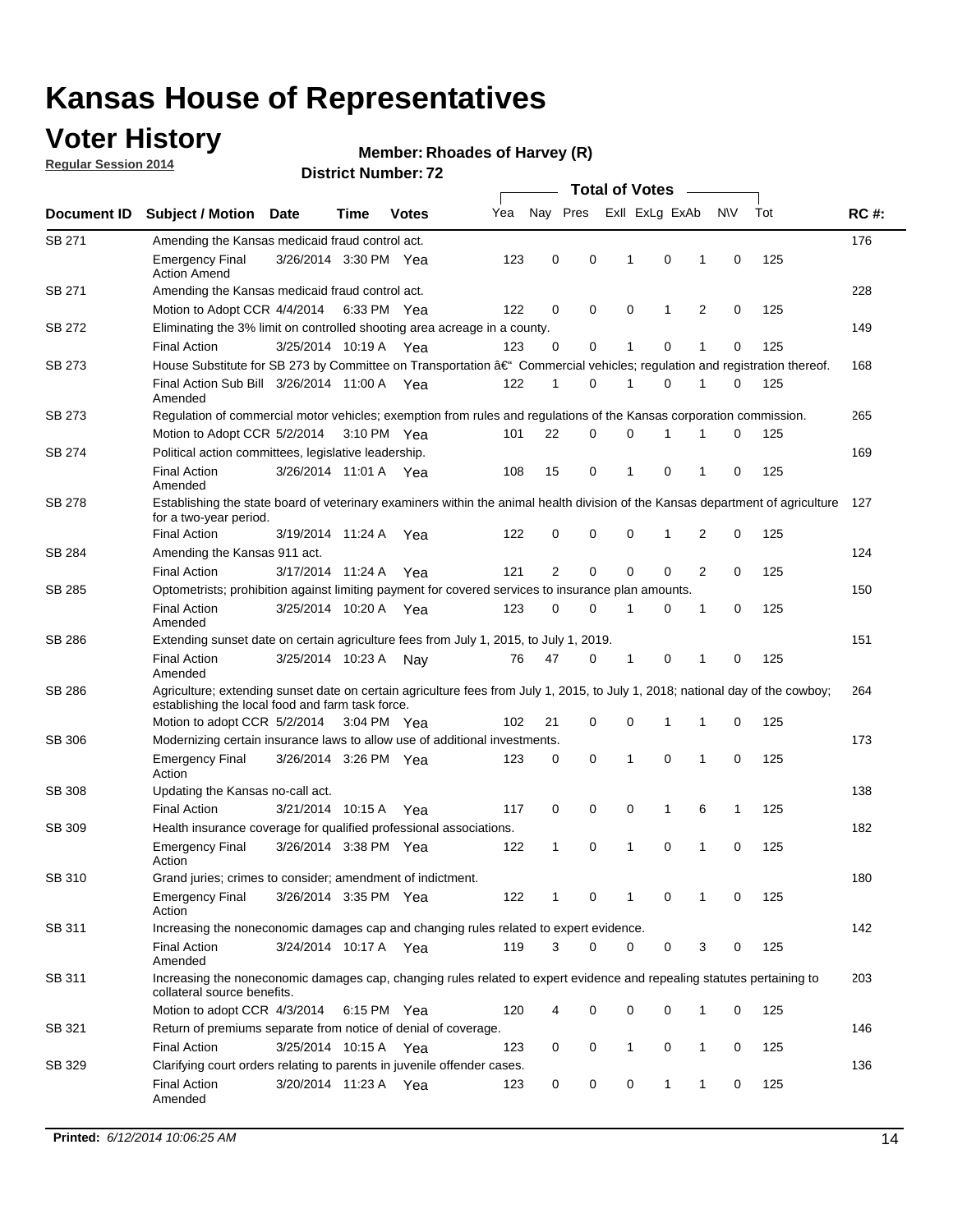### **Voter History**

**Regular Session 2014**

#### **Member: Rhoades of Harvey (R)**

|               |                                                                                                                                                                                    |                       |      |              |     |                |          | <b>Total of Votes</b> |              |   |             |     |             |
|---------------|------------------------------------------------------------------------------------------------------------------------------------------------------------------------------------|-----------------------|------|--------------|-----|----------------|----------|-----------------------|--------------|---|-------------|-----|-------------|
| Document ID   | <b>Subject / Motion</b>                                                                                                                                                            | <b>Date</b>           | Time | <b>Votes</b> | Yea | Nay Pres       |          | Exll ExLg ExAb        |              |   | N\V         | Tot | <b>RC#:</b> |
| SB 271        | Amending the Kansas medicaid fraud control act.                                                                                                                                    |                       |      |              |     |                |          |                       |              |   |             |     | 176         |
|               | <b>Emergency Final</b><br><b>Action Amend</b>                                                                                                                                      | 3/26/2014 3:30 PM Yea |      |              | 123 | 0              | 0        | 1                     | 0            | 1 | $\mathbf 0$ | 125 |             |
| SB 271        | Amending the Kansas medicaid fraud control act.                                                                                                                                    |                       |      |              |     |                |          |                       |              |   |             |     | 228         |
|               | Motion to Adopt CCR 4/4/2014 6:33 PM Yea                                                                                                                                           |                       |      |              | 122 | 0              | 0        | $\mathbf 0$           | 1            | 2 | 0           | 125 |             |
| SB 272        | Eliminating the 3% limit on controlled shooting area acreage in a county.                                                                                                          |                       |      |              |     |                |          |                       |              |   |             |     | 149         |
|               | <b>Final Action</b>                                                                                                                                                                | 3/25/2014 10:19 A Yea |      |              | 123 | 0              | 0        | 1                     | 0            | 1 | $\mathbf 0$ | 125 |             |
| <b>SB 273</b> | House Substitute for SB 273 by Committee on Transportation †Commercial vehicles; regulation and registration thereof.                                                              |                       |      |              |     |                |          |                       |              |   |             |     | 168         |
|               | Final Action Sub Bill 3/26/2014 11:00 A Yea<br>Amended                                                                                                                             |                       |      |              | 122 | 1              | 0        | 1                     | 0            | 1 | 0           | 125 |             |
| SB 273        | Regulation of commercial motor vehicles; exemption from rules and regulations of the Kansas corporation commission.                                                                |                       |      |              |     |                |          |                       |              |   |             |     | 265         |
|               | Motion to Adopt CCR 5/2/2014 3:10 PM Yea                                                                                                                                           |                       |      |              | 101 | 22             | 0        | 0                     | 1            | 1 | 0           | 125 |             |
| SB 274        | Political action committees, legislative leadership.                                                                                                                               |                       |      |              |     |                |          |                       |              |   |             |     | 169         |
|               | <b>Final Action</b><br>Amended                                                                                                                                                     | 3/26/2014 11:01 A Yea |      |              | 108 | 15             | 0        | 1                     | 0            | 1 | 0           | 125 |             |
| <b>SB 278</b> | Establishing the state board of veterinary examiners within the animal health division of the Kansas department of agriculture<br>for a two-year period.                           |                       |      |              |     |                |          |                       |              |   |             |     | 127         |
|               | <b>Final Action</b>                                                                                                                                                                | 3/19/2014 11:24 A     |      | Yea          | 122 | 0              | 0        | 0                     | $\mathbf{1}$ | 2 | $\mathbf 0$ | 125 |             |
| SB 284        | Amending the Kansas 911 act.                                                                                                                                                       |                       |      |              |     |                |          |                       |              |   |             |     | 124         |
|               | <b>Final Action</b>                                                                                                                                                                | 3/17/2014 11:24 A     |      | Yea          | 121 | $\overline{2}$ | 0        | 0                     | 0            | 2 | 0           | 125 |             |
| SB 285        | Optometrists; prohibition against limiting payment for covered services to insurance plan amounts.                                                                                 |                       |      |              |     |                |          |                       |              |   |             |     | 150         |
|               | <b>Final Action</b><br>Amended                                                                                                                                                     | 3/25/2014 10:20 A     |      | Yea          | 123 | 0              | 0        | 1                     | 0            | 1 | 0           | 125 |             |
| SB 286        | Extending sunset date on certain agriculture fees from July 1, 2015, to July 1, 2019.                                                                                              |                       |      |              |     |                |          |                       |              |   |             |     | 151         |
|               | <b>Final Action</b><br>Amended                                                                                                                                                     | 3/25/2014 10:23 A     |      | Nav          | 76  | 47             | 0        | 1                     | 0            | 1 | 0           | 125 |             |
| SB 286        | Agriculture; extending sunset date on certain agriculture fees from July 1, 2015, to July 1, 2018; national day of the cowboy;<br>establishing the local food and farm task force. |                       |      |              |     |                |          |                       |              |   |             |     | 264         |
|               | Motion to adopt CCR 5/2/2014 3:04 PM Yea                                                                                                                                           |                       |      |              | 102 | 21             | 0        | $\mathbf 0$           | 1            | 1 | 0           | 125 |             |
| SB 306        | Modernizing certain insurance laws to allow use of additional investments.                                                                                                         |                       |      |              |     |                |          |                       |              |   |             |     | 173         |
|               | <b>Emergency Final</b>                                                                                                                                                             | 3/26/2014 3:26 PM Yea |      |              | 123 | 0              | 0        | 1                     | $\mathbf 0$  | 1 | 0           | 125 |             |
| <b>SB 308</b> | Action<br>Updating the Kansas no-call act.                                                                                                                                         |                       |      |              |     |                |          |                       |              |   |             |     | 138         |
|               | <b>Final Action</b>                                                                                                                                                                | 3/21/2014 10:15 A     |      | Yea          | 117 | 0              | 0        | 0                     | $\mathbf{1}$ | 6 | 1           | 125 |             |
| SB 309        | Health insurance coverage for qualified professional associations.                                                                                                                 |                       |      |              |     |                |          |                       |              |   |             |     | 182         |
|               | <b>Emergency Final</b><br>Action                                                                                                                                                   | 3/26/2014 3:38 PM Yea |      |              | 122 | 1              | 0        | 1                     | 0            | 1 | $\mathbf 0$ | 125 |             |
| SB 310        | Grand juries; crimes to consider; amendment of indictment.                                                                                                                         |                       |      |              |     |                |          |                       |              |   |             |     | 180         |
|               | <b>Emergency Final</b><br>Action                                                                                                                                                   | 3/26/2014 3:35 PM Yea |      |              | 122 |                | 0        | 1                     | 0            | 1 | 0           | 125 |             |
| SB 311        | Increasing the noneconomic damages cap and changing rules related to expert evidence.                                                                                              |                       |      |              |     |                |          |                       |              |   |             |     | 142         |
|               | <b>Final Action</b><br>Amended                                                                                                                                                     | 3/24/2014 10:17 A Yea |      |              | 119 | 3              | $\Omega$ | 0                     | 0            | 3 | 0           | 125 |             |
| SB 311        | Increasing the noneconomic damages cap, changing rules related to expert evidence and repealing statutes pertaining to<br>collateral source benefits.                              |                       |      |              |     |                |          |                       |              |   |             |     | 203         |
|               | Motion to adopt CCR 4/3/2014 6:15 PM Yea                                                                                                                                           |                       |      |              | 120 | 4              | 0        | 0                     | 0            | 1 | 0           | 125 |             |
| SB 321        | Return of premiums separate from notice of denial of coverage.                                                                                                                     |                       |      |              |     |                |          |                       |              |   |             |     | 146         |
|               | <b>Final Action</b>                                                                                                                                                                | 3/25/2014 10:15 A Yea |      |              | 123 | 0              | 0        | 1                     | 0            | 1 | 0           | 125 |             |
| SB 329        | Clarifying court orders relating to parents in juvenile offender cases.                                                                                                            |                       |      |              |     |                |          |                       |              |   |             |     | 136         |
|               | <b>Final Action</b><br>Amended                                                                                                                                                     | 3/20/2014 11:23 A Yea |      |              | 123 | 0              | 0        | 0                     | $\mathbf{1}$ | 1 | 0           | 125 |             |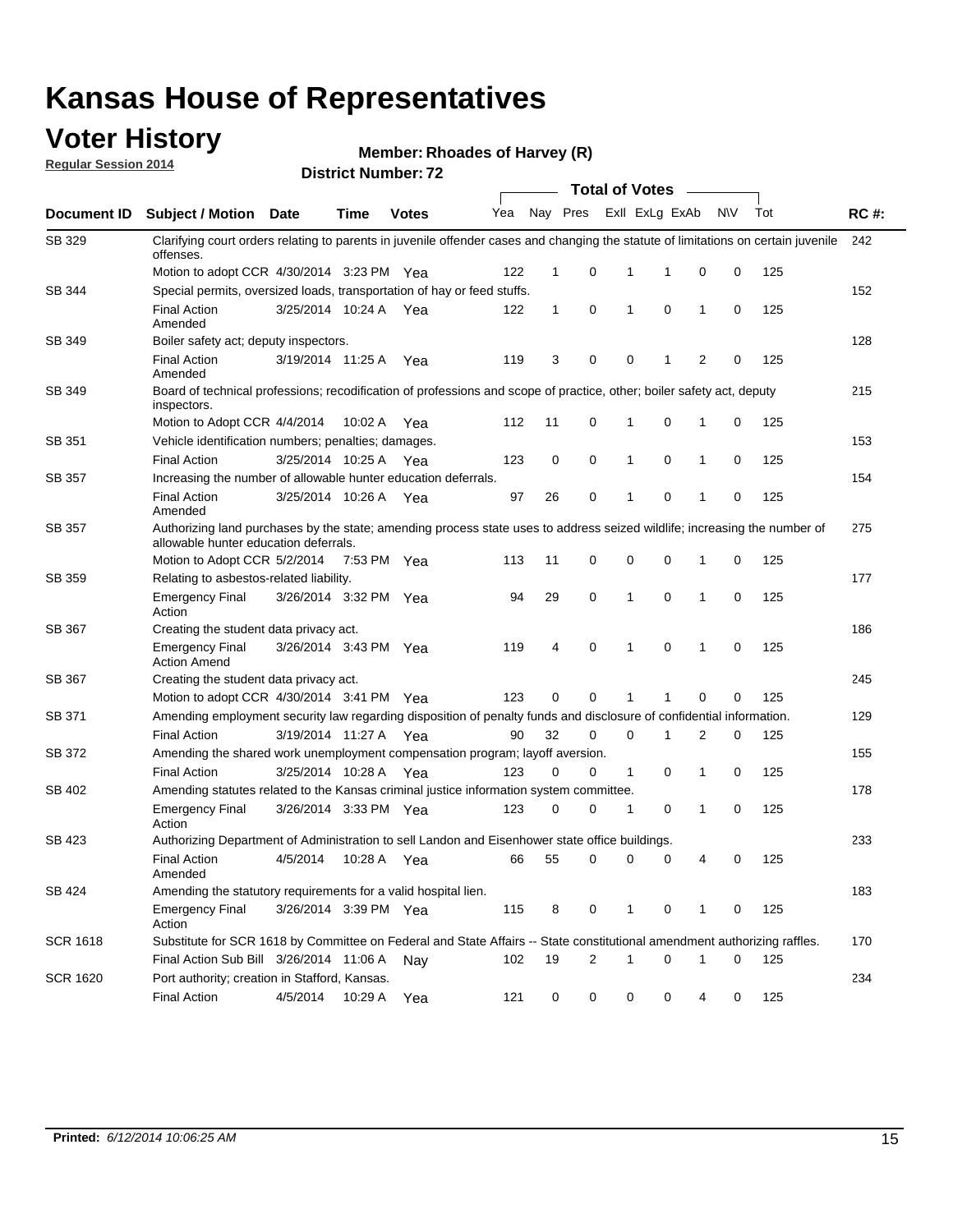#### **Voter History**

**Regular Session 2014**

**Member: Rhoades of Harvey (R)** 

|                 |                                                                                                                                                                    |                       |             |              |     |          |   | <b>Total of Votes</b> |             |              |             |     |             |
|-----------------|--------------------------------------------------------------------------------------------------------------------------------------------------------------------|-----------------------|-------------|--------------|-----|----------|---|-----------------------|-------------|--------------|-------------|-----|-------------|
| Document ID     | <b>Subject / Motion</b>                                                                                                                                            | Date                  | <b>Time</b> | <b>Votes</b> | Yea | Nay Pres |   | Exll ExLg ExAb        |             |              | N\V         | Tot | <b>RC#:</b> |
| SB 329          | Clarifying court orders relating to parents in juvenile offender cases and changing the statute of limitations on certain juvenile<br>offenses.                    |                       |             |              |     |          |   |                       |             |              |             |     | 242         |
|                 | Motion to adopt CCR 4/30/2014 3:23 PM Yea                                                                                                                          |                       |             |              | 122 | 1        | 0 | 1                     | 1           | 0            | 0           | 125 |             |
| SB 344          | Special permits, oversized loads, transportation of hay or feed stuffs.                                                                                            |                       |             |              |     |          |   |                       |             |              |             |     | 152         |
|                 | <b>Final Action</b><br>Amended                                                                                                                                     | 3/25/2014 10:24 A     |             | Yea          | 122 | 1        | 0 | 1                     | 0           | $\mathbf{1}$ | 0           | 125 |             |
| SB 349          | Boiler safety act; deputy inspectors.                                                                                                                              |                       |             |              |     |          |   |                       |             |              |             |     | 128         |
|                 | <b>Final Action</b><br>Amended                                                                                                                                     | 3/19/2014 11:25 A     |             | Yea          | 119 | 3        | 0 | 0                     | 1           | 2            | 0           | 125 |             |
| SB 349          | Board of technical professions; recodification of professions and scope of practice, other; boiler safety act, deputy<br>inspectors.                               |                       |             |              |     |          |   |                       |             |              |             |     | 215         |
|                 | Motion to Adopt CCR 4/4/2014                                                                                                                                       |                       | 10:02 A     | Yea          | 112 | 11       | 0 | 1                     | $\mathbf 0$ | 1            | 0           | 125 |             |
| SB 351          | Vehicle identification numbers; penalties; damages.                                                                                                                |                       |             |              |     |          |   |                       |             |              |             |     | 153         |
|                 | <b>Final Action</b>                                                                                                                                                | 3/25/2014 10:25 A     |             | Yea          | 123 | 0        | 0 | 1                     | 0           | $\mathbf{1}$ | 0           | 125 |             |
| SB 357          | Increasing the number of allowable hunter education deferrals.                                                                                                     |                       |             |              |     |          |   |                       |             |              |             |     | 154         |
|                 | <b>Final Action</b><br>Amended                                                                                                                                     | 3/25/2014 10:26 A     |             | Yea          | 97  | 26       | 0 | 1                     | $\mathbf 0$ | 1            | 0           | 125 |             |
| SB 357          | Authorizing land purchases by the state; amending process state uses to address seized wildlife; increasing the number of<br>allowable hunter education deferrals. |                       |             |              |     |          |   |                       |             |              |             |     | 275         |
|                 | Motion to Adopt CCR 5/2/2014                                                                                                                                       |                       | 7:53 PM Yea |              | 113 | 11       | 0 | 0                     | 0           | -1           | 0           | 125 |             |
| SB 359          | Relating to asbestos-related liability.                                                                                                                            |                       |             |              |     |          |   |                       |             |              |             |     | 177         |
|                 | <b>Emergency Final</b><br>Action                                                                                                                                   | 3/26/2014 3:32 PM Yea |             |              | 94  | 29       | 0 | 1                     | 0           | -1           | 0           | 125 |             |
| SB 367          | Creating the student data privacy act.                                                                                                                             |                       |             |              |     |          |   |                       |             |              |             |     | 186         |
|                 | <b>Emergency Final</b><br><b>Action Amend</b>                                                                                                                      | 3/26/2014 3:43 PM Yea |             |              | 119 | 4        | 0 | 1                     | 0           | $\mathbf{1}$ | $\mathbf 0$ | 125 |             |
| SB 367          | Creating the student data privacy act.                                                                                                                             |                       |             |              |     |          |   |                       |             |              |             |     | 245         |
|                 | Motion to adopt CCR 4/30/2014 3:41 PM Yea                                                                                                                          |                       |             |              | 123 | 0        | 0 | 1                     | -1          | $\mathbf 0$  | 0           | 125 |             |
| SB 371          | Amending employment security law regarding disposition of penalty funds and disclosure of confidential information.                                                |                       |             |              |     |          |   |                       |             |              |             |     | 129         |
|                 | <b>Final Action</b>                                                                                                                                                | 3/19/2014 11:27 A Yea |             |              | 90  | 32       | 0 | 0                     | 1           | 2            | 0           | 125 |             |
| SB 372          | Amending the shared work unemployment compensation program; layoff aversion.                                                                                       |                       |             |              |     |          |   |                       |             |              |             |     | 155         |
|                 | <b>Final Action</b>                                                                                                                                                | 3/25/2014 10:28 A     |             | Yea          | 123 | 0        | 0 | $\mathbf{1}$          | 0           | 1            | 0           | 125 |             |
| SB 402          | Amending statutes related to the Kansas criminal justice information system committee.                                                                             |                       |             |              |     |          |   |                       |             |              |             |     | 178         |
|                 | <b>Emergency Final</b><br>Action                                                                                                                                   | 3/26/2014 3:33 PM Yea |             |              | 123 | 0        | 0 | 1                     | 0           | $\mathbf{1}$ | 0           | 125 |             |
| SB 423          | Authorizing Department of Administration to sell Landon and Eisenhower state office buildings.                                                                     |                       |             |              |     |          |   |                       |             |              |             |     | 233         |
|                 | <b>Final Action</b><br>Amended                                                                                                                                     | 4/5/2014              | 10:28 A     | Yea          | 66  | 55       | 0 | 0                     | 0           | 4            | 0           | 125 |             |
| SB 424          | Amending the statutory requirements for a valid hospital lien.                                                                                                     |                       |             |              |     |          |   |                       |             |              |             |     | 183         |
|                 | <b>Emergency Final</b><br>Action                                                                                                                                   | 3/26/2014 3:39 PM Yea |             |              | 115 | 8        | 0 | 1                     | 0           | 1            | 0           | 125 |             |
| <b>SCR 1618</b> | Substitute for SCR 1618 by Committee on Federal and State Affairs -- State constitutional amendment authorizing raffles.                                           |                       |             |              |     |          |   |                       |             |              |             |     | 170         |
|                 | Final Action Sub Bill 3/26/2014 11:06 A                                                                                                                            |                       |             | Nav          | 102 | 19       | 2 | 1                     | 0           | 1            | 0           | 125 |             |
| <b>SCR 1620</b> | Port authority; creation in Stafford, Kansas.                                                                                                                      |                       |             |              |     |          |   |                       |             |              |             |     | 234         |
|                 | <b>Final Action</b>                                                                                                                                                | 4/5/2014              | 10:29 A Yea |              | 121 | 0        | 0 | 0                     | 0           | 4            | 0           | 125 |             |